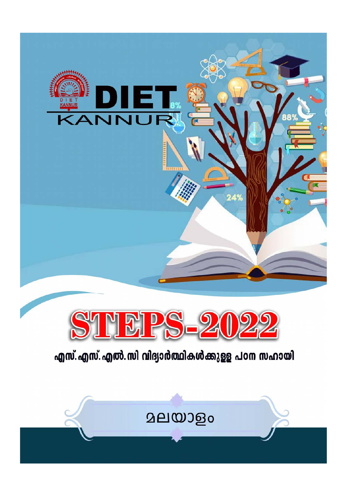

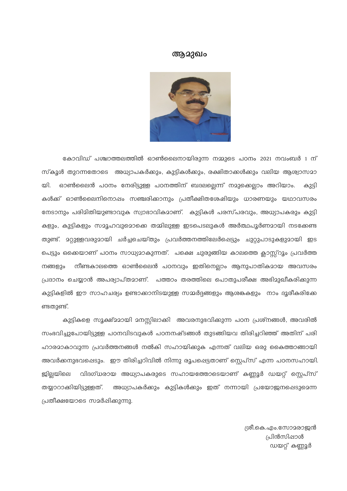#### ആമുഖം



കോവിഡ് പശ്ചാത്തലത്തിൽ ഓൺലൈനായിരുന്ന നമ്മുടെ പഠനം 2021 നവംബർ 1 ന് സ്കൂൾ തുറന്നതോടെ അധ്യാപകർക്കും, കുട്ടികൾക്കും, രക്ഷിതാക്കൾക്കും വലിയ ആശ്വാസമാ ഓൺലൈൻ പഠനം നേരിട്ടുള്ള പഠനത്തിന് ബദലല്ലെന്ന് നമുക്കെല്ലാം അറിയാം. യി. കുട്ടി കൾക്ക് ഓൺലൈനിനൊഷം സഞ്ചരിക്കാനും പ്രതീക്ഷിതശേഷിയും ധാരണയും യഥാവസരം നേടാനും പരിമിതിയുണ്ടാവുക സ്വാഭാവികമാണ്. കുട്ടികൾ പരസ്പരവും, അധ്യാപകരും കുട്ടി കളും, കുട്ടികളും സമൂഹവുമൊക്കെ തമ്മിലുള്ള ഇടപെടലുകൾ അർത്ഥപൂർണമായി നടക്കേണ്ട പെട്ടും ഒക്കെയാണ് പഠനം സാധ്യമാകുന്നത്. പക്ഷെ ചുരുങ്ങിയ കാലത്തെ ക്ലാസ്സ്റ്റും പ്രവർത്ത നീണ്ടകാലത്തെ ഓൺലൈൻ പഠനവും ഇതിനെല്ലാം ആനുപാതികമായ അവസരം നങ്ങളും പ്രദാനം ചെയ്യാൻ അപര്യാപ്തമാണ്. പത്താം തരത്തിലെ പൊതുപരീക്ഷ അഭിമുഖീകരിക്കുന്ന കുട്ടികളിൽ ഈ സാഹചര്യം ഉണ്ടാക്കാനിടയുള്ള സമ്മർദ്ദങ്ങളും ആശങ്കകളും നാം ദൂരീകരിക്കേ ണ്ടതുണ്ട്.

കുട്ടികളെ സൂക്ഷ്മമായി മനസ്സിലാക്കി അവരനുഭവിക്കുന്ന പഠന പ്രശ്നങ്ങൾ, അവരിൽ സംഭവിച്ചുപോയിട്ടുള്ള പഠനവിടവുകൾ പഠനനഷ്ടങ്ങൾ തുടങ്ങിയവ തിരിച്ചറിഞ്ഞ് അതിന് പരി ഹാരമാകാവുന്ന പ്രവർത്തനങ്ങൾ നൽകി സഹായിക്കുക എന്നത് വലിയ ഒരു കൈത്താങ്ങായി അവർക്കനുഭവപ്പെടും. ഈ തിരിച്ചറിവിൽ നിന്നു രൂപപ്പെട്ടതാണ് സ്കെപ്സ് എന്ന പഠനസഹായി. ഇ്ലില്ലയിലെ വിദഗ്ധരായ അധ്യാപകരുടെ സഹായത്തോടെയാണ് കണ്ണൂർ ഡയറ്റ് സ്റ്റെപ്സ് തയ്യാറാക്കിയിട്ടുള്ളത്. അധ്യാപകർക്കും കുട്ടികൾക്കും ഇത് നന്നായി പ്രയോജനപ്പെടുമെന്ന പ്രതീക്ഷയോടെ സമർഷിക്കുന്നു.

> ശ്രീ.കെ.എം.സോ2രാജൻ പ്രിൻസിഷാൾ ഡയറ്റ് കണ്ണൂർ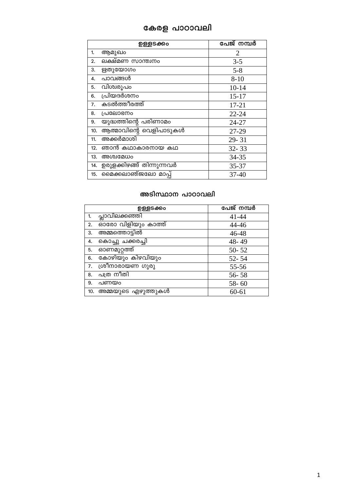# കേരള പാഠാവലി

|     | ഉള്ളടക്കം                 | പേജ് നമ്പർ |
|-----|---------------------------|------------|
| 1.  | ആമുഖം                     | 2          |
| 2.  | ലക്ഷ്മണ സാന്ത്വനം         | $3 - 5$    |
| 3.  | ഋതുയോഗം                   | $5 - 8$    |
| 4.  | പാവങ്ങൾ                   | $8 - 10$   |
| 5.  | വിശ്വരൂപം                 | $10 - 14$  |
| 6.  | പ്രിയദർശനം                | $15 - 17$  |
| 7.  | കടൽത്തീരത്ത്              | $17 - 21$  |
| 8.  | പ്രലോഭനം                  | $22 - 24$  |
| 9.  | യുദ്ധത്തിന്റെ പരിണാമം     | 24-27      |
| 10. | ആത്മാവിന്റെ വെളിപാടുകൾ    | 27-29      |
| 11. | അക്കർമാശി                 | 29-31      |
| 12. | ഞാൻ കഥാകാരനായ കഥ          | $32 - 33$  |
| 13. | അശ്വമേധം                  | 34-35      |
| 14. | ഉരുളക്കിഴങ്ങ് തിന്നുന്നവർ | 35-37      |
| 15. | മൈക്കലാഞ്ജലോ മാപ്പ്       | $37 - 40$  |

#### അടിസ്ഥാന പാഠാവലി

|    | ഉള്ളടക്കം              | പേജ് നമ്പർ |
|----|------------------------|------------|
| 1. | പ്ലാവിലക്കഞ്ഞി         | $41 - 44$  |
| 2. | ഓരോ വിളിയും കാത്ത്     | 44-46      |
| 3. | അമ്മത്തൊട്ടിൽ          | 46-48      |
| 4. | കൊച്ചു ചക്കരച്ചി       | 48-49      |
| 5. | ഓണമുറ്റത്ത്            | $50 - 52$  |
| 6. | കോഴിയും കിഴവിയും       | $52 - 54$  |
| 7. | ശ്രീനാരായണ ഗുരു        | 55-56      |
| 8. | പത്ര നീതി              | $56 - 58$  |
| 9. | പണയം                   | $58 - 60$  |
|    | 10. അമ്മയുടെ എഴുത്തുകൾ | 60-61      |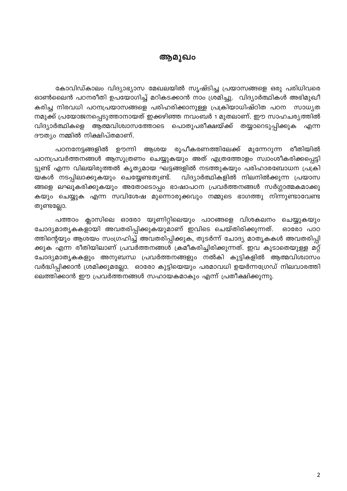#### ആമുഖം

കോവിഡ്കാലം വിദ്യാഭ്യാസ മേഖലയിൽ സൃഷ്ടിച്ച പ്രയാസങ്ങളെ ഒരു പരിധിവരെ ഓൺലൈൻ പഠനരീതി ഉപയോഗിച്ച് മറികടക്കാൻ നാം ശ്രമിച്ചു. വിദ്യാർത്ഥികൾ അഭിമുഖീ കരിച്ച നിരവധി പഠനപ്രയാസങ്ങളെ പരിഹരിക്കാനുള്ള പ്രക്രിയാധിഷ്ഠിത പഠന സാധ്യത നമുക്ക് പ്രയോജനപ്പെടുത്താനായത് ഇക്കഴിഞ്ഞ നവംബർ 1 മുതലാണ്. ഈ സാഹചര്യത്തിൽ വിദ്യാർത്ഥികളെ ആത്മവിശ്വാസത്തോടെ പൊതുപരീക്ഷയ്ക്ക് തയ്യാറെടുപ്പിക്കുക എന്ന ദൗത്യം നമ്മിൽ നിക്ഷിപ്തമാണ്.

പഠനനേട്ടങ്ങളിൽ ഊന്നി ആശയ രൂപീകരണത്തിലേക്ക് മുന്നേറുന്ന രീതിയിൽ പഠനപ്രവർത്തനങ്ങൾ ആസൂത്രണം ചെയ്യുകയും അത് എത്രത്തോളം സ്വാംശീകരിക്കപ്പെട്ടി ട്ടുണ്ട് എന്ന വിലയിരുത്തൽ കൃത്യമായ ഘട്ടങ്ങളിൽ നടത്തുകയും പരിഹാരബോധന പ്രക്രി യകൾ നടപ്പിലാക്കുകയും ചെയ്യേണ്ടതുണ്ട്. വിദ്യാർത്ഥികളിൽ നിലനിൽക്കുന്ന പ്രയാസ ങ്ങളെ ലഘൂകരിക്കുകയും അതോടൊപ്പം ഭാഷാപഠന പ്രവർത്തനങ്ങൾ സർഗ്ഗാത്മകമാക്കു കയും ചെയ്യുക എന്ന സവിശേഷ മുന്നൊരുക്കവും നമ്മുടെ ഭാഗത്തു നിന്നുണ്ടാവേണ്ട തുണ്ടല്ലോ.

പത്താം ക്ലാസിലെ ഓരോ യൂണിറ്റിലെയും പാഠങ്ങളെ വിശകലനം ചെയ്യുകയും ചോദ്യമാതൃകകളായി അവതരിപ്പിക്കുകയുമാണ് ഇവിടെ ചെയ്തിരിക്കുന്നത്. **ഒാരോ** പാഠ ത്തിന്റെയും ആശയം സംഗ്രഹിച്ച് അവതരിപ്പിക്കുക, തുടർന്ന് ചോദ്യ മാതൃകകൾ അവതരിപ്പി ക്കുക എന്ന രീതിയിലാണ് പ്രവർത്തനങ്ങൾ ക്രമീകരിച്ചിരിക്കുന്നത്. ഇവ കൂടാതെയുള്ള മറ്റ് ചോദ്യമാതൃകകളും അനുബന്ധ പ്രവർത്തനങ്ങളും നൽകി കുട്ടികളിൽ ആത്മവിശ്വാസം വർദ്ധിപ്പിക്കാൻ ശ്രമിക്കുമല്ലോ. ഓരോ കുട്ടിയെയും പരമാവധി ഉയർന്നഗ്രേഡ് നിലവാരത്തി ലെത്തിക്കാൻ ഈ പ്രവർത്തനങ്ങൾ സഹായകമാകും എന്ന് പ്രതീക്ഷിക്കുന്നു.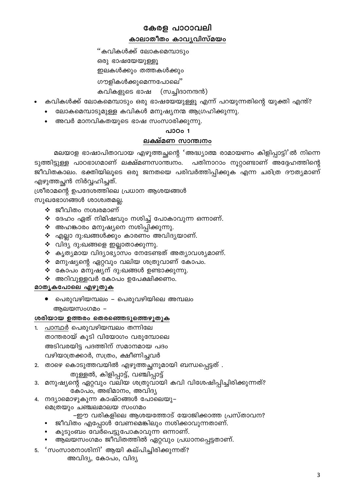# കേരള പാഠാവലി

#### കാലാതീതം കാവൃവിസ്മയം

''കവികൾക്ക് ലോകമെമ്പാടും

ഒരു ഭാഷയേയുള്ളു

ഇലകൾക്കും തത്തകൾക്കും

ഗൗളികൾക്കുമെന്നപോലെ''

#### കവികളുടെ ഭാഷ (സച്ചിദാനന്ദൻ)

- കവികൾക്ക് ലോകമെമ്പാടും ഒരു ഭാഷയേയുള്ളൂ എന്ന് പറയുന്നതിന്റെ യുക്തി എന്ത്?
	- ലോകമെമ്പാടുമുള്ള കവികൾ മനുഷ്യനന്മ ആഗ്രഹിക്കുന്നു.
	- അവർ മാനവികതയുടെ ഭാഷ സംസാരിക്കുന്നു.

#### പാഠം 1

### ലക്ഷ്മണ സാന്ത്വനം

മലയാള ഭാഷാപിതാവായ എഴുത്തച്ഛന്റെ 'അദ്ധ്യാത്മ രാമായണം കിളിപ്പാട്ടി'ൽ നിന്നെ ടുത്തിട്ടുള്ള പാഠഭാഗമാണ് ലക്ഷ്മണസാന്ത്വനം. പതിനാറാം നൂറ്റാണ്ടാണ് അദ്ദേഹത്തിന്റെ ജീവിതകാലം. ഭക്തിയിലൂടെ ഒരു ജനതയെ പരിവർത്തിപ്പിക്കുക എന്ന ചരിത്ര ദൗത്യമാണ് എഴുത്തച്ചൻ നിർവ്വഹിച്ചത്.

ശ്രീരാമന്റെ ഉപദേശത്തിലെ പ്രധാന ആശയങ്ങൾ

❖ അഹങ്കാരം മനുഷ്യനെ നശിപ്പിക്കുന്നു.

 $\boldsymbol{\cdot}$  വിദ്യ ദു:ഖങ്ങളെ ഇല്ലാതാക്കുന്നു.

 $\boldsymbol{\cdot}$  എല്ലാ ദു:ഖങ്ങൾക്കും കാരണം അവിദൃയാണ്.

 $\boldsymbol{\dot{\ast}}$  മനുഷ്യന്റെ ഏറ്റവും വലിയ ശത്രുവാണ് കോപം.

 $\boldsymbol{\cdot}$ േദേഹം ഏത് നിമിഷവും നശിച്ച് പോകാവുന്ന ഒന്നാണ്.

❖ കൃത്യമായ വിദ്യാഭ്യാസം നേടേണ്ടത് അത്യാവശ്യമാണ്.

സുഖഭോഗങ്ങൾ ശാശ്വതമല്ല.

 $\cdot$  ജീവിതം നശ്വരമാണ്

 $\boldsymbol{\cdot}$  കോപം മനുഷ്യന് ദു:ഖങ്ങൾ ഉണ്ടാക്കുന്നു.  $\clubsuit$  അറിവുള്ളവർ കോപം ഉപേക്ഷിക്കണം.

# മാതൃകപോലെ എഴുതുക

പെരുവഴിയമ്പലം – പെരുവഴിയിലെ അമ്പലം ആലയസംഗമം -

### ശരിയായ ഉത്തരം തെരഞ്ഞെടുത്തെഴുതുക

 $1.$ 

5.

- 
- 
- പാന്ഥർ പെരുവഴിയമ്പലം തന്നിലേ
- 

താന്തരായ് കൂടി വിയോഗം വരുമ്പോലെ അടിവരയിട്ട പദത്തിന് സമാനമായ പദം വഴിയാത്രക്കാർ, സത്രം, ക്ഷീണിച്ചവർ

- 
- 

▪ ജീവിതം എപ്പോൾ വേണമെങ്കിലും നശിക്കാവുന്നതാണ്. കുടുംബം വേർപെട്ടുപോകാവുന്ന ഒന്നാണ്.

തുള്ളൽ, കിളിപ്പാട്ട്, വഞ്ചിപ്പാട്ട്

കോപം, അഭിമാനം, അവിദ്യ

# -ഈ വരികളിലെ ആശയത്തോട് യോജിക്കാത്ത പ്രസ്താവന?

3. മനുഷ്യന്റെ ഏറ്റവും വലിയ ശത്രുവായി കവി വിശേഷിപ്പിച്ചിരിക്കുന്നത്?

ആലയസംഗമം ജീവിതത്തിൽ ഏറ്റവും പ്രധാനപ്പെട്ടതാണ്.

2. താഴെ കൊടുത്തവയിൽ എഴുത്തച്ഛനുമായി ബന്ധപ്പെട്ടത് .

4. നദ്യാമൊഴുകുന്ന കാഷ്ഠങ്ങൾ പോലെയു– മെത്രയും ചഞ്ചലമാലയ സംഗമം

്സംസാരനാശിനി' ആയി കല്പിച്ചിരിക്കുന്നത്? അവിദ്യ, കോപം, വിദ്യ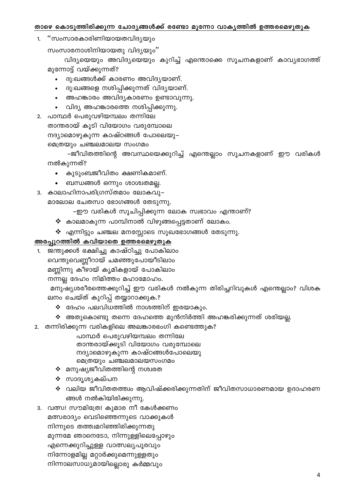3. വത്സ! സൗമിത്രേ! കുമാര നീ കേൾക്കണം മത്സരാദ്യം വെടിഞ്ഞെന്നുടെ വാക്കുകൾ നിന്നുടെ തത്ത്വമറിഞ്ഞിരിക്കുന്നതു മുന്നമേ ഞാനെടോ, നിന്നുള്ളിലെപ്പോഴും എന്നെക്കുറിച്ചുള്ള വാത്സല്യപൂരവും നിന്നോളമില്ല മറ്റാർക്കുമെന്നുള്ളതും നിന്നാലസാധ്യമായില്ലൊരു കർമ്മവും

- $\boldsymbol{\cdot}$  വലിയ ജീവിതതത്ത്വം ആവിഷ്ക്കരിക്കുന്നതിന് ജീവിതസാധാരണമായ ഉദാഹരണ ങ്ങൾ നൽകിയിരിക്കുന്നു.
- ❖ സാദൃശൃകല്പന
- ❖ മനുഷ്യജീവിതത്തിന്റെ നശ്വരത

പാന്ഥർ പെരുവഴിയമ്പലം തന്നിലേ താന്തരായ്ക്കുടി വിയോഗം വരുമ്പോലെ നദ്യാമൊഴുകുന്ന കാഷ്ഠങ്ങൾപോലെയു മെത്രയും ചഞ്ചലമാലയസംഗമം

- 2. തന്നിരിക്കുന്ന വരികളിലെ അലങ്കാരഭംഗി കണ്ടെത്തുക?
- $\boldsymbol{\cdot}$  അതുകൊണ്ടു തന്നെ ദേഹത്തെ മുൻനിർത്തി അഹങ്കരിക്കുന്നത് ശരിയല്ല.
- $\boldsymbol{\dot{\ast}}$  ദേഹം പലവിധത്തിൽ നാശത്തിന് ഇരയാകും.

ലനം ചെയ്ത് കുറിപ്പ് തയ്യാറാക്കുക.?

നന്നല്ല ദേഹം നിമിത്തം മഹാമോഹം. മനുഷ്യശരീരത്തെക്കുറിച്ച് ഈ വരികൾ നൽകുന്ന തിരിച്ചറിവുകൾ എന്തെല്ലാം? വിശക

മണ്ണിന്നു കീഴായ് കൃമികളായ് പോകിലാം

വെന്തുവെണ്ണീറായ് ചമഞ്ഞുപോയീടിലാം

1. ജന്തുക്കൾ ഭക്ഷിച്ചു കാഷ്ഠിച്ചു പോകിലാം

# അരപ്പുറത്തിൽ കവിയാതെ ഉത്തരമെഴുതുക

- $\boldsymbol{\cdot}$  എന്നിട്ടും ചഞ്ചല മനസ്സോടെ സുഖഭോഗങ്ങൾ തേടുന്നു.
- $\boldsymbol{\cdot}$  കാലമാകുന്ന പാമ്പിനാൽ വിഴുങ്ങപ്പെട്ടതാണ് ലോകം.
- –ഈ വരികൾ സൂചിപ്പിക്കുന്ന ലോക സ്വഭാവം എന്താണ്?

മാലോല ചേതസാ ഭോഗങ്ങൾ തേടുന്നു.

- 3. കാലാഹിനാപരിഗ്രസ്തമാം ലോകവു–
- ബന്ധങ്ങൾ ഒന്നും ശാശ്വതമല്ല.
- കുടുംബജീവിതം ക്ഷണികമാണ്.

നൽകുന്നത്?

മെത്രയും ചഞ്ചലമാലയ സംഗമം –ജീവിതത്തിന്റെ അവസ്ഥയെക്കുറിച്ച് എന്തെല്ലാം സൂചനകളാണ് ഈ വരികൾ

നദ്യാമൊഴുകുന്ന കാഷ്ഠങ്ങൾ പോലെയു–

താന്തരായ് കൂടി വിയോഗം വരുമ്പോലെ

- 2. പാന്ഥർ പെരുവഴിയമ്പലം തന്നിലേ
- വിദ്യ അഹങ്കാരത്തെ നശിപ്പിക്കുന്നു.
- അഹങ്കാരം അവിദ്യകാരണം ഉണ്ടാവുന്നു.
- ദു:ഖങ്ങളെ നശിപ്പിക്കുന്നത് വിദ്യയാണ്.
- ദു:ഖങ്ങൾക്ക് കാരണം അവിദൃയാണ്.

മുന്നോട്ട് വയ്ക്കുന്നത്?

സംസാരനാശിനിയായതു വിദൃയും'' വിദ്യയെയും അവിദ്യയെയും കുറിച്ച് എന്തൊക്കെ സൂചനകളാണ് കാവൃഭാഗത്ത്

"സംസാരകാരിണിയായതവിദ്യയും

#### താഴെ കൊടുത്തിരിക്കുന്ന ചോദൃങ്ങൾക്ക് രണ്ടോ മൂന്നോ വാകൃത്തിൽ ഉത്തരമെഴുതുക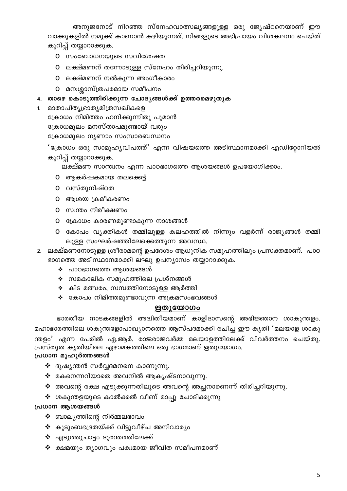അനുജനോട് നിറഞ്ഞ സ്നേഹവാത്സല്യങ്ങളുള്ള ഒരു ജ്യേഷ്ഠനെയാണ് ഈ വാക്കുകളിൽ നമുക്ക് കാണാൻ കഴിയുന്നത്. നിങ്ങളുടെ അഭിപ്രായം വിശകലനം ചെയ്ത് കുറിപ്പ് തയ്യാറാക്കുക.

- സംബോധനയുടെ സവിശേഷത
- ലക്ഷ്മണന് തന്നോടുള്ള സ്നേഹം തിരിച്ചറിയുന്നു.
- ലക്ഷ്മണന് നൽകുന്ന അംഗീകാരം
- മന:ശ്ശാസ്ത്രപരമായ സമീപനം

#### 4. താഴെ കൊടുത്തിരിക്കുന്ന ചോദൃങ്ങൾക്ക് ഉത്തരമെഴുതുക

1. മാതാപിതൃഭ്രാതൃമിത്രസഖികളെ ക്രോധം നിമിത്തം ഹനിക്കുന്നിതു പുമാൻ ക്രോധമൂലം മനസ്താപമുണ്ടായ് വരും ക്രോധമൂലം നൃണാം സംസാരബന്ധനം

'ക്രോധം ഒരു സാമൂഹ്യവിപത്ത്' എന്ന വിഷയത്തെ അടിസ്ഥാനമാക്കി എഡിറ്റോറിയൽ കുറിപ്പ് തയ്യാറാക്കുക.

ലക്ഷ്മണ സാന്ത്വനം എന്ന പാഠഭാഗത്തെ ആശയങ്ങൾ ഉപയോഗിക്കാം.

- ആകർഷകമായ തലക്കെട്ട്
- വസ്തുനിഷ്ഠത
- ആശയ ക്രമീകരണം
- സ്വന്തം നിരീക്ഷണം
- ക്രോധം കാരണമുണ്ടാകുന്ന നാശങ്ങൾ
- കോപം വ്യക്തികൾ തമ്മിലുള്ള കലഹത്തിൽ നിന്നും വളർന്ന് രാജ്യങ്ങൾ തമ്മി ലുള്ള സംഘർഷത്തിലേക്കെത്തുന്ന അവസ്ഥ.

2. ലക്ഷ്മണനോടുള്ള ശ്രീരാമന്റെ ഉപദേശം ആധുനിക സമൂഹത്തിലും പ്രസക്തമാണ്. പാഠ ഭാഗത്തെ അടിസ്ഥാനമാക്കി ലഘു ഉപന്യാസം തയ്യാറാക്കുക.

- $\boldsymbol{\cdot}$  പാഠഭാഗത്തെ ആശയങ്ങൾ
- $\boldsymbol{\cdot}$  സമകാലിക സമൂഹത്തിലെ പ്രശ്നങ്ങൾ
- $\boldsymbol{\cdot}$  കിട മത്സരം, സമ്പത്തിനോടുള്ള ആർത്തി
- $\boldsymbol{\dot{\cdot}}$  കോപം നിമിത്തമുണ്ടാവുന്ന അക്രമസംഭവങ്ങൾ

### ഋതുയോഗം

ഭാരതീയ നാടകങ്ങളിൽ അദ്വിതീയമാണ് കാളിദാസന്റെ അഭിജ്ഞാന ശാകുന്തളം. മഹാഭാരത്തിലെ ശകുന്തളോപാഖ്യാനത്തെ ആസ്പദമാക്കി രചിച്ച ഈ കൃതി 'മലയാള ശാകു ന്തളം' എന്ന പേരിൽ ഏ.ആർ. രാജരാജവർമ്മ മലയാളത്തിലേക്ക് വിവർത്തനം ചെയ്തു. പ്രസ്തുത കൃതിയിലെ ഏഴാമങ്കത്തിലെ ഒരു ഭാഗമാണ് ഋതുയോഗം.

#### പ്രധാന മുഹൂർത്തങ്ങൾ

- $\boldsymbol{\cdot}$  ദുഷ്യന്തൻ സർവ്വദമനനെ കാണുന്നു.
- $\boldsymbol{\cdot}$  മകനെന്നറിയാതെ അവനിൽ ആകൃഷ്ടനാവുന്നു.
- $\boldsymbol{\cdot}$  അവന്റെ രക്ഷ എടുക്കുന്നതിലൂടെ അവന്റെ അച്ഛനാണെന്ന് തിരിച്ചറിയുന്നു.
- ❖ ശകുന്തളയുടെ കാൽക്കൽ വീണ് മാപ്പു ചോദിക്കുന്നു

#### പ്രധാന ആശയങ്ങൾ

- $\clubsuit$  ബാല്യത്തിന്റെ നിർമ്മലഭാവം
- ❖ കുടുംബഭദ്രതയ്ക്ക് വിട്ടുവീഴ്ച അനിവാര്യം
- ❖ എടുത്തുചാട്ടം ദുരന്തത്തിലേക്ക്
- ❖ ക്ഷമയും ത്യാഗവും പക്വമായ ജീവിത സമീപനമാണ്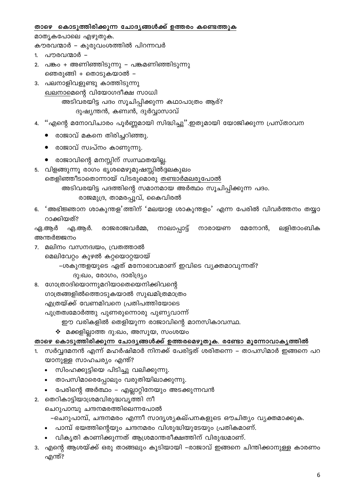#### താഴെ കൊടുത്തിരിക്കുന്ന ചോദ്യങ്ങൾക്ക് ഉത്തരം കണ്ടെത്തുക

മാതൃകപോലെ എഴുതുക.

കൗരവന്മാർ – കുരുവംശത്തിൽ പിറന്നവർ

- 1. പൗരവന്മാർ –
- 2. പങ്കം + അണിഞ്ഞിടുന്നു പങ്കമണിഞ്ഞിടുന്നു ഞെരുങ്ങി + തൊടുകയാൽ –
- 3. പലനാളിവളുണ്ടു കാത്തിടുന്നു ഖലനാമെന്റെ വിയോഗദീക്ഷ സാധ്വി അടിവരയിട്ട പദം സൂചിപ്പിക്കുന്ന കഥാപാത്രം ആര്?

ദുഷ്യന്തൻ, കണ്വൻ, ദുർവ്വാസാവ്

- ''എന്റെ മനോവിചാരം പൂർണ്ണമായി സിദ്ധിച്ചു''.ഇതുമായി യോജിക്കുന്ന പ്രസ്താവന 4.
	- രാജാവ് മകനെ തിരിച്ചറിഞ്ഞു.
	- രാജാവ് സ്വപ്നം കാണുന്നു.
	- രാജാവിന്റെ മനസ്സിന് സ്വസ്ഥതയില്ല.
- 5. വിളങ്ങുന്നൂ രാഗം ഭൃശമെഴുമുഷസ്സിൽദ്ദലകുലം തെളിഞ്ഞീടാതൊന്നായ് വിടരുമൊരു <u>തണ്ടാർമലരുപോൽ</u> അടിവരയിട്ട പദത്തിന്റെ സമാനമായ അർത്ഥം സൂചിപ്പിക്കുന്ന പദം. രാജമുദ്ര, താമരപ്പൂവ്, കൈവിരൽ
- 6. 'അഭിജ്ഞാന ശാകുന്തള'ത്തിന് 'മലയാള ശാകുന്തളം' എന്ന പേരിൽ വിവർത്തനം തയ്യാ റാക്കിയത്?

നാലാപ്പാട്ട് നാരായണ മേനോൻ, ലളിതാംബിക ഏ.ആർ എ.ആർ. രാജരാജവർമ്മ, അന്തർജ്ജനം

- 7. മലിനം വസനദ്വയം, വ്രതത്താൽ മെലിവേറ്റം കുഴൽ കറ്റയൊറ്റയായ്
	- –ശകുന്തളയുടെ ഏത് മനോഭാവമാണ് ഇവിടെ വ്യക്തമാവുന്നത്?

ദു:ഖം, രോഗം, ദാരിദ്ര്യം

- 8. ഗോത്രാദിയൊന്നുമറിയാതെയെനിക്കിവന്റെ
	- ഗാത്രങ്ങളിൽത്തൊടുകയാൽ സുഖമിത്രമാത്രം
		- എത്രയ്ക്ക് വേണമിവനെ പ്രതിപത്തിയോടെ
		- പുത്രത്വമോർത്തു പുണരുന്നൊരു പുണ്യവാന്ന്
			- ഈ വരികളിൽ തെളിയുന്ന രാജാവിന്റെ മാനസികാവസ്ഥ.
			- $\boldsymbol{\cdot}$  മക്കളില്ലാത്ത ദു:ഖം, അസൂയ, സംശയം

#### താഴെ കൊടുത്തിരിക്കുന്ന ചോദ്യങ്ങൾക്ക് ഉത്തരമെഴുതുക. രണ്ടോ മൂന്നോവാക്യത്തിൽ

- സർവ്വദമനൻ എന്ന് മഹർഷിമാർ നിനക്ക് പേരിട്ടത് ശരിതന്നെ താപസിമാർ ഇങ്ങനെ പറ  $1.$ യാനുള്ള സാഹചര്യം എന്ത്?
	- സിംഹക്കുട്ടിയെ പിടിച്ചു വലിക്കുന്നു.
	- താപസിമാരെപ്പോലും വരുതിയിലാക്കുന്നു.
	- പേരിന്റെ അർത്ഥം എല്ലാറ്റിനേയും അടക്കുന്നവൻ
- 2. തെറികാട്ടിയാശ്രമവിരുദ്ധവൃത്തി നീ

ചെറുപാമ്പു ചന്ദനമരത്തിലെന്നപോൽ

- –ചെറുപാമ്പ്, ചന്ദനമരം എന്നീ സാദൃശ്യകല്പനകളുടെ ഔചിത്യം വ്യക്തമാക്കുക.
- പാമ്പ് ഭയത്തിന്റെയും ചന്ദനമരം വിശുദ്ധിയുടേയും പ്രതികമാണ്.
- വികൃതി കാണിക്കുന്നത് ആശ്രമാന്തരീക്ഷത്തിന് വിരുദ്ധമാണ്.
- 3. എന്റെ ആശയ്ക്ക് ഒരു താങ്ങലും കൂടിയായി –രാജാവ് ഇങ്ങനെ ചിന്തിക്കാനുള്ള കാരണം എന്ത്?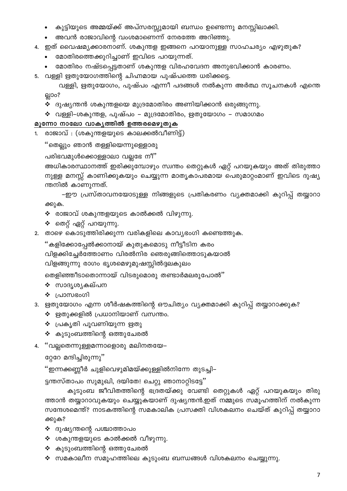- $\overline{7}$
- $\boldsymbol{\cdot}$  സമകാലീന സമൂഹത്തിലെ കുടുംബ ബന്ധങ്ങൾ വിശകലനം ചെയ്യുന്നു.

ക്കുക?

കുടുംബ ജീവിതത്തിന്റെ ഭദ്രതയ്ക്കു വേണ്ടി തെറ്റുകൾ ഏറ്റ് പറയുകയും തിരു ത്താൻ തയ്യാറാവുകയും ചെയ്യുകയാണ് ദുഷ്യന്തൻ.ഇത് നമ്മുടെ സമൂഹത്തിന് നൽകുന്ന സന്ദേശമെന്ത്? നാടകത്തിന്റെ സമകാലിക പ്രസക്തി വിശകലനം ചെയ്ത് കുറിപ്പ് തയ്യാറാ

ട്ടന്തസ്താപം സുമുഖി, ദയിതേ! ചെറ്റു ഞാനാറ്റിടട്ടേ''

''ഇന്നക്കണ്ണീർ ചുളിവെഴുമിമയ്ക്കുള്ളിൽനിന്നേ തുടച്ചി–

റ്റേറേ മന്ദിച്ചിരുന്നു"

4. "വല്ലതെന്നുള്ളമന്നാളൊരു മലിനതയേ–

 $\boldsymbol{\cdot}$  കുടുംബത്തിന്റെ ഒത്തുചേരൽ

❖ പ്രകൃതി പൂവണിയുന്ന ഋതു

❖ ദുഷ്യന്തന്റെ പശ്ചാത്താപം

 $\boldsymbol{\cdot\!\!\!\cdot}$  കുടുംബത്തിന്റെ ഒത്തുചേരൽ

 $\boldsymbol{\cdot}$  ശകുന്തളയുടെ കാൽക്കൽ വീഴുന്നു.

- $\boldsymbol{\cdot}$  ഋതുക്കളിൽ പ്രധാനിയാണ് വസന്തം.
- 3. ഋതുയോഗം എന്ന ശീർഷകത്തിന്റെ ഔചിത്യം വ്യക്തമാക്കി കുറിപ്പ് തയ്യാറാക്കുക?
- $\cdot$  പ്രാസഭംഗി
- ❖ സാദൃശൃകല്പന

തെളിഞ്ഞീടാതൊന്നായ് വിടരുമൊരു തണ്ടാർമലരുപോൽ''

വിളങ്ങുന്നു രാഗം ഭൃശമെഴുമുഷസ്സിൽദ്ദലകുലം

വിളക്കിച്ചേർത്തോണം വിരൽനിര ഞെരുങ്ങിത്തൊടുകയാൽ

''കളിക്കോപ്പേൽക്കാനായ് കുതുകമൊടു നീട്ടീടിന കരം

- 2. താഴെ കൊടുത്തിരിക്കുന്ന വരികളിലെ കാവൃഭംഗി കണ്ടെത്തുക.
- ❖ തെറ്റ് ഏറ്റ് പറയുന്നു.
- $\boldsymbol{\dot{\cdot}}$  രാജാവ് ശകുന്തളയുടെ കാൽക്കൽ വിഴുന്നു.

ന്തനിൽ കാണുന്നത്. –ഈ പ്രസ്താവനയോടുള്ള നിങ്ങളുടെ പ്രതികരണം വ്യക്തമാക്കി കുറിപ്പ് തയ്യാറാ ക്കുക.

പരിഭവമുൾക്കൊള്ളാലാ വല്ലഭേ നീ" അധികാരസ്ഥാനത്ത് ഇരിക്കുമ്പോഴും സ്വന്തം തെറ്റുകൾ ഏറ്റ് പറയുകയും അത് തിരുത്താ നുള്ള മനസ്സ് കാണിക്കുകയും ചെയ്യുന്ന മാതൃകാപരമായ പെരുമാറ്റംമാണ് ഇവിടെ ദുഷ്യ

''തെല്ലും ഞാൻ തള്ളിയെന്നുള്ളൊരു

1. രാജാവ് : (ശകുന്തളയുടെ കാലക്കൽവീണിട്ട്)

# മൂന്നോ നാലോ വാകൃത്തിൽ ഉത്തരമെഴുതുക

❖ വള്ളി–ശകുന്തള, പുഷ്പം – മുദ്രമോതിരം, ഋതുയോഗം – സമാഗമം

 $\boldsymbol{\cdot}$  ദുഷ്യന്തൻ ശകുന്തളയെ മുദ്രമോതിരം അണിയിക്കാൻ ഒരുങ്ങുന്നു.

വള്ളി, ഋതുയോഗം, പുഷ്പം എന്നീ പദങ്ങൾ നൽകുന്ന അർത്ഥ സൂചനകൾ എന്തെ ല്ലാം?

- 5. വള്ളി ഋതുയോഗത്തിന്റെ ചിഹ്നമായ പുഷ്പത്തെ ധരിക്കട്ടെ.
- മോതിരം നഷ്ടപ്പെട്ടതാണ് ശകുന്തള വിരഹവേദന അനുഭവിക്കാൻ കാരണം.
- മോതിരത്തെക്കുറിച്ചാണ് ഇവിടെ പറയുന്നത്.
- 4. ഇത് വൈഷമൃക്കാരനാണ്. ശകുന്തള ഇങ്ങനെ പറയാനുള്ള സാഹചര്യം എഴുതുക?
- അവൻ രാജാവിന്റെ വംശമാണെന്ന് നേരത്തേ അറിഞ്ഞു.
- കുട്ടിയുടെ അമ്മയ്ക്ക് അപ്സരസ്സുമായി ബന്ധം ഉണ്ടെന്നു മനസ്സിലാക്കി.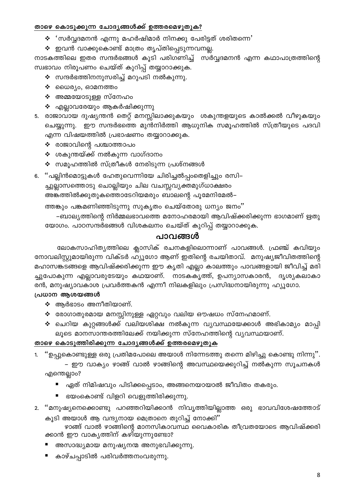#### താഴെ കൊടുക്കുന്ന ചോദൃങ്ങൾക്ക് ഉത്തരമെഴുതുക?

- $\boldsymbol{\cdot}$ ് സർവ്വദമനൻ എന്നു മഹർഷിമാർ നിനക്കു പേരിട്ടത് ശരിതന്നെ $^{\prime}$
- ❖ ഇവൻ വാക്കുകൊണ്ട് മാത്രം തൃപ്തിപ്പെടുന്നവനല്ല.

നാടകത്തിലെ ഇതര സന്ദർഭങ്ങൾ കൂടി പരിഗണിച്ച് സർവ്വദമനൻ എന്ന കഥാപാത്രത്തിന്റെ സ്വഭാവം നിരൂപണം ചെയ്ത് കുറിപ്പ് തയ്യാറാക്കുക.

- ❖ സന്ദർഭത്തിനനുസരിച്ച് മറുപടി നൽകുന്നു.
- $\clubsuit$  വൈര്യം, ഓമനത്തം
- $\clubsuit$  അമ്മയോടുള്ള സ്നേഹം
- $\clubsuit$  എല്ലാവരേയും ആകർഷിക്കുന്നു
- 5. രാജാവായ ദുഷ്യന്തൻ തെറ്റ് മനസ്സിലാക്കുകയും ശകുന്തളയുടെ കാൽക്കൽ വീഴുകയും ചെയ്യുന്നു. ഈ സന്ദർഭത്തെ മുൻനിർത്തി ആധുനിക സമൂഹത്തിൽ സ്ത്രീയുടെ പദവി എന്ന വിഷയത്തിൽ പ്രഭാഷണം തയ്യാറാക്കുക.
	- $\boldsymbol{\dot{\ast}}$  രാജാവിന്റെ പശ്ചാത്താപം
	- $\clubsuit$  ശകുന്തയ്ക്ക് നൽകുന്ന വാഗ്ദാനം
	- $\boldsymbol{\cdot}$  സമൂഹത്തിൽ സ്ത്രീകൾ നേരിടുന്ന പ്രശ്നങ്ങൾ
- 6. "പല്ലിൻമൊട്ടുകൾ ഹേതുവെന്നിയേ ചിരിച്ചൽപ്പംതെളിച്ചും രസി–

ച്ചുല്ലാസത്തൊടു ചൊല്ലിയും ചില വചസ്സവ്യക്തമുഗ്ധാക്ഷരം

അങ്കത്തിൽക്കുതുകത്തൊടേറിയമരും ബാലന്റെ പൂമേനിമേൽ–

ത്തങ്കും പങ്കമണിഞ്ഞിടുന്നു സുകൃതം ചെയ്തോരു ധന്യം ജനം''

–ബാല്യത്തിന്റെ നിർമ്മലഭാവത്തെ മനോഹരമായി ആവിഷ്ക്കരിക്കുന്ന ഭാഗമാണ് ഋതു യോഗം. പാഠസന്ദർഭങ്ങൾ വിശകലനം ചെയ്ത് കുറിപ്പ് തയ്യാറാക്കുക.

#### പാവങ്ങൾ

ലോകസാഹിത്യത്തിലെ ക്ലാസിക് രചനകളിലൊന്നാണ് പാവങ്ങൾ. ഫ്രഞ്ച് കവിയും നോവലിസ്റ്റുമായിരുന്ന വിക്ടർ ഹ്യൂഗോ ആണ് ഇതിന്റെ രചയിതാവ്. മനുഷ്യജീവിതത്തിന്റെ മഹാസങ്കടങ്ങളെ ആവിഷ്ക്കരിക്കുന്ന ഈ കൃതി എല്ലാ കാലത്തും പാവങ്ങളായി ജീവിച്ച് മരി ച്ചുപോകുന്ന എല്ലാവരുടേയും കഥയാണ്. നാടകകൃത്ത്, ഉപന്യാസകാരൻ, ദൃശ്യകലാകാ രൻ, മനുഷ്യാവകാശ പ്രവർത്തകൻ എന്നീ നിലകളിലും പ്രസിദ്ധനായിരുന്നു ഹ്യൂഗോ.

#### പ്രധാന ആശയങ്ങൾ

- $\boldsymbol{\cdot}$  ആർഭാടം അനീതിയാണ്.
- $\boldsymbol{\cdot}$  രോഗാതുരമായ മനസ്സിനുള്ള ഏറ്റവും വലിയ ഔഷധം സ്നേഹമാണ്.
- ❖ ചെറിയ കുറ്റങ്ങൾക്ക് വലിയശിക്ഷ നൽകുന്ന വ്യവസ്ഥയേക്കാൾ അഭികാമ്യം മാപ്പി ലൂടെ മാനസാന്തരത്തിലേക്ക് നയിക്കുന്ന സ്നേഹത്തിന്റെ വ്യവസ്ഥയാണ്.

#### താഴെ കൊടുത്തിരിക്കുന്ന ചോദൃങ്ങൾക്ക് ഉത്തരമെഴുതുക

''ഉപ്പുകൊണ്ടുള്ള ഒരു പ്രതിമപോലെ അയാൾ നിന്നേടത്തു തന്നെ മിഴിച്ചു കൊണ്ടു നിന്നു''. – ഈ വാക്യം ഴാങ്ങ് വാൽ ഴാങ്ങിന്റെ അവസ്ഥയെക്കുറിച്ച് നൽകുന്ന സൂചനകൾ

- എന്തെല്ലാം?
	- ഏത് നിമിഷവും പിടിക്കപ്പെടാം, അങ്ങനെയായാൽ ജീവിതം തകരും.
	- ഭയംകൊണ്ട് വിളറി വെളുത്തിരിക്കുന്നു.
- 2. ''മനുഷ്യനെക്കൊണ്ടു പറഞ്ഞറിയിക്കാൻ നിവൃത്തിയില്ലാത്ത ഒരു ഭാവവിശേഷത്തോട് കൂടി അയാൾ ആ വന്ദ്യനായ മെത്രാനെ തുറിച്ച് നോക്കി"

ഴാങ്ങ് വാൽ ഴാങ്ങിന്റെ മാനസികാവസ്ഥ വൈകാരിക തീവ്രതയോടെ ആവിഷ്ക്കരി ക്കാൻ ഈ വാകൃത്തിന് കഴിയുന്നുണ്ടോ?

- അസാദ്ധ്യമായ മനുഷ്യനന്മ അനുഭവിക്കുന്നു.
- കാഴ്ചപ്പാടിൽ പരിവർത്തനംവരുന്നു.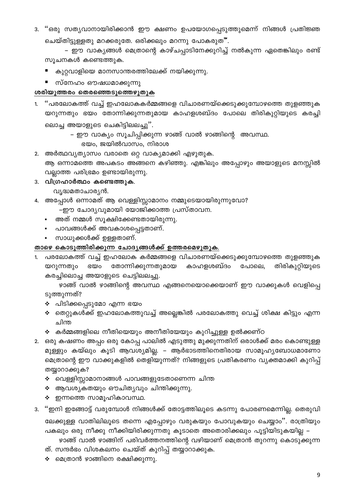3. ''ഒരു സത്യവാനായിരിക്കാൻ ഈ ക്ഷണം ഉപയോഗപ്പെടുത്തുമെന്ന് നിങ്ങൾ പ്രതിജ്ഞ

ചെയ്തിട്ടുള്ളതു മറക്കരുതേ. ഒരിക്കലും മറന്നു പോകരുത".

– ഈ വാക്യങ്ങൾ മെത്രാന്റെ കാഴ്ചപ്പാടിനേക്കുറിച്ച് നൽകുന്ന ഏതെങ്കിലും രണ്ട് സൂചനകൾ കണ്ടെത്തുക.

- കുറ്റവാളിയെ മാനസാന്തരത്തിലേക്ക് നയിക്കുന്നു.
- സ്നേഹം ഔഷധമാക്കുന്നു

#### ശരിയുത്തരം തെരഞ്ഞെടുത്തെഴുതുക

- ''പരലോകത്ത് വച്ച് ഇഹലോകകർമ്മങ്ങളെ വിചാരണയ്ക്കെടുക്കുമ്പോഴത്തെ തുളഞ്ഞുക 1. യറുന്നതും ഭയം തോന്നിക്കുന്നതുമായ കാഹളശബ്ദം പോലെ തിരികുറ്റിയുടെ കരച്ചി ലൊച്ച അയാളുടെ ചെകിട്ടിലലച്ചു''.
	- ഈ വാക്യം സൂചിപ്പിക്കുന്ന ഴാങ്ങ് വാൽ ഴാങ്ങിന്റെ അവസ്ഥ.

ഭയം, ജയിൽവാസം, നിരാശ

- 2. അർത്ഥവൃത്യാസം വരാതെ ഒറ്റ വാക്യമാക്കി എഴുതുക. ആ ഒന്നാമത്തെ അപകടം അങ്ങനെ കഴിഞ്ഞു. എങ്കിലും അപ്പോഴും അയാളുടെ മനസ്സിൽ വല്ലാത്ത പരിഭ്രമം ഉണ്ടായിരുന്നു.
- 3. വിഗ്രഹാർത്ഥം കണ്ടെത്തുക.
	- വൃദ്ധമതാചാര്യൻ.
- 4. അപ്പോൾ ഒന്നാമത് ആ വെള്ളിസ്സാമാനം നമ്മുടെയായിരുന്നുവോ?
	- -ഈ ചോദ്യവുമായി യോജിക്കാത്ത പ്രസ്താവന.
	- അത് നമ്മൾ സൂക്ഷിക്കേണ്ടതായിരുന്നു.
	- പാവങ്ങൾക്ക് അവകാശപ്പെട്ടതാണ്.
	- സാധുക്കൾക്ക് ഉള്ളതാണ്.

### <u>താഴെ കൊടുത്തിരിക്കുന്ന ചോദ്യങ്ങൾക്ക് ഉത്തരമെഴുതുക.</u>

പരലോകത്ത് വച്ച് ഇഹലോക കർമ്മങ്ങളെ വിചാരണയ്ക്കെടുക്കുമ്പോഴത്തെ തുളഞ്ഞുക  $1.$ യറുന്നതും ഭയം തോന്നിക്കുന്നതുമായ കാഹളശബ്ദം പോലെ, തിരികുറ്റിയുടെ കരച്ചിലൊച്ച അയാളുടെ ചെട്ടിലലച്ചു.

ഴാങ്ങ് വാൽ ഴാങ്ങിന്റെ അവസ്ഥ എങ്ങനെയൊക്കെയാണ് ഈ വാക്കുകൾ വെളിപ്പെ ടുത്തുന്നത്?

- ❖ പിടിക്കപ്പെടുമോ എന്ന ഭയം
- ❖ തെറ്റുകൾക്ക് ഇഹലോകത്തുവച്ച് അല്ലെങ്കിൽ പരലോകത്തു വെച്ച് ശിക്ഷ കിട്ടും എന്ന ചിന്ത
- $\boldsymbol{\cdot}$  കർമ്മങ്ങളിലെ നീതിയെയും അനീതിയേയും കുറിച്ചുള്ള ഉൽക്കണ്ഠ
- 2. ഒരു കഷണം അപ്പം ഒരു കോപ്പ പാലിൽ എടുത്തു മുക്കുന്നതിന് ഒരാൾക്ക് മരം കൊണ്ടുള്ള മുള്ളും കയ്ലും കൂടി ആവശ്യമില്ല. – ആർഭാടത്തിനെതിരായ സാമൂഹ്യബോധമാണോ മെത്രാന്റെ ഈ വാക്കുകളിൽ തെളിയുന്നത്? നിങ്ങളുടെ പ്രതികരണം വ്യക്തമാക്കി കുറിപ്പ് തയ്യാറാക്കുക?
	- വെള്ളിസ്സാമാനാങ്ങൾ പാവങ്ങളുടേതാണെന്ന ചിന്ത
	- ❖ ആവശ്യകതയും ഔചിത്യവും ചിന്തിക്കുന്നു.
	- $\boldsymbol{\cdot}$  ഇന്നത്തെ സാമൂഹികാവസ്ഥ.
- 3. ''ഇനി ഇങ്ങോട്ട് വരുമ്പോൾ നിങ്ങൾക്ക് തോട്ടത്തിലൂടെ കടന്നു പോരണമെന്നില്ല. തെരുവി ലേക്കുള്ള വാതിലിലൂടെ തന്നെ എപ്പോഴും വരുകയും പോവുകയും ചെയ്യാം''. രാത്രിയും പകലും ഒരു നീക്കു നീക്കിയിരിക്കുന്നതു കൂടാതെ അതൊരിക്കലും പൂട്ടിയിടുകയില്ല –
	- ഴാങ്ങ് വാൽ ഴാങ്ങിന് പരിവർത്തനത്തിന്റെ വഴിയാണ് മെത്രാൻ തുറന്നു കൊടുക്കുന്ന ത്. സന്ദർഭം വിശകലനം ചെയ്ത് കുറിപ്പ് തയ്യാറാക്കുക.
	- $\clubsuit$  മെത്രാൻ ഴാങ്ങിനെ രക്ഷിക്കുന്നു.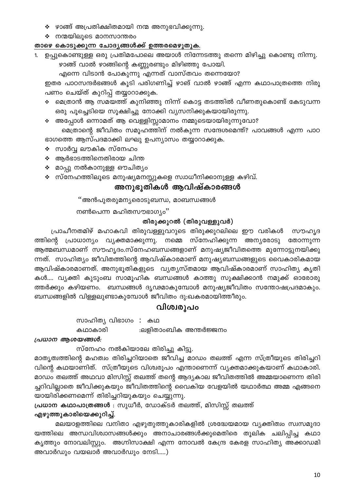- ❖ ഴാങ്ങ് അപ്രതിക്ഷിതമായി നന്മ അനുഭവിക്കുന്നു.
- $\cdot$  നന്മയിലുടെ മാനസാന്തരം

#### താഴെ കൊടുക്കുന്ന ചോദൃങ്ങൾക്ക് ഉത്തരമെഴുതുക.

- ഉപ്പുകൊണ്ടുള്ള ഒരു പ്രതിമപോലെ അയാൾ നിന്നേടത്തു തന്നെ മിഴിച്ചു കൊണ്ടു നിന്നു. ഴാങ്ങ് വാൽ ഴാങ്ങിന്റെ കണ്ണുരണ്ടും മിഴിഞ്ഞു പോയി.
	- എന്നെ വിടാൻ പോകുന്നു എന്നത് വാസ്തവം തന്നെയോ?

ഇതര പാഠസന്ദർഭങ്ങൾ കൂടി പരിഗണിച്ച് ഴാങ് വാൽ ഴാങ്ങ് എന്ന കഥാപാത്രത്തെ നിരൂ പണം ചെയ്ത് കുറിപ്പ് തയ്യാറാക്കുക.

- $\bullet$  മെത്രാൻ ആ സമയത്ത് കുനിഞ്ഞു നിന്ന് കൊട്ട തടത്തിൽ വീണതുകൊണ്ട് കേടുവന്ന ഒരു പൂച്ചെടിയെ സൂക്ഷിച്ചു നോക്കി വ്യസനിക്കുകയായിരുന്നു.
- ∻ അപ്പോൾ ഒന്നാമത് ആ വെള്ളിസ്സാമാനം നമ്മുടെയായിരുന്നുവോ?

മെത്രാന്റെ ജീവിതം സമൂഹത്തിന് നൽകുന്ന സന്ദേശമെന്ത്? പാവങ്ങൾ എന്ന പാഠ ഭാഗത്തെ ആസ്പദമാക്കി ലഘു ഉപന്യാസം തയ്യാറാക്കുക.

- ❖ സാർവ്വ ലൗകിക സ്നേഹം
- ആർഭാടത്തിനെതിരായ ചിന്ത
- ❖ മാപ്പു നൽകാനുള്ള ഔചിത്യം
- ❖ സ്നേഹത്തിലൂടെ മനുഷ്യമനസ്സുകളെ സ്വാധീനിക്കാനുള്ള കഴിവ്.

### അനുഭൂതികൾ ആവിഷ്കാരങ്ങൾ

''അൻപുതരുമന്യരൊടുബന്ധ, മാബന്ധങ്ങൾ

നൺപെന്ന മഹിതസൗഭാഗ്യം''

#### തിരുക്കുറൽ (തിരുവള്ളുവർ)

പ്രാചീനതമിഴ് മഹാകവി തിരുവള്ളുവറുടെ തിരുക്കുറലിലെ ഈ വരികൾ സൗഹൃദ ത്തിന്റെ പ്രാധാന്യം വ്യക്തമാക്കുന്നു. നമ്മെ സ്നേഹിക്കുന്ന അന്യരോടു തോന്നുന്ന ആത്മബന്ധമാണ് സൗഹൃദം.സ്നേഹബന്ധങ്ങളാണ് മനുഷ്യജീവിതത്തെ മുന്നോട്ടുനയിക്കു ന്നത്. സാഹിത്യം ജീവിതത്തിന്റെ ആവിഷ്കാരമാണ് മനുഷ്യബന്ധങ്ങളുടെ വൈകാരികമായ ആവിഷ്കാരമാണത്. അനുഭൂതികളുടെ വ്യത്യസ്തമായ ആവിഷ്കാരമാണ് സാഹിത്യ കൃതി കൾ.... വ്യക്തി കുടുംബ സാമൂഹിക ബന്ധങ്ങൾ കാത്തു സൂക്ഷിക്കാൻ നമുക്ക് ഓരോരു ത്തർക്കും കഴിയണം. ബന്ധങ്ങൾ ദൃഢമാകുമ്പോൾ മനുഷ്യജീവിതം സന്തോഷപ്രദമാകും. ബന്ധങ്ങളിൽ വിള്ളലുണ്ടാകുമ്പോൾ ജീവിതം ദു:ഖകരമായിത്തീരും.

### വിശ്വരുപം

സാഹിത്യ വിഭാഗം : കഥ കഥാകാരി

:ലളിതാംബിക അന്തർജ്ജനം

#### പ്രധാന ആശയങ്ങൾ:

സ്നേഹം നൽകിയാലേ തിരിച്ചു കിട്ടൂ.

മാതൃത്വത്തിന്റെ മഹത്വം തിരിച്ചറിയാതെ ജീവിച്ച മാഡം തലത്ത് എന്ന സ്ത്രീയുടെ തിരിച്ചറി വിന്റെ കഥയാണിത്. സ്ത്രീയുടെ വിശ്വരൂപം എന്താണെന്ന് വ്യക്തമാക്കുകയാണ് കഥാകാരി. മാഡം തലത്ത് അഥവാ മിസിസ്സ് തലത്ത് തന്റെ ആദ്യകാല ജീവിതത്തിൽ അമ്മയാണെന്ന തിരി ച്ചറിവില്ലാതെ ജീവിക്കുകയും ജീവിതത്തിന്റെ വൈകിയ വേളയിൽ യഥാർത്ഥ അമ്മ എങ്ങനെ യായിരിക്കണമെന്ന് തിരിച്ചറിയുകയും ചെയ്യുന്നു.

**പ്രധാന കഥാപാത്രങ്ങൾ** : സുധീർ, ഡോക്ടർ തലത്ത്, മിസിസ്സ് തലത്ത്

#### എഴുത്തുകാരിയെക്കുറിച്ച്.

മലയാളത്തിലെ വനിതാ എഴുതുത്തുകാരികളിൽ ശ്രദ്ധേയമായ വ്യക്തിത്വം സ്വസമുദാ യത്തിലെ അന്ധവിശ്വാസങ്ങൾക്കും അനാചാരങ്ങൾക്കുമെതിരെ തൂലിക ചലിപ്പിച്ച കഥാ കൃത്തും നോവലിസ്റ്റും. അഗ്നിസാക്ഷി എന്ന നോവൽ കേന്ദ്ര കേരള സാഹിത്യ അക്കാഡമി അവാർഡും വയലാർ അവാർഡും നേടി.....)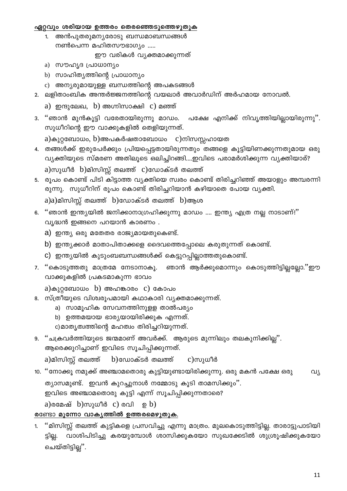#### ഏറ്റവും ശരിയായ ഉത്തരം തെരഞ്ഞെടുത്തെഴുതുക

1. അൻപുതരുമനൃരോടു ബന്ധമാബന്ധങ്ങൾ നൺപെന്ന മഹിതസൗഭാഗ്യം .....

ഈ വരികൾ വ്യക്തമാക്കുന്നത്

- a) സൗഹൃദ പ്രാധാന്യ<u>ം</u>
- b) സാഹിത്യത്തിന്റെ പ്രാധാന്യം
- c) അന്യരുമായുള്ള ബന്ധത്തിന്റെ അപകടങ്ങൾ
- 2. ലളിതാംബിക അന്തർജ്ജനത്തിന്റെ വയലാർ അവാർഡിന് അർഹമായ നോവൽ.
	- a) ഇന്ദുലേഖ, b) അഗ്നിസാക്ഷി c) മഞ്ഞ്
- 3. "ഞാൻ മുൻകൂട്ടി വരേതായിരുന്നു മാഡം. പക്ഷേ എനിക്ക് നിവൃത്തിയില്ലായിരുന്നു". സുധീറിന്റെ ഈ വാക്കുകളിൽ തെളിയുന്നത്.

 $a)$ കുറ്റബോധം,  $b)$ അപകർഷതാബോധം  $c)$ നിസസ്സഹായത

- 4. തങ്ങൾക്ക് ഇരുപേർക്കും പ്രിയപ്പെട്ടതായിരുന്നതും തങ്ങളെ കൂട്ടിയിണക്കുന്നതുമായ ഒരു വ്യക്തിയുടെ സ്മരണ അതിലൂടെ ഒലിച്ചിറങ്ങി....ഇവിടെ പരാമർശിക്കുന്ന വ്യക്തിയാര്? a)സുധീർ b)മിസിസ്സ് തലത്ത് c)ഡോക്ടർ തലത്ത്
- 5. രൂപം കൊണ്ട് പിടി കിട്ടാത്ത വ്യക്തിയെ സ്വരം കൊണ്ട് തിരിച്ചറിഞ്ഞ് അയാളും അമ്പരന്നി രുന്നു. സുധീറിന് രൂപം കൊണ്ട് തിരിച്ചറിയാൻ കഴിയാതെ പോയ വ്യക്തി.

 $a$ ) $a$ )മിസിസ്സ് തലത്ത് b)ഡോക്ടർ തലത്ത് b)ആശ

- 6. ''ഞാൻ ഇന്ത്യയിൽ ജനിക്കാനാഗ്രഹിക്കുന്നു മാഡം .... ഇന്ത്യ എത്ര നല്ല നാടാണ്!'' വ്യദ്ധൻ ഇങ്ങനെ പറയാൻ കാരണം .
	- a) ഇന്ത്യ ഒരു മതേതര രാജ്യമായതുകെണ്ട്.
	- b) ഇന്ത്യക്കാർ മാതാപിതാക്കളെ ദൈവത്തെപ്പോലെ കരുതുന്നത് കൊണ്ട്.
	- $c$ ) ഇന്ത്യയിൽ കുടുംബബന്ധങ്ങൾക്ക് കെട്ടുറപ്പില്ലാത്തതുകൊണ്ട്.
- ഞാൻ ആർക്കുമൊന്നും കൊടുത്തിട്ടില്ലല്ലോ.''ഈ വാക്കുകളിൽ പ്രകടമാകുന്ന ഭാവം

 $a)$ കുറ്റബോധം  $b)$  അഹങ്കാരം  $c)$  കോപം

- 8. സ്ത്രീയുടെ വിശ്വരൂപമായി കഥാകാരി വ്യക്തമാക്കുന്നത്.
	- a) സാമൂഹിക സേവനത്തിനുളള താൽപര്യം
	- b) ഉത്തമയായ ഭാര്യയായിരിക്കുക എന്നത്.
	- c) മാതൃത്വത്തിന്റെ മഹത്വം തിരിച്ചറിയുന്നത്.
- 9. "ചക്രവർത്തിയുടെ ജന്മമാണ് അവർക്ക്. ആരുടെ മുന്നിലും തലകുനിക്കില്ല്'. ആരെക്കുറിച്ചാണ് ഇവിടെ സൂചിപ്പിക്കുന്നത്.

a)മിസിസ്റ്റ് തലത്ത് b)ഡോക്ടർ തലത്ത് c)സുധീർ

10. ''നോക്കൂ നമുക്ക് അഞ്ചാമതൊരു കുട്ടിയുണ്ടായിരിക്കുന്നു. ഒരു മകൻ പക്ഷേ ഒരു വൃ ത്യാസമുണ്ട്. ഇവൻ കുറച്ചുനാൾ നമ്മോടു കൂടി താമസിക്കും". ഇവിടെ അഞ്ചാമതൊരു കുട്ടി എന്ന് സൂചിപ്പിക്കുന്നതാരെ? a) രമേഷ് b)സുധീർ c) രവി ഉ $\mathbf b$ )

#### രണ്ടോ മൂന്നോ വാകൃത്തിൽ ഉത്തരമെഴുതുക.

''മിസിസ്റ്റ് തലത്ത് കുട്ടികളെ പ്രസവിച്ചു എന്നു മാത്രം. മുലകൊടുത്തിട്ടില്ല. താരാട്ടുപാടിയി 1. ਤ੍ਰੀਫ਼੍ਰੀ. വാശിപിടിച്ചു കരയുമ്പോൾ ശാസിക്കുകയോ സുഖക്കേടിൽ ശുശ്രൂഷിക്കുകയോ ചെയ്തിട്ടില്ല്'.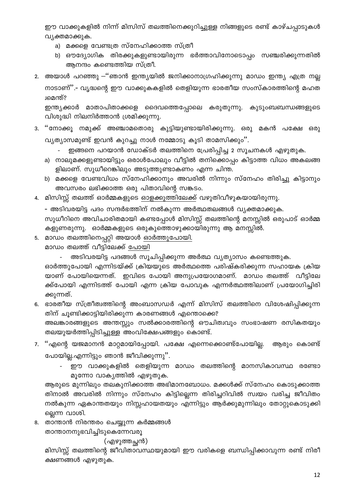ഈ വാക്കുകളിൽ നിന്ന് മിസിസ് തലത്തിനെക്കുറിച്ചുള്ള നിങ്ങളുടെ രണ്ട് കാഴ്ചപ്പാടുകൾ വ്യക്തമാക്കുക.

- a) മക്കളെ വേണ്ടത്ര സ്നേഹിക്കാത്ത സ്ത്രീ
- b) ഔദ്യോഗിക തിരക്കുകളുണ്ടായിരുന്ന ഭർത്താവിനോടൊപ്പം സഞ്ചരിക്കുന്നതിൽ ആനന്ദം കണ്ടെത്തിയ സ്ത്രീ.
- 2. അയാൾ പറഞ്ഞു -''ഞാൻ ഇന്ത്യയിൽ ജനിക്കാനാഗ്രഹിക്കുന്നു മാഡം ഇന്ത്യ എത്ര നല്ല നാടാണ്''.- വൃദ്ധന്റെ ഈ വാക്കുകകളിൽ തെളിയുന്ന ഭാരതീയ സംസ്കാരത്തിന്റെ മഹത **പ്രമന്ത്?**

ഇന്ത്യക്കാർ മാതാപിതാക്കളെ ദൈവത്തെപ്പോലെ കരുതുന്നു. കുടുംബബന്ധങ്ങളുടെ വിശുദ്ധി നിലനിർത്താൻ ശ്രമിക്കുന്നു.

- 3. ''നോക്കൂ നമുക്ക് അഞ്ചാമതൊരു കുട്ടിയുണ്ടായിരിക്കുന്നു. ഒരു മകൻ പക്ഷേ ഒരു വ്യത്യാസമുണ്ട് ഇവൻ കുറച്ചു നാൾ നമ്മോടു കൂടി താമസിക്കും".
	- ഇങ്ങനെ പറയാൻ ഡോക്ടർ തലത്തിനെ പ്രേരിപ്പിച്ച 2 സൂചനകൾ എഴുതുക.
	- a) നാലുമക്കളുണ്ടായിട്ടും ഒരാൾപോലും വീട്ടിൽ തനിക്കൊപ്പം കിട്ടാത്ത വിധം അകലങ്ങ ളിലാണ്. സുധീറെങ്കിലും അടുത്തുണ്ടാകണം എന്ന ചിന്ത.
	- b) മക്കളെ വേണ്ടവിധം സ്നേഹിക്കാനും അവരിൽ നിന്നും സ്നേഹം തിരിച്ചു കിട്ടാനും അവസരം ലഭിക്കാത്ത ഒരു പിതാവിന്റെ സങ്കടം.
- 4. മിസിസ്സ് തലത്ത് ഓർമ്മകളുടെ <u>ഓളക്കുത്തിലേക്ക്</u> വഴുതിവീഴുകയായിരുന്നു.

- അടിവരയിട്ട പദം സന്ദർഭത്തിന് നൽകുന്ന അർത്ഥതലങ്ങൾ വ്യക്തമാക്കുക.

സുധീറിനെ അവിചാരിതമായി കണ്ടപ്പോൾ മിസിസ്സ് തലത്തിന്റെ മനസ്സിൽ ഒരുപാട് ഓർമ്മ കളുണരുന്നു. ഓർമ്മകളുടെ ഒരുകുത്തൊഴുക്കായിരുന്നു ആ മനസ്സിൽ.

5. മാഡം തലത്തിനെപ്പറ്റി അയാൾ <u>ഓർത്തുപോയി.</u>

മാഡം തലത്ത് വീട്ടിലേക്ക് പോയി

അടിവരയിട്ട പദങ്ങൾ സൂചിപ്പിക്കുന്ന അർത്ഥ വ്യത്യാസം കണ്ടെത്തുക.

ഓർത്തുപോയി എന്നിടയ്ക്ക് ക്രിയയുടെ അർത്ഥത്തെ പരിഷ്കരിക്കുന്ന സഹായക ക്രിയ യാണ് പോയിയെന്നത്. ഇവിടെ പോയി അനുപ്രയോഗമാണ്. മാഡം തലത്ത് വീട്ടിലേ ക്ക്പോയി എന്നിടത്ത് പോയി എന്ന ക്രിയ പോവുക എന്നർത്ഥത്തിലാണ് പ്രയോഗിച്ചിരി ക്കുന്നത്.

6. ഭാരതീയ സ്ത്രീത്വത്തിന്റെ അംബാസഡർ എന്ന് മിസിസ് തലത്തിനെ വിശേഷിപ്പിക്കുന്ന തിന് ചൂണ്ടിക്കാട്ടിയിരിക്കുന്ന കാരണങ്ങൾ എന്തൊക്കെ? അലങ്കാരങ്ങളുടെ അന്തസ്സും സൽക്കാരത്തിന്റെ ഔചിത്വവും സംഭാഷണ രസികതയും

തലയുയർത്തിപ്പിടിച്ചുള്ള അംവിക്ഷേപങ്ങളും കൊണ്ട്.

- 7. ''എന്റെ യജമാനൻ മാറ്റമായിപ്പോയി. പക്ഷേ എന്നെക്കൊണ്ട്പോയില്ല. ആരും കൊണ്ട് പോയില്ല.എന്നിട്ടും ഞാൻ ജീവിക്കുന്നു".
	- ഈ വാക്കുകളിൽ തെളിയുന്ന മാഡം തലത്തിന്റെ മാനസികാവസ്ഥ രണ്ടോ മുന്നോ വാകൃത്തിൽ എഴുതുക.

ആരുടെ മുന്നിലും തലകുനിക്കാത്ത അഭിമാനബോധം. മക്കൾക്ക് സ്നേഹം കൊടുക്കാത്ത തിനാൽ അവരിൽ നിന്നും സ്നേഹം കിട്ടില്ലെന്ന തിരിച്ചറിവിൽ സ്വയം വരിച്ച ജീവിതം നൽകുന്ന ഏകാന്തതയും നിസ്സഹായതയും എന്നിട്ടും ആർക്കുമുന്നിലും തോറ്റുകൊടുക്കി ല്ലെന്ന വാശി.

8. താന്താൻ നിരന്തരം ചെയ്യുന്ന കർമ്മങ്ങൾ താന്താനനുഭവിച്ചിടുകെന്നേവരൂ

(എഴുത്തച്ഛൻ)

മിസിസ്സ് തലത്തിന്റെ ജീവിതാവസ്ഥയുമായി ഈ വരികളെ ബന്ധിപ്പിക്കാവുന്ന രണ്ട് നിരീ ക്ഷണങ്ങൾ എഴുതുക.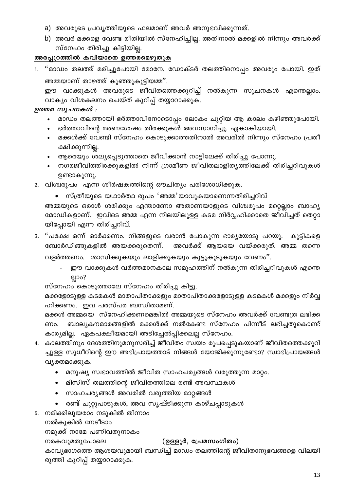a) അവരുടെ പ്രവൃത്തിയുടെ ഫലമാണ് അവർ അനുഭവിക്കുന്നത്.

അരപ്പുറത്തിൽ കവിയാതെ ഉത്തരമെഴുതുക

അമ്മയാണ് താഴത്ത് കുഞ്ഞുകുട്ടിയമ്മ്''.

ഉത്തര സൂചനകൾ :

ക്ഷിക്കുന്നില്ല.

ഉണ്ടാകുന്നു.

യിപ്പോയി എന്ന തിരിച്ചറിവ്.

ല്ലാം?

ണം.

വ്യക്തമാക്കുക.

5. നമിക്കിലുയരാം നടുകിൽ തിന്നാം

നമുക്ക് നാമേ പണിവതുനാകം

നൽകുകിൽ നേടീടാം

വാക്യം വിശകലനം ചെയ്ത് കുറിപ്പ് തയ്യാറാക്കുക.

2. വിശ്വരൂപം എന്ന ശീർഷകത്തിന്റെ ഔചിത്യം പരിശോധിക്കുക.

സ്നേഹം കൊടുത്താലേ സ്നേഹം തിരിച്ചു കിട്ടൂ.

കാര്യമില്ല. ഏകപക്ഷീയമായി അടിച്ചേൽപ്പിക്കലല്ല സ്നേഹം.

 $\bullet$  മിസിസ് തലത്തിന്റെ ജീവിതത്തിലെ രണ്ട് അവസ്ഥകൾ

• സാഹചര്യങ്ങൾ അവരിൽ വരുത്തിയ മാറ്റങ്ങൾ

ഹിക്കണം. ഇവ പരസ്പര ബന്ധിതാമണ്.

b) അവർ മക്കളെ വേണ്ട രീതിയിൽ സ്നേഹിച്ചില്ല. അതിനാൽ മക്കളിൽ നിന്നും അവർക്ക് സ്നേഹം തിരിച്ചു കിട്ടിയില്ല.

1. ''മാഡം തലത്ത് മരിച്ചുപോയി മോനേ, ഡോക്ടർ തലത്തിനൊപ്പം അവരും പോയി. ഇത്

ഈ വാക്കുകൾ അവരുടെ ജീവിതത്തെക്കുറിച്ച് നൽകുന്ന സൂചനകൾ എന്തെല്ലാം.

• മാഡം തലത്തായി ഭർത്താവിനോടൊപ്പം ലോകം ചുറ്റിയ ആ കാലം കഴിഞ്ഞുപോയി.

• മക്കൾക്ക് വേണ്ടി സ്നേഹം കൊടുക്കാത്തതിനാൽ അവരിൽ നിന്നും സ്നേഹം പ്രതീ

• നഗരജീവിത്തിരക്കുകളിൽ നിന്ന് ഗ്രാമീണ ജീവിതലാളിത്യത്തിലേക്ക് തിരിച്ചറിവുകൾ

അമ്മയുടെ ഒരാൾ ശരിക്കും എന്താണോ അതാണയാളുടെ വിശ്വരൂപം മറ്റെല്ലാം ബാഹ്യ മോഡികളാണ്. ഇവിടെ അമ്മ എന്ന നിലയിലുള്ള കടമ നിർവ്വഹിക്കാതെ ജീവിച്ചത് തെറ്റാ

3. ''പക്ഷേ ഒന്ന് ഓർക്കണം. നിങ്ങളുടെ വരാൻ പോകുന്ന ഭാര്യയോടു പറയൂ. കുട്ടികളെ ബോർഡിങ്ങുകളിൽ അയക്കരുതെന്ന്. അവർക്ക് ആയയെ വയ്ക്കരുത്. അമ്മ തന്നെ

മക്കളോടുള്ള കടമകൾ മാതാപിതാക്കളും മാതാപിതാക്കളോടുള്ള കടമകൾ മക്കളും നിർവ്വ

മക്കൾ അമ്മയെ സ്നേഹിക്കണമെങ്കിൽ അമ്മയുടെ സ്നേഹം അവർക്ക് വേണ്ടത്ര ലഭിക്ക

4. കാലത്തിനും ദേശത്തിനുമനുസരിച്ച് ജീവിതം സ്വയം രൂപപ്പെടുകയാണ് ജീവിതത്തെക്കുറി ച്ചുള്ള സുധീറിന്റെ ഈ അഭിപ്രായത്താട് നിങ്ങൾ യോജിക്കുന്നുണ്ടോ? സ്വാഭിപ്രായങ്ങൾ

ഈ വാക്കുകൾ വർത്തമാനകാല സമൂഹത്തിന് നൽകുന്ന തിരിച്ചറിവുകൾ എന്തെ

ബാല്യകൗമാരങ്ങളിൽ മക്കൾക്ക് നൽകേണ്ട സ്നേഹം പിന്നീട് ലഭിച്ചതുകൊണ്ട്

• ഭർത്താവിന്റെ മരണശേഷം തിരക്കുകൾ അവസാനിച്ചു. ഏകാകിയായി.

ആരെയും ശല്യപ്പെടുത്താതെ ജീവിക്കാൻ നാട്ടിലേക്ക് തിരിച്ചു പോന്നു.

• സ്ത്രീയുടെ യഥാർത്ഥ രൂപം 'അമ്മ'യാവുകയാണെന്നതിരിച്ചറിവ്

വളർത്തണം. ശാസിക്കുകയും ലാളിക്കുകയും കൂട്ടുകൂടുകയും വേണം''.

- 
- 
- 

നരകവുമതുപോലെ (ഉള്ളൂർ, പ്രേമസംഗിതം) കാവ്യഭാഗത്തെ ആശയവുമായി ബന്ധിച്ച് മാഡം തലത്തിന്റെ ജീവിതാനുഭവങ്ങളെ വിലയി രുത്തി കുറിപ്പ് തയ്യാറാക്കുക.

• മനുഷ്യ സ്വഭാവത്തിൽ ജീവിത സാഹചര്യങ്ങൾ വരുത്തുന്ന മാറ്റം.

രണ്ട് ചുറ്റുപാടുകൾ, അവ സൃഷ്ടിക്കുന്ന കാഴ്ചപ്പാടുകൾ

13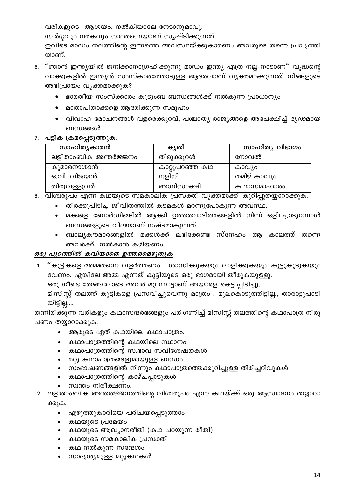വരികളുടെ ആശയം, നൽകിയാലേ നേടാനുമാവു.

സ്വർഗ്ഗവും നരകവും നാംതന്നെയാണ് സൃഷ്ടിക്കുന്നത്.

ഇവിടെ മാഡം തലത്തിന്റെ ഇന്നത്തെ അവസ്ഥയ്ക്കുകാരണം അവരുടെ തന്നെ പ്രവൃത്തി യാണ്.

- 6. "ഞാൻ ഇന്ത്യയിൽ ജനിക്കാനാഗ്രഹിക്കുന്നു മാഡം ഇന്ത്യ എത്ര നല്ല നാടാണ്" വൃദ്ധന്റെ വാക്കുകളിൽ ഇന്ത്യൻ സംസ്കാരത്തോടുള്ള ആദരവാണ് വ്യക്തമാക്കുന്നത്. നിങ്ങളുടെ അഭിപ്രായം വ്യക്തമാക്കുക?
	- ഭാരതീയ സംസ്ക്കാരം കുടുംബ ബന്ധങ്ങൾക്ക് നൽകുന്ന പ്രാധാന്യം
	- മാതാപിതാക്കളെ ആദരിക്കുന്ന സമൂഹം
	- വിവാഹ മോചനങ്ങൾ വളരെക്കുറവ്, പശ്ചാത്യ രാജ്യങ്ങളെ അപേക്ഷിച്ച് ദൃഢമായ ബന്ധങ്ങൾ
- 7. പട്ടിക ക്രമപ്പെടുത്തുക.

| സാഹിതൃകാരൻ           | കൃതി           | സാഹിത്യ വിഭാഗം |
|----------------------|----------------|----------------|
| ലളിതാംബിക അന്തർജ്ജനം | തിരുക്കുറൾ     | നോവൽ           |
| കുമാരനാശാൻ           | കാറ്റുപറഞ്ഞ കഥ | കാവ്യം         |
| ഒ.വി. വിജയൻ          | നളിനി          | തമിഴ് കാവ്യം   |
| തിരുവള്ളുവർ          | അഗ്നിസാക്ഷി    | കഥാസമാഹാരം     |

- 8. വിശ്വരൂപം എന്ന കഥയുടെ സമകാലിക പ്രസക്തി വ്യക്തമാക്കി കുറിപ്പുതയ്യാറാക്കുക.
	- തിരക്കുപിടിച്ച ജീവിതത്തിൽ കടമകൾ മറന്നുപോകുന്ന അവസ്ഥ.
	- മക്കളെ ബോർഡിങ്ങിൽ ആക്കി ഉത്തരവാദിത്തങ്ങളിൽ നിന്ന് ഒളിച്ചോടുമ്പോൾ ബന്ധങ്ങളുടെ വിലയാണ് നഷ്ടമാകുന്നത്.
	- ബാല്യകൗമാരങ്ങളിൽ മക്കൾക്ക് ലഭിക്കേണ്ട സ്നേഹം ആ കാലത്ത് തന്നെ അവർക്ക് നൽകാൻ കഴിയണം.

#### ഒരു പുറത്തിൽ കവിയാതെ ഉത്തരമെഴുതുക

1. "കുട്ടികളെ അമ്മതന്നെ വളർത്തണം. ശാസിക്കുകയും ലാളിക്കുകയും കൂട്ടുകൂടുകയും വേണം. എങ്കിലേ അമ്മ എന്നത് കുട്ടിയുടെ ഒരു ഭാഗമായി തീരുകയുള്ളൂ. ഒരു നീണ്ട തേങ്ങലോടെ അവർ മുന്നോട്ടാണ് അയാളെ കെട്ടിപ്പിടിച്ചു. മിസിസ്സ് തലത്ത് കുട്ടികളെ പ്രസവിച്ചുവെന്നു മാത്രം . മുലകൊടുത്തിട്ടില്ല., താരാട്ടുപാടി യിട്ടില്ല....

തന്നിരിക്കുന്ന വരികളും കഥാസന്ദർഭങ്ങളും പരിഗണിച്ച് മിസിസ്സ് തലത്തിന്റെ കഥാപാത്ര നിരൂ പണം തയ്യാറാക്കുക.

- ആരുടെ ഏത് കഥയിലെ കഥാപാത്രം.
- കഥാപാത്രത്തിന്റെ കഥയിലെ സ്ഥാനം
- കഥാപാത്രത്തിന്റെ സ്വഭാവ സവിശേഷതകൾ
- മറ്റു കഥാപാത്രങ്ങളുമായുള്ള ബന്ധം
- സംഭാഷണങ്ങളിൽ നിന്നും കഥാപാത്രത്തെക്കുറിച്ചുള്ള തിരിച്ചറിവുകൾ
- കഥാപാത്രത്തിന്റെ കാഴ്ചപ്പാടുകൾ  $\bullet$
- സ്വന്തം നിരീക്ഷണം.
- 2. ലളിതാംബിക അന്തർജ്ജനത്തിന്റെ വിശ്വരൂപം എന്ന കഥയ്ക്ക് ഒരു ആസ്വാദനം തയ്യാറാ ക്കുക.
	- എഴുത്തുകാരിയെ പരിചയപ്പെടുത്താം
	- കഥയുടെ പ്രമേയം
	- കഥയുടെ ആഖ്യാനരീതി (കഥ പറയുന്ന രീതി)
	- കഥയുടെ സമകാലിക പ്രസക്തി
	- കഥ നൽകുന്ന സന്ദേശം
	- സാദൃശ്യമുള്ള മറ്റുകഥകൾ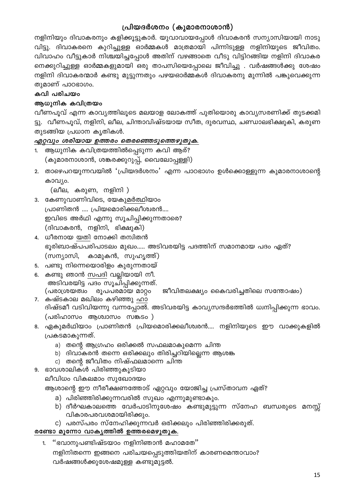# പ്രിയദർശനം (കുമാരനാശാൻ)

നളിനിയും ദിവാകരനും കളിക്കൂട്ടുകാർ. യുവാവായപ്പോൾ ദിവാകരൻ സന്യാസിയായി നാടു വിട്ടു. ദിവാകരനെ കുറിച്ചുള്ള ഓർമ്മകൾ മാത്രമായി പിന്നിടുള്ള നളിനിയുടെ ജീവിതം. വിവാഹം വീട്ടുകാർ നിശ്ചയിച്ചപ്പോൾ അതിന് വഴങ്ങാതെ വീടു വിട്ടിറങ്ങിയ നളിനി ദിവാകര നെക്കുറിച്ചുള്ള ഓർമ്മകളുമായി ഒരു താപസിയെപ്പോലെ ജീവിച്ചു . വർഷങ്ങൾക്കു ശേഷം നളിനി ദിവാകരന്മാർ കണ്ടു മുട്ടുന്നതും പഴയഓർമ്മകൾ ദിവാകരനു മുന്നിൽ പങ്കുവെക്കുന്ന തുമാണ് പാഠഭാഗം.

#### കവി പരിചയം

#### ആധുനിക കവിത്രയം

വീണപൂവ് എന്ന കാവ്യത്തിലൂടെ മലയാള ലോകത്ത് പുതിയൊരു കാവ്യസരണിക്ക് തുടക്കമി ട്ടു. വീണപൂവ്, നളിനി, ലീല, ചിന്താവിഷ്ടയായ സീത, ദുരവസ്ഥ, ചണ്ഡാലഭിക്ഷുകി, കരുണ തുടങ്ങിയ പ്രധാന കൃതികൾ.

#### എറ്റവും ശരിയായ ഉത്തരം തെരഞ്ഞെടുത്തെഴുതുക.

- ആധുനിക കവിത്രയത്തിൽപ്പെടുന്ന കവി ആര്? (കുമാരനാശാൻ, ശങ്കരക്കുറുപ്പ്, വൈലോപ്പള്ളി)
- 2. താഴെപറയുന്നവയിൽ 'പ്രിയദർശനം' എന്ന പാഠഭാഗം ഉൾക്കൊള്ളുന്ന കുമാരനാശാന്റെ കാവ്യം.

(ലീല, കരുണ, നളിനി )

- 3. കേണുവാണിവിടെ, യേകു<u>മർത്ഥി</u>യാം പ്രാണിതൻ .... പ്രിയമൊരിക്കലീശ്വരൻ.... ഇവിടെ അർഥി എന്നു സൂചിപ്പിക്കുന്നതാരെ? (ദിവാകരൻ, നളിനി, ഭിക്ഷുകി)
- 4. ധീരനായ യതി നോക്കി തന്വിതൻ ഭൂരിബാഷ്പപരിപാടലം മുഖം..... അടിവരയിട്ട പദത്തിന് സമാനമായ പദം ഏത്? കാമുകൻ, സുഹൃത്ത്) (സന്യാസി,
- 5. പണ്ടു നിന്നെയൊരിളം കുരുന്നതായ്
- 6. കണ്ടു ഞാൻ സപദി വല്ലിയായി നീ. അടിവരയിട്ട പദം സൂചിപ്പിക്കുന്നത്. (പരാശ്രയത്വം രൂപപരമായ മാറ്റം
- ജീവിതലക്ഷ്യം കൈവരിച്ചതിലെ സന്തോഷം) 7. കഷ്ടകാല മഖിലം കഴിഞ്ഞു ഹാ ദിഷ്ടമീ വടിവിയന്നു വന്നപ്പോൽ. അടിവരയിട്ട കാവ്യസന്ദർഭത്തിൽ ധ്വനിപ്പിക്കുന്ന ഭാവം. (പരിഹാസം ആശ്വാസം സങ്കടം )
- 8. ഏകുമർഥിയാം പ്രാണിതൻ പ്രിയമൊരിക്കലീശ്വരൻ.... നളിനിയുടെ ഈ വാക്കുകളിൽ പ്രകടമാകുന്നത്.
	- a) തന്റെ ആഗ്രഹം ഒരിക്കൽ സഫലമാകുമെന്ന ചിന്ത
	- b) ദിവാകരൻ തന്നെ ഒരിക്കലും തിരിച്ചറിയില്ലെന്ന ആശങ്ക
	- c) തന്റെ ജീവിതം നിഷ്ഫലമാന്നെ ചിന്ത
- 9. ഭാവശാലിക്ൾ പിരിഞ്ഞുകൂടിയാ

ലീവിധം വികലമാം സുഖോദയം

ആശാന്റെ ഈ നീരീക്ഷണത്തോട് ഏറ്റവും യോജിച്ച പ്രസ്താവന ഏത്?

- a) പിരിഞ്ഞിരിക്കുന്നവരിൽ സുഖം എന്നുമുണ്ടാകും.
- b) ദീർഘകാലത്തെ വേർപാടിനുശേഷം കണ്ടുമുട്ടുന്ന സ്നേഹ ബന്ധരുടെ മനസ്സ് വികാരപരവശമായിരിക്കും.
- c) പരസ്പരം സ്നേഹിക്കുന്നവർ ഒരിക്കലും പിരിഞ്ഞിരിക്കരുത്.

#### രണ്ടോ മൂന്നോ വാകൃത്തിൽ ഉത്തരമെഴുതുക.

1. "ഭവാനുപണ്ടിഷ്ടയാം നളിനിഞാൻ മഹാമതേ" നളിനിതന്നെ ഇങ്ങനെ പരിചയപ്പെടുത്തിയതിന് കാരണമെന്താവാം? വർഷങ്ങൾക്കുശേഷമുള്ള കണ്ടുമുട്ടൽ.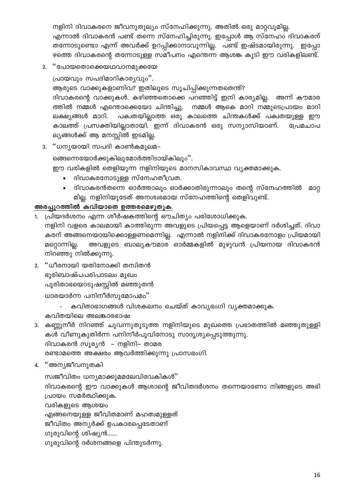നളിനി ദിവാകരനെ ജീവനുതുല്യം സ്നേഹിക്കുന്നു. അതിൽ ഒരു മാറ്റവുമില്ല. എന്നാൽ ദിവാകരൻ പണ്ട് തന്നെ സ്നേഹിച്ചിരുന്നു. ഇപ്പോൾ ആ സ്നേഹം ദിവാകരന് തന്നോടുണ്ടൊ എന്ന് അവർക്ക് ഉറപ്പിക്കാനാവുന്നില്ല. പണ്ട് ഇഷ്ടമായിരുന്നു. ഇപ്പോ ഴത്തെ ദിവാകരന്റെ തന്നോടുള്ള സമീപനം എന്തെന്ന ആശങ്ക കൂടി ഈ വരികളിലണ്ട്.

2. "പോയതൊക്കെയഥവാനമുക്കയേ

പ്രായവും സപദിമാറികാര്യവും''. ആരുടെ വാക്കുകളാണിവ? ഇതിലൂടെ സൂചിപ്പിക്കുന്നതതെന്ത്? ദിവാകരന്റെ വാക്കുകൾ. കഴിഞ്ഞതൊക്കെ പറഞ്ഞിട്ട് ഇനി കാര്യമില്ല. അന്ന് കൗമാര ത്തിൽ നമ്മൾ എന്തൊക്കെയോ ചിന്തിച്ചു. നമ്മൾ ആകെ മാറി നമ്മുടെപ്രായം മാറി ലക്ഷ്യങ്ങൾ മാറി. പക്വതയില്ലാത്ത ഒരു കാലത്തെ ചിന്തകൾക്ക് പക്വതയുള്ള ഈ കാലത്ത് പ്രസക്തിയില്ലാതായി. ഇന്ന് ദിവാകരൻ ഒരു സന്യാസിയാണ്. പ്രേമചാപ ല്യങ്ങൾക്ക് ആ മനസ്സിൽ ഇടമില്ല.

3. "ധന്യയായി സപദി കാൺകമുലമ–

ങ്ങെന്നെയോർക്കുകിലുമോർത്തിടായ്കിലും''.

ഈ വരികളിൽ തെളിയുന്ന നളിനിയുടെ മാനസികാവസ്ഥ വ്യക്തമാക്കുക.

- ദിവാകരനോടുള്ള സ്നേഹതീവ്രത.
- ദിവാകരൻതന്നെ ഓർത്താലും ഓർക്കാതിരുന്നാലും തന്റെ സ്നേഹത്തിൽ മാറ്റ മില്ല. നളിനിയുടേത് അനശ്വരമായ സ്നേഹത്തിന്റെ തെളിവുണ്ട്.

#### അരപ്പുറത്തിൽ കവിയാതെ ഉത്തരമെഴുതുക.

1. പ്രിയദർശനം എന്ന ശീർഷകത്തിന്റെ ഔചിത്യം പരിശോധിക്കുക.

നളിനി വളരെ കാലമായി കാത്തിരുന്ന അവളുടെ പ്രിയപ്പെട്ട ആളെയാണ് ദർശിച്ചത്. ദിവാ കരന് അങ്ങനെയായിക്കൊള്ളണമെന്നില്ല. എന്നാൽ നളിനിക്ക് ദിവാകരനോളം പ്രിയമായി മറ്റൊന്നില്ല. അവളുടെ ബാല്യകൗമാര ഓർമ്മകളിൽ മുഴുവൻ പ്രിയനായ ദിവാകരൻ നിറഞ്ഞു നിൽക്കുന്നു.

2. "ധീരനായി യതിനോക്കി തന്വിതൻ

ഭൂരിബാഷ്പപരിപാടലം മുഖം

പൂരിതാഭയൊടുഷസ്സിൽ മഞ്ഞുതൻ

ധാരയാർന്ന പനിനീർസുമോപമം''

കവിതാഭാഗങ്ങൾ വിശകലനം ചെയ്ത് കാവ്യഭംഗി വ്യക്തമാക്കുക.

കവിതയിലെ അലങ്കാരഭാഷ

3. കണ്ണുനീർ നിറഞ്ഞ് ചുവന്നുതുടുത്ത നളിനിയുടെ മുഖത്തെ പ്രഭാതത്തിൽ മഞ്ഞുതുള്ളി കൾ വീണുകുതിർന്ന പനിനീർപൂവിനോടു സാദൃശ്യപ്പെടുത്തുന്നു.

ദിവാകരൻ സൂര്യൻ – നളിനി– താമര

രണ്ടാമത്തെ അക്ഷരം ആവർത്തിക്കുന്നു പ്രാസഭംഗി.

4. "അന്യജീവനുതകി

സ്വജീവിതം ധന്യമാക്കുമമലേവിവേകികൾ''

ദിവാകരന്റെ ഈ വാക്കുകൾ ആശാന്റെ ജീവിതദർശനം തന്നെയാണോ നിങ്ങളുടെ അഭി പ്രായം സമർത്ഥിക്കുക.

വരികളുടെ ആശയം

എങ്ങനെയുള്ള ജീവിതമാണ് മഹത്വമുള്ളത്

ജീവിതം അന്യർക്ക് ഉപകാരപ്പെടേതാണ്

ഗുരുവിന്റെ ശിഷ്യൻ......

ഗുരുവിന്റെ ദർശനങ്ങളെ പിന്തുടർന്നു.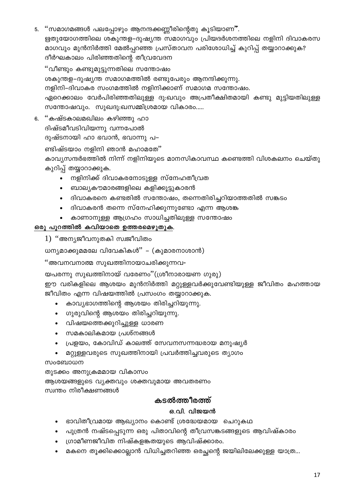5. "സമാഗമങ്ങൾ പലപ്പോഴും ആനന്ദക്കണ്ണീരിന്റെതു കൂടിയാണ്".

ഋതുയോഗത്തിലെ ശകുന്തള–ദുഷ്യന്ത സമാഗവും പ്രിയദർശനത്തിലെ നളിനി ദിവാകരസ മാഗവും മുൻനിർത്തി മേൽപ്പറഞ്ഞ പ്രസ്താവന പരിശോധിച്ച് കുറിപ്പ് തയ്യാറാക്കുക? ദീർഘകാലം പിരിഞ്ഞതിന്റെ തീവ്രവേദന

''വീണ്ടും കണ്ടുമുട്ടുന്നതിലെ സന്തോഷം ശകുന്തള–ദുഷ്യന്ത സമാഗമത്തിൽ രണ്ടുപേരും ആനന്ദിക്കുന്നു. നളിനി–ദിവാകര സംഗമത്തിൽ നളിനിക്കാണ് സമാഗമ സന്തോഷം. ഏറെക്കാലം വേർപിരിഞ്ഞതിലുള്ള ദു:ഖവും അപ്രതീക്ഷിതമായി കണ്ടു മുട്ടിയതിലുള്ള സന്തോഷവും. സുഖദു:ഖസമ്മിശ്രമായ വികാരം.....

ദിഷ്ടമീവടിവിയന്നു വന്നപോൽ

ദുഷ്ടനായി ഹാ ഭവാൻ, ഭവാന്നു പ–

ണ്ടിഷ്ടയാം നളിനി ഞാൻ മഹാമതേ''

കാവ്യസന്ദർഭത്തിൽ നിന്ന് നളിനിയുടെ മാനസികാവസ്ഥ കണ്ടെത്തി വിശകലനം ചെയ്തു കുറിപ്പ് തയ്യാറാക്കുക.

- നളിനിക്ക് ദിവാകരനോടുള്ള സ്നേഹതീവ്രത
- ബാല്യകൗമാരങ്ങളിലെ കളിക്കൂട്ടുകാരൻ
- ദിവാകരനെ കണ്ടതിൽ സന്തോഷം, തന്നെതിരിച്ചറിയാത്തതിൽ സങ്കടം
- ദിവാകരൻ തന്നെ സ്നേഹിക്കുന്നുണ്ടോ എന്ന ആശങ്ക
- കാണാനുള്ള ആഗ്രഹം സാധിച്ചതിലുള്ള സന്തോഷം

# ഒരു പുറത്തിൽ കവിയാതെ ഉത്തരമെഴുതുക.

1) "അന്യജീവനുതകി സ്വജീവിതം

ധന്യമാക്കുമമലേ വിവേകികൾ" – (കുമാരനാശാൻ)

"അവനവനാത്മ സുഖത്തിനായാചരിക്കുന്നവ-

യപരന്നു സുഖത്തിനായ് വരേണം''(ശ്രീനാരായണ ഗുരു)

ഈ വരികളിലെ ആശയം മുൻനിർത്തി മറ്റുള്ളവർക്കുവേണ്ടിയുള്ള ജീവിതം മഹത്തായ ജീവിതം എന്ന വിഷയത്തിൽ പ്രസംഗം തയ്യാറാക്കുക.

- $\bullet$ കാവ്യഭാഗത്തിന്റെ ആശയം തിരിച്ചറിയുന്നു.
- 
- ഗുരുവിന്റെ ആശയം തിരിച്ചറിയുന്നു.
- 
- വിഷയത്തെക്കുറിച്ചുള്ള ധാരണ
- 
- സമകാലികമായ പ്രശ്നങ്ങൾ
- പ്രളയം, കോവിഡ് കാലത്ത് സേവനസന്നദ്ധരായ മനുഷ്യർ
- മറ്റുള്ളവരുടെ സുഖത്തിനായി പ്രവർത്തിച്ചവരുടെ ത്യാഗം

# സംബോധന

തുടക്കം അനുക്രമമായ വികാസം

ആശയങ്ങളുടെ വൃക്തവും ശക്തവുമായ അവതരണം സ്വന്തം നിരീക്ഷണങ്ങൾ

# കടൽത്തീരത്ത്

# ഒ.വി. വിജയൻ

- ഭാവിതീവ്രമായ ആഖ്യാനം കൊണ്ട് ശ്രദ്ധേയമായ ചെറുകഥ
- പുത്രൻ നഷ്ടപ്പെടുന്ന ഒരു പിതാവിന്റെ തീവ്രസങ്കടങ്ങളുടെ ആവിഷ്കാരം
- ഗ്രാമീണജീവിത നിഷ്കളങ്കതയുടെ ആവിഷ്ക്കാരം.
- മകനെ തൂക്കിക്കൊല്ലാൻ വിധിച്ചതറിഞ്ഞ ഒരച്ഛന്റെ ജയിലിലേക്കുള്ള യാത്ര...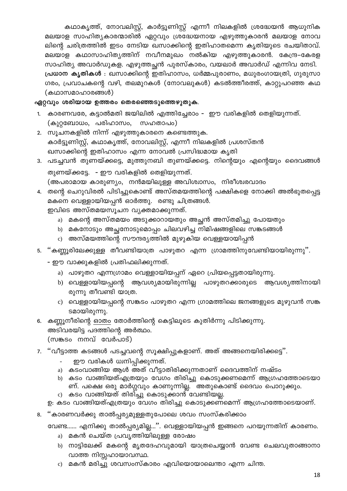കഥാകൃത്ത്, നോവലിസ്റ്റ്, കാർട്ടൂണിസ്റ്റ് എന്നീ നിലകളിൽ ശ്രദ്ധേയൻ ആധുനിക മലയാള സാഹിത്യകാരന്മാരിൽ ഏറ്റവും ശ്രദ്ധേയനായ എഴുത്തുകാരൻ മലയാള നോവ ലിന്റെ ചരിത്രത്തിൽ ഇടം നേടിയ ഖസാക്കിന്റെ ഇതിഹാതമെന്ന കൃതിയുടെ രചയിതാവ്. മലയാള കഥാസാഹിത്യത്തിന് നവീനമുഖം നൽകിയ എഴുത്തുകാരൻ. കേന്ദ്ര–കേരള സാഹിത്യ അവാർഡുകള. എഴുത്തച്ഛൻ പുരസ്കാരം, വയലാർ അവാർഡ് എന്നിവ നേടി. പ്രധാന കൃതികൾ : ഖസാക്കിന്റെ ഇതിഹാസം, ധർമ്മപുരാണം, മധുരംഗായത്രി, ഗുരുസാ ഗരം, പ്രവാചകന്റെ വഴി, തലമുറകൾ (നോവലുകൾ) കടൽത്തീരത്ത്, കാറ്റുപറഞ്ഞ കഥ (കഥാസമാഹാരങ്ങൾ)

#### ഏറ്റവും ശരിയായ ഉത്തരം തെരഞ്ഞെടുത്തെഴുതുക.

- 1. കാരണവരേ, കട്ടാൽമതി ജയിലിൽ എത്തിച്ചേരാം ഈ വരികളിൽ തെളിയുന്നത്. (കുറ്റബോധം, പരിഹാസം, സഹതാപം)
- 2. സൂചനകളിൽ നിന്ന് എഴുത്തുകാരനെ കണ്ടെത്തുക. കാർട്ടൂണിസ്റ്റ്, കഥാകൃത്ത്, നോവലിസ്റ്റ്, എന്നീ നിലകളിൽ പ്രശസ്തൻ ഖസാക്കിന്റെ ഇതിഹാസം എന്ന നോവൽ പ്രസിദ്ധമായ കൃതി
- 3. പടച്ചവൻ തുണയ്ക്കട്ടെ, മുത്തുനബി തുണയ്ക്കട്ടെ. നിന്റെയും എന്റെയും ദൈവങ്ങൾ തുണയ്ക്കട്ടേ. - ഈ വരികളിൽ തെളിയുന്നത്. (അപരാമായ കാരുണ്യം, നൻമയിലുള്ള അവിശ്വാസം, നിരീശ്വരവാദം
- 4. തന്റെ ചെറുവിരൽ പിടിച്ചുകൊണ്ട് അസ്തമയത്തിന്റെ പക്ഷികളെ നോക്കി അൽഭുതപ്പെട്ട മകനെ വെള്ളായിയപ്പൻ ഓർത്തു. രണ്ടു ചിത്രങ്ങൾ.

ഇവിടെ അസ്തമയസൂചന വ്യക്തമാക്കുന്നത്.

- a) മകന്റെ അസ്തമയം അടുക്കാറായതും അച്ഛൻ അസ്തമിച്ചു പോയതും
- b) മകനോടും അച്ഛനോടുമൊപ്പം ചിലവഴിച്ച നിമിഷങ്ങളിലെ സങ്കടങ്ങൾ
- c) അസ്മയത്തിന്റെ സൗന്ദര്യത്തിൽ മുഴുകിയ വെള്ളയായിപ്പൻ
- 5. ''കണ്ണൂരിലേക്കുള്ള തീവണ്ടിയാത്ര പാഴുതറ എന്ന ഗ്രാമത്തിനുവേണ്ടിയായിരുന്നു''.
	- ഈ വാക്കുകളിൽ പ്രതിഫലിക്കുന്നത്.

അടിവരയിട്ട പദത്തിന്റെ അർത്ഥം.

(സങ്കടം നനവ് വേർപാട്)

 $c)$ 

- - a) പാഴുതറ എന്നഗ്രാമം വെള്ളായിയപ്പന് ഏറെ പ്രിയപ്പെട്ടതായിരുന്നു.

7. ''വീട്ടാത്ത കടങ്ങൾ പടച്ചവന്റെ സൂക്ഷിപ്പുകളാണ്. അത് അങ്ങനെയിരിക്കട്ടെ''.

a) കടംവാങ്ങിയ ആൾ അത് വീട്ടാതിരിക്കുന്നതാണ് ദൈവത്തിന് നഷ്ടം

- b) വെള്ളായിയപ്പന്റെ ആവശ്യമായിരുന്നില്ല പാഴുതറക്കാരുടെ ആവശ്യത്തിനായി രുന്നു തീവണ്ടി യാത്ര.
- c) വെള്ളായിയപ്പന്റെ സങ്കടം പാഴുതറ എന്ന ഗ്രാമത്തിലെ ജനങ്ങളുടെ മുഴുവൻ സങ്ക

b) കടം വാങ്ങിയത്എത്രയും വേഗം തിരിച്ചു കൊടുക്കണമെന്ന് ആഗ്രഹത്തോടെയാ ണ്. പക്ഷെ ഒരു മാർഗ്ഗവും കാണുന്നില്ല. അതുകൊണ്ട് ദൈവം പൊറുക്കും.

- 
- 
- 
- 
- ടമായിരുന്നു.
- 
- 
- 
- 
- 6. കണ്ണൂനീരിന്റെ <u>ഓത</u>ം തോർത്തിന്റെ കെട്ടിലൂടെ കുതിർന്നു പിടിക്കുന്നു.
- 
- 

8. ''കാരണവർക്കു താൽപ്പര്യമുള്ളതുപോലെ ശവം സംസ്കരിക്കാം

കടം വാങ്ങിയത് തിരിച്ചു കൊടുക്കാൻ വേണ്ടിയല്ല.

വേണ്ട…… എനിക്കു താൽപ്പര്യമില്ല…''. വെള്ളായിയപ്പൻ ഇങ്ങനെ പറയുന്നതിന് കാരണം.

ഉ: കടം വാങ്ങിയത്എത്രയും വേഗം തിരിച്ചു കൊടുക്കണമെന്ന് ആഗ്രഹത്തോടെയാണ്.

a) മകൻ ചെയ്ത പ്രവൃത്തിയിലുള്ള രോഷം

ഈ വരികൾ ധ്വനിപ്പിക്കുന്നത്.

- b) നാട്ടിലേക്ക് മകന്റെ മൃതദേഹവുമായി യാത്രചെയ്യാൻ വേണ്ട ചെലവുതാങ്ങാനാ വാത്ത നിസ്സഹായാവസ്ഥ.
- c) മകൻ മരിച്ചു ശവസംസ്കാരം എവിയൊയാലെന്താ എന്ന ചിന്ത.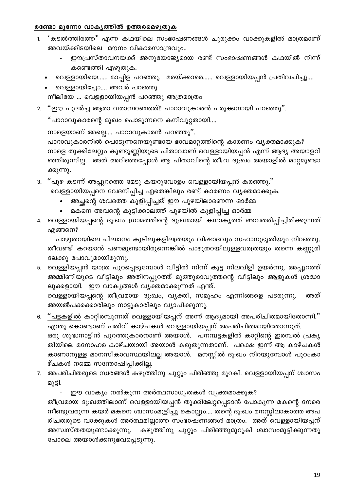#### രണ്ടോ മൂന്നോ വാകൃത്തിൽ ഉത്തരമെഴുതുക

- 'കടൽത്തിരത്ത്' എന്ന കഥയിലെ സംഭാഷണങ്ങൾ ചുരുക്കം വാക്കുകളിൽ മാത്രമാണ് അവയ്ക്കിടയിലെ മൗനം വികാരസാന്ദ്രവും..
	- ഈപ്രസ്താവനയക്ക് അനുയോജ്യമായ രണ്ട് സംഭാഷണങ്ങൾ കഥയിൽ നിന്ന് കണ്ടെത്തി എഴുതുക.
	- വെള്ളായിയെ...... മാപ്പിള പറഞ്ഞു. മരയ്ക്കാരെ...... വെള്ളായിയപ്പൻ പ്രതിവചിച്ചു....
	- വെള്ളായിച്ചോ.... അവർ പറഞ്ഞു

നീലിയേ ... വെള്ളായിയപ്പൻ പറഞ്ഞു അത്രമാത്രം

2. ''ഈ പുലർച്ച ആരാ വരാമ്പറഞ്ഞത്? പാറാവുകാരൻ പരുക്കനായി പറഞ്ഞു''.

''പാറാവുകാരന്റെ മുഖം പൊടുന്നനെ കനിവുറ്റതായി....

നാളെയാണ് അല്ലെ.... പാറാവുകാരൻ പറഞ്ഞു''.

പാറാവുകാരനിൽ പൊടുന്നനെയുണ്ടായ ഭാവമാറ്റത്തിന്റെ കാരണം വ്യക്തമാക്കുക? നാളെ തൂക്കിലേറ്റും കുണ്ടുണ്ണിയുടെ പിതാവാണ് വെള്ളായിയപ്പൻ എന്ന് ആദ്യ അയാളറി ഞ്ഞിരുന്നില്ല. അത് അറിഞ്ഞപ്പോൾ ആ പിതാവിന്റെ തീവ്ര ദു:ഖം അയാളിൽ മാറ്റമുണ്ടാ ക്കുന്നു.

3. ''പുഴ കടന്ന് അപ്പുറത്തെ മേടു കയറുവോളം വെള്ളായിയപ്പൻ കരഞ്ഞു.''

വെള്ളായിയപ്പനെ വേദനിപ്പിച്ച ഏതെങ്കിലും രണ്ട് കാരണം വ്യക്തമാക്കുക.

- അച്ഛന്റെ ശവത്തെ കുളിപ്പിച്ചത് ഈ പുഴയിലാണെന്ന ഓർമ്മ
- മകനെ അവന്റെ കുട്ടിക്കാലത്ത് പുഴയിൽ കുളിപ്പിച്ച ഓർമ്മ
- 4. വെള്ളായിയപ്പന്റെ ദു:ഖം ഗ്രാമത്തിന്റെ ദു:ഖമായി കഥാകൃത്ത് അവതരിപ്പിച്ചിരിക്കുന്നത് എങ്ങനെ?

പാഴുതറയിലെ ചില്വാനം കുടിലുകളിലത്രയും വിഷാദവും സഹാനുഭൂതിയും നിറഞ്ഞു. തീവണ്ടി കറയാൻ പണമുണ്ടായിരുന്നെങ്കിൽ പാഴുതറയിലുള്ളവരത്രയും തന്നെ കണ്ണൂരി ലേക്കു പോവുമായിരുന്നു.

5. വെള്ളിയപ്പൻ യാത്ര പുറപ്പെടുമ്പോൾ വീട്ടിൽ നിന്ന് കൂട്ട നിലവിളി ഉയർന്നു. അപ്പുറത്ത് അമ്മിണിയുടെ വീട്ടിലും അതിനപ്പുറത്ത് മുത്തുരാവുത്തന്റെ വീട്ടിലും ആളുകൾ ശ്രദ്ധാ ലുക്കളായി. ഈ വാകൃങ്ങൾ വൃക്തമാക്കുന്നത് എന്ത്. വെള്ളായിയപ്പന്റെ തീവ്രമായ ദു:ഖം, വ്യക്തി, സമൂഹം എന്നിങ്ങളെ പടരുന്നു. അത് അയൽപക്കക്കാരിലും നാട്ടുകാരിലും വ്യാപിക്കുന്നു.

6. <u>"പട്ടകളിൽ</u> കാറ്റിരമ്പുന്നത് വെള്ളായിയപ്പന് അന്ന് ആദ്യമായി അപരിചിതമായിതോന്നി." എന്തു കൊണ്ടാണ് പതിവ് കാഴ്ചകൾ വെള്ളായിയപ്പന് അപരിചിതമായിതോന്നുത്. ഒരു ശുദ്ധനാട്ടിൻ പുറത്തുകാരനാണ് അയാൾ. പനമ്പട്ടകളിൽ കാറ്റിന്റെ ഇരമ്പൽ പ്രകൃ തിയിലെ മനോഹര കാഴ്ചയായി അയാൾ കരുതുന്നതാണ്. പക്ഷെ ഇന്ന് ആ കാഴ്ചകൾ കാണാനുള്ള മാനസികാവസ്ഥയിലല്ല അയാൾ. മനസ്സിൽ ദു:ഖം നിറയുമ്പോൾ പുറംകാ ഴ്ചകൾ നമ്മെ സന്തോഷിപ്പിക്കില്ല.

7. അപരിചിതരുടെ സ്വരങ്ങൾ കഴുത്തിനു ചുറ്റും പിരിഞ്ഞു മുറകി. വെള്ളായിയപ്പന് ശ്വാസം മുട്ടി.

ഈ വാക്യം നൽകുന്ന അർത്ഥസാധ്യതകൾ വ്യക്തമാക്കുക?

തീവ്രമായ ദു:ഖത്തിലാണ് വെള്ളായിയപ്പൻ തൂക്കിലേറ്റപ്പെടാൻ പോകുന്ന മകന്റെ നേരെ നീണ്ടുവരുന്ന കയർ മകനെ ശ്വാസംമുട്ടിച്ചു കൊല്ലും.... തന്റെ ദു:ഖം മനസ്സിലാകാത്ത അപ രിചതരുടെ വാക്കുകൾ അർത്ഥമില്ലാത്ത സംഭാഷണങ്ങൾ മാത്രം. അത് വെള്ളായിയപ്പന് അസ്വസ്തതയുണ്ടാക്കുന്നു. കഴുത്തിനു ചുറ്റും പിരിഞ്ഞുമുറുകി ശ്വാസംമുട്ടിക്കുന്നതു പോലെ അയാൾക്കനുഭവപ്പെടുന്നു.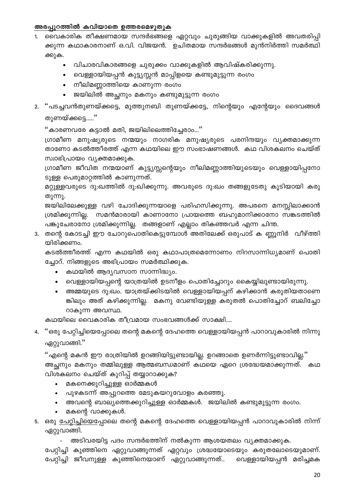#### അരപ്പുറത്തിൽ കവിയാതെ ഉത്തരമെഴുതുക

- 1. വൈകാരിക തീക്ഷണമായ സന്ദർഭങ്ങളെ ഏറ്റവും ചുരുങ്ങിയ വാക്കുകളിൽ അവതരിപ്പി ക്കുന്ന കഥാകാരനാണ് ഒ.വി. വിജയൻ. ഉചിതമായ സന്ദർഭങ്ങൾ മുൻനിർത്തി സമർത്ഥി ക്കുക.
	- വിചാരവികാരങ്ങളെ ചുരുക്കം വാക്കുകളിൽ ആവിഷ്കരിക്കുന്നു.
	- വെള്ളായിയപ്പൻ കുട്ട്യസ്സൻ മാപ്പിളയെ കണ്ടുമുട്ടുന്ന രംഗം
	- നീലിമണ്ണാത്തിയെ കാണുന്ന രംഗം
	- ജയിലിൽ അച്ഛനും മകനും കണ്ടുമുട്ടുന്ന രംഗം
- 2. ''പടച്ചവൻതുണയ്ക്കട്ടെ, മുത്തുനബി തുണയ്ക്കട്ടേ, നിന്റെയും എന്റേയും ദൈവങ്ങൾ തുണയ്ക്കട്ടെ.....''

''കാരണവരേ കട്ടാൽ മതി, ജയിലിലെത്തിച്ചേരാം...''

ഗ്രാമീണ മനുഷ്യരുടെ നന്മയും നാഗരിക മനുഷ്യരുടെ പരനിന്ദയും വ്യക്തമാക്കുന്ന താണോ കടൽത്തീരത്ത് എന്ന കഥയിലെ ഈ സംഭാഷണങ്ങൾ. കഥ വിശകലനം ചെയ്ത് സ്വാഭിപ്രായം വൃക്തമാക്കുക.

ഗ്രാമീണ ജീവിത നന്മയാണ് കുട്ട്യസ്സന്റെയും നീലിമണ്ണാത്തിയുടെയും വെള്ളായിപ്പനോ ടുള്ള പെരുമാറ്റത്തിൽ കാണുന്നത്.

മറ്റുള്ളവരുടെ ദു:ഖത്തിൽ ദു:ഖിക്കുന്നു. അവരുടെ ദു:ഖം തങ്ങളുടേതു കൂടിയായി കരു തുന്നു.

ജയിലിലേക്കുള്ള വഴി ചോദിക്കുന്നയാളെ പരിഹസിക്കുന്നു. അപരനെ മനസ്സിലാക്കാൻ ശ്രമിക്കുന്നില്ല. സമൻമാരായി കാണാനോ പ്രായത്തെ ബഹുമാനിക്കാനോ സങ്കടത്തിൽ പങ്കുചേരാനോ ശ്രമിക്കുന്നില്ല. തങ്ങളാണ് എല്ലാം തികഞ്ഞവർ എന്ന ചിന്ത.

3. തന്റെ കോടച്ചി ഈ ചോറുപൊതികെട്ടുമ്പോൾ അതിലേക്ക് ഒരുപാട് ക ണ്ണൂനിർ വീഴ്ത്തി യിരിക്കണം.

കടൽത്തീരത്ത് എന്ന കഥയിൽ ഒരു കഥാപാത്രമെന്നോണം നിറസാന്നിധ്യമാണ് പൊതി ച്ചോറ്. നിങ്ങളുടെ അഭിപ്രായം സമർത്ഥിക്കുക.

- കഥയിൽ ആദ്യവസാന സാന്നിദ്ധ്യം.
- വെള്ളായിയപ്പന്റെ യാത്രയിൽ ഉടനീളം പൊതിച്ചോറും കൈയ്യിലുണ്ടായിരുന്നു.
- അമ്മയുടെ ദു:ഖം. യാത്രയ്ക്കിടയിൽ വെള്ളായിയപ്പന് കഴിക്കാൻ കരുതിയതാണെ ങ്കിലും അത് കഴിക്കുന്നില്ല. മകനു വേണ്ടിയുള്ള കരുതൽ പൊതിച്ചോറ് ബലിച്ചോ റാകുന്ന അവസ്ഥ.

കഥയിലെ വൈകാരിക തീവ്രമായ സംഭവങ്ങൾക്ക് സാക്ഷി....

4. "ഒരു പേറ്റിച്ചിയെപ്പോലെ തന്റെ മകന്റെ ദേഹത്തെ വെള്ളായിയപ്പൻ പാറാവുകാരിൽ നിന്നു ഏറ്റുവാങ്ങി."

''എന്റെ മകൻ ഈ രാത്രിയിൽ ഉറങ്ങിയിട്ടുണ്ടായില്ല. ഉറങ്ങാതെ ഉണർന്നിട്ടുണ്ടാവില്ല.'' അച്ഛനും മകനും തമ്മിലുള്ള ആത്മബന്ധമാണ് കഥയെ ഏറെ ശ്രദ്ധേയമാക്കുന്നത്. കഥ വിശകലനം ചെയ്ത് കുറിപ്പ് തയ്യാറാക്കുക?

- മകനെക്കുറിച്ചുള്ള ഓർമ്മകൾ
- പുഴകടന്ന് അപ്പുറത്തെ മേടുകയറുവോളം കരഞ്ഞു.
- അവന്റെ ബാല്യത്തെക്കുറിച്ചുള്ള ഓർമ്മകൾ. ജയിലിൽ കണ്ടുമുട്ടുന്ന രംഗം.
- മകന്റെ വാക്കുകൾ.
- 5. ഒരു <u>പേറ്റിച്ചിയെപ്പോ</u>ലെ തന്റെ മകന്റെ ദേഹത്തെ വെള്ളായിയപ്പൻ പാറാവുകാരിൽ നിന്ന് ഏറ്റുവാങ്ങി.
	- അടിവരയിട്ട പദം സന്ദർഭത്തിന് നൽകുന്ന ആശയതലം വ്യക്തമാക്കുക.

പേറ്റിച്ചി കുഞ്ഞിനെ ഏറ്റുവാങ്ങുന്നത് ഏറ്റവും ശ്രദ്ധയോടെയും കരുതലോടെയുമാണ്. പേറ്റിച്ചി ജീവനുള്ള കുഞ്ഞിനെയാണ് ഏറ്റുവാങ്ങുന്നത്.. വെള്ളായിയപ്പൻ മരിച്ചമക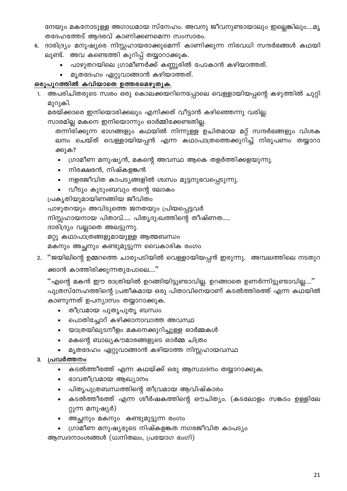നേയും മകനോടുള്ള അഗാധമായ സ്നേഹം. അവനു ജീവനുണ്ടായാലും ഇല്ലെങ്കിലും....മൃ തദേഹത്തേട് ആദരവ് കാണിക്കണമെന്ന സംസാരം.

- 6. ദാരിദ്ര്യം മനുഷ്യരെ നിസ്സഹായരാക്കുമെന്ന് കാണിക്കുന്ന നിരവധി സന്ദർഭങ്ങൾ കഥയി ലുണ്ട്. അവ കണ്ടെത്തി കുറിപ്പ് തയ്യാറാക്കുക.
	- പാഴുതറയിലെ ഗ്രാമീണർക്ക് കണ്ണൂരിൽ പോകാൻ കഴിയാത്തത്.
	- മൃതദേഹം ഏറ്റുവാങ്ങാൻ കഴിയാത്തത്.

#### <u>ഒരുപുറത്തിൽ കവിയാതെ ഉത്തരമെഴുതുക.</u>

1. അപരിചിതരുടെ സ്വരം ഒരു കൊലക്കയറിനെപ്പോലെ വെള്ളായിയപ്പന്റെ കഴുത്തിൽ ചുറ്റി മുറുകി.

മരയ്ക്കാരെ ഇനിയൊരിക്കലും എനിക്കത് വീട്ടാൻ കഴിഞ്ഞെന്നു വരില്ല.

സാരമില്ല മകനെ ഇനിയൊന്നും ഓർമ്മിക്കേണ്ടതില്ല.

തന്നിരിക്കുന്ന ഭാഗങ്ങളും കഥയിൽ നിന്നുള്ള ഉചിതമായ മറ്റ് സന്ദർഭങ്ങളും വിശക ലനം ചെയ്ത് വെള്ളായിയപ്പൻ എന്ന കഥാപാത്രത്തെക്കുറിച്ച് നിരൂപണം തയ്യാറാ ക്കുക?

- ഗ്രാമീണ മനുഷ്യൻ, മകന്റെ അവസ്ഥ ആകെ തളർത്തിക്കളയുന്നു.
- നിരക്ഷരൻ, നിഷ്കളങ്കൻ
- നളരജീവിത കാപട്യങ്ങളിൽ ശ്വസം മുട്ടനുഭവപ്പെടുന്നു.
- വീടും കുടുംബവും തന്റെ ലോകം

പ്രകൃതിയുമായിണങ്ങിയ ജീവിതം

പാഴുതറയും അവിടുത്തെ ജനതയും പ്രിയപ്പെട്ടവർ

നിസ്സഹായനായ പിതാവ്..... പിതൃദു:ഖത്തിന്റെ തീഷ്ണത.....

ദാരിദ്ര്യം വല്ലാതെ അലട്ടുന്നു.

മറ്റു കഥാപാത്രങ്ങളുമായുള്ള ആത്മബന്ധം

മകനും അച്ഛനും കണ്ടുമുട്ടുന്ന വൈകാരിക രംഗം

2. "ജയിലിന്റെ ഉമ്മറത്തെ ചാരുപടിയിൽ വെള്ളായിയപ്പൻ ഇരുന്നു. അമ്പലത്തിലെ നടതുറ

ക്കാൻ കാത്തിരിക്കുന്നതുപോലെ....''

''എന്റെ മകൻ ഈ രാത്രിയിൽ ഉറങ്ങിയിട്ടുണ്ടാവില്ല. ഉറങ്ങാതെ ഉണർന്നിട്ടുണ്ടാവില്ല....'' പുത്രസ്നേഹത്തിന്റെ പ്രതീകമായ ഒരു പിതാവിനെയാണ് കടൽത്തിരത്ത് എന്ന കഥയിൽ കാണുന്നത് ഉപന്യാസം തയ്യാറാക്കുക.

- തീവ്രമായ പുതൃപുതൃ ബന്ധം
- പൊതിച്ചോറ് കഴിക്കാനാവാത്ത അവസ്ഥ
- യാത്രയിലുടനീളം മകനെക്കുറിച്ചുള്ള ഓർമ്മകൾ
- മകന്റെ ബാല്യകൗമാരങ്ങളുടെ ഓർമ്മ ചിത്രം
- മൃതദേഹം ഏറ്റുവാങ്ങാൻ കഴിയാത്ത നിസ്സഹായവസ്ഥ

#### 3. പ്രവർത്തന<u>ം</u>

- കടൽത്തീരത്ത് എന്ന കഥയ്ക്ക് ഒരു ആസ്വാദനം തയ്യാറാക്കുക.
- ഭാവതീവ്രമായ ആഖ്യാനം
- പിതൃപുത്രബന്ധത്തിന്റെ തീവ്രമായ ആവിഷ്കാരം
- കടൽത്തീരത്ത് എന്ന ശീർഷകത്തിന്റെ ഔചിത്യം. (കടലോളം സങ്കടം ഉള്ളിലേ റ്റുന്ന മനുഷ്യർ)
- അച്ഛനും മകനും കണ്ടുമുട്ടുന്ന രംഗം
- ഗ്രാമീണ മനുഷ്യരുടെ നിഷ്കളങ്കത നഗരജീവിത കാപട്യം

ആസ്വദനാംശങ്ങൾ (ധ്വനിതലം, പ്രയോഗ ഭംഗി)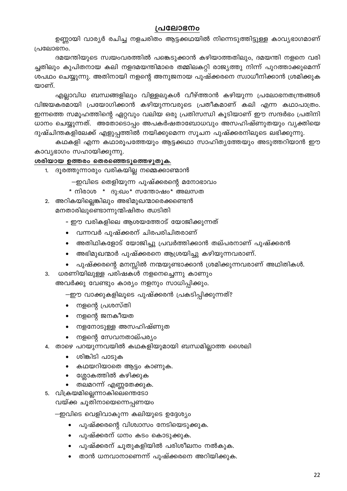#### പ്രലോഭനം

ഉണ്ണായി വാര്യർ രചിച്ച നളചരിതം ആട്ടക്കഥയിൽ നിന്നെടുത്തിട്ടുള്ള കാവ്യഭാഗമാണ് പ്രലോഭനം.

ദമയന്തിയുടെ സ്വയംവരത്തിൽ പങ്കെടുക്കാൻ കഴിയാത്തതിലും, ദമയന്തി നളനെ വരി ച്ചതിലും കുപിതനായ കലി നളദമയന്തിമാരെ തമ്മിലകറ്റി രാജ്യത്തു നിന്ന് പുറത്താക്കുമെന്ന് ശപഥം ചെയ്യുന്നു. അതിനായി നളന്റെ അനുജനായ പുഷ്ക്കരനെ സ്വാധീനിക്കാൻ ശ്രമിക്കുക യാണ്.

എല്ലാവിധ ബന്ധങ്ങളിലും വിള്ളലുകൾ വീഴ്ത്താൻ കഴിയുന്ന പ്രലോഭനതന്ത്രങ്ങൾ വിജയകരമായി പ്രയോഗിക്കാൻ കഴിയുന്നവരുടെ പ്രതീകമാണ് കലി എന്ന കഥാപാത്രം. ഇന്നത്തെ സമൂഹത്തിന്റെ ഏറ്റവും വലിയ ഒരു പ്രതിസന്ധി കൂടിയാണ് ഈ സന്ദർഭം പ്രതിനി ധാനം ചെയ്യുന്നത്. അതോടൊപ്പം അപകർഷതാബോധവും അസഹിഷ്ണുതയും വ്യക്തിയെ ദുഷ്ചിന്തകളിലേക്ക് എളുപ്പത്തിൽ നയിക്കുമെന്ന സൂചന പുഷ്ക്കരനിലൂടെ ലഭിക്കുന്നു.

കഥകളി എന്ന കഥാരൂപത്തേയും ആട്ടക്കഥാ സാഹിത്യത്തേയും അടുത്തറിയാൻ ഈ കാവ്യഭാഗം സഹായിക്കുന്നു.

#### ശരിയായ ഉത്തരം തെരഞ്ഞെടുത്തെഴുതുക.

- 1. ദൂരത്തുന്നാരും വരികയില്ല നമ്മെക്കാണ്മാൻ
	- —ഇവിടെ തെളിയുന്ന പുഷ്ക്കരന്റെ മനോഭാവം
	- \* നിരാശ \* ദു:ഖം\* സന്തോഷം\* അലസത
- 2. അറികയില്ലെങ്കിലും അഭിമുഖന്മാരെക്കണ്ടെൻ മനതാരിലുണ്ടൊന്നുന്മിഷിതം ഝടിതി
	- ഈ വരികളിലെ ആശയത്തോട് യോജിക്കുന്നത്
	- വന്നവർ പുഷ്ക്കരന് ചിരപരിചിതരാണ്
	- അതിഥികളോട് യോജിച്ചു പ്രവർത്തിക്കാൻ തല്പരനാണ് പുഷ്ക്കരൻ
	- അഭിമുഖന്മാർ പുഷ്ക്കരനെ ആശ്രയിച്ചു കഴിയുന്നവരാണ്.  $\bullet$
	- പുഷ്ക്കരന്റെ മനസ്സിൽ നന്മയുണ്ടാക്കാൻ ശ്രമിക്കുന്നവരാണ് അഥിതികൾ.
- ധരണിയിലുള്ള പരിഷകൾ നളനെച്ചെന്നു കാണും  $3.$ അവർക്കു വേണ്ടും കാര്യം നളനും സാധിപ്പിക്കും.
	- —ഈ വാക്കുകളിലൂടെ പുഷ്ക്കരൻ പ്രകടിപ്പിക്കുന്നത്?
	- നളന്റെ പ്രശസ്തി
	- നളന്റെ ജനകീയത
	- നളനോടുള്ള അസഹിഷ്ണുത
	- നളന്റെ സേവനതാല്പര്യം
- 4. താഴെ പറയുന്നവയിൽ കഥകളിയുമായി ബന്ധമില്ലാത്ത ശൈലി
	- ശിങ്കിടി പാടുക
	- കഥയറിയാതെ ആട്ടം കാണുക.
	- ശ്ലോകത്തിൽ കഴിക്കുക
	- തലമറന്ന് എണ്ണതേക്കുക.
- 5. വിക്രയമില്ലെന്നാകിലെന്തെടോ
	- വയ്ക്ക ചൂതിനായെന്നെപ്പണയം
	- —ഇവിടെ വെളിവാകുന്ന കലിയുടെ ഉദ്ദേശ്യം
		- പുഷ്ക്കരന്റെ വിശ്വാസം നേടിയെടുക്കുക.
		- പുഷ്ക്കരന് ധനം കടം കൊടുക്കുക.
		- പുഷ്ക്കരന് ചൂതുകളിയിൽ പരിശീലനം നൽകുക.
		- താൻ ധനവാനാണെന്ന് പുഷ്ക്കരനെ അറിയിക്കുക.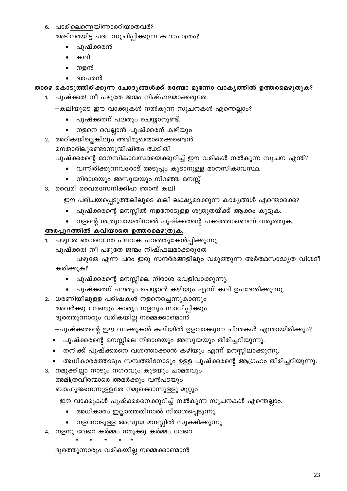ദൂരത്തുന്നാരും വരികയില്ല നമ്മെക്കാണ്മാൻ

- 
- 4. നളനു വേറെ കർമ്മം നമുക്കു കർമ്മം വേറെ
- നളനോടുള്ള അസൂയ മനസ്സിൽ സൂക്ഷിക്കുന്നു.
- അധികാരം ഇല്ലാത്തതിനാൽ നിരാശപ്പെടുന്നു.
- —ഈ വാക്കുകൾ പുഷ്ക്കരനെക്കുറിച്ച് നൽകുന്ന സൂചനകൾ എന്തെല്ലാം.

അമിത്രവീരന്മാരെ അമർക്കും വൻപടയും ബാഹുജനെന്നുള്ളതേ നമുക്കൊന്നുള്ളൂ മുറ്റും

- 3. നമുക്കില്ലാ നാടും നഗരവും കുടയും ചാമരവും
- അധികാരത്തോടും സമ്പത്തിനോടും ഉള്ള പുഷ്ക്കരന്റെ ആഗ്രഹം തിരിച്ചറിയുന്നു.
- തനിക്ക് പുഷ്ക്കരനെ വശത്താക്കാൻ കഴിയും എന്ന് മനസ്സിലാക്കുന്നു.
- പുഷ്ക്കരന്റെ മനസ്സിലെ നിരാശയും അസൂയയും തിരിച്ചറിയുന്നു.

–പുഷ്ക്കരന്റെ ഈ വാക്കുകൾ കലിയിൽ ഉളവാക്കുന്ന ചിന്തകൾ എന്തായിരിക്കും?

ദൂരത്തുന്നാരും വരികയില്ല നമ്മെക്കാണ്മാൻ

അവർക്കു വേണ്ടും കാര്യം നളനും സാധിപ്പിക്കും.

- 2. ധരണിയിലുള്ള പരിഷകൾ നളനെച്ചെന്നുകാണും
- പുഷ്ക്കരന് പലതും ചെയ്യാൻ കഴിയും എന്ന് കലി ഉപദേശിക്കുന്നു.
- പുഷ്ക്കരന്റെ മനസ്സിലെ നിരാശ വെളിവാക്കുന്നു.

#### കരിക്കുക?

പുഷ്ക്കര! നീ പഴുതേ ജന്മം നിഷ്ഫലമാക്കരുതേ പഴുതേ എന്ന പദം ഇരു സന്ദർഭങ്ങളിലും വരുത്തുന്ന അർത്ഥസാദ്ധ്യത വിശദീ

1. പഴുതേ ഞാനെന്തേ പലവക പറഞ്ഞുകേൾപ്പിക്കുന്നു.

### അരപ്പുറത്തിൽ കവിയാതെ ഉത്തരമെഴുതുക.

- നളന്റെ ശത്രുവായതിനാൽ പുഷ്ക്കരന്റെ പക്ഷത്താണെന്ന് വരുത്തുക.
- പുഷ്ക്കരന്റെ മനസ്സിൽ നളനോടുള്ള ശത്രുതയ്ക്ക് ആക്കം കൂട്ടുക.
- —ഈ പരിചയപ്പെടുത്തലിലൂടെ കലി ലക്ഷ്യമാക്കുന്ന കാര്യങ്ങൾ എന്തൊക്കെ?
- 3. വൈരി വൈരസേനിക്കിഹ ഞാൻ കലി
- നിരാശയും അസൂയയും നിറഞ്ഞ മനസ്സ്  $\bullet$
- വന്നിരിക്കുന്നവരോട് അടുപ്പം കൂടാനുള്ള മാനസികാവസ്ഥ.

മനതാരിലുണ്ടൊന്നുന്മിഷിതം ഝടിതി പുഷ്ക്കരന്റെ മാനസികാവസ്ഥയെക്കുറിച്ച് ഈ വരികൾ നൽകുന്ന സൂചന എന്ത്?

- 2. അറികയില്ലെങ്കിലും അഭിമുഖന്മാരെക്കണ്ടെൻ
- നളനെ വെല്ലാൻ പുഷ്ക്കരന് കഴിയും
- പുഷ്ക്കരന് പലതും ചെയ്യാനുണ്ട്.
- —കലിയുടെ ഈ വാക്കുകൾ നൽകുന്ന സൂചനകൾ എന്തെല്ലാം?
- 1. പുഷ്ക്കര! നീ പഴുതേ ജന്മം നിഷ്ഫലമാക്കരുതേ

## താഴെ കൊടുത്തിരിക്കുന്ന ചോദൃങ്ങൾക്ക് രണ്ടോ മൂന്നോ വാകൃത്തിൽ ഉത്തരമെഴുതുക?

- ദ്വാപരൻ
- നളൻ
- കലി
- പുഷ്ക്കരൻ
- അടിവരയിട്ട പദം സൂചിപ്പിക്കുന്ന കഥാപാത്രം?
- 6. പാരിലെന്നെയിന്നാരറിയാതവർ?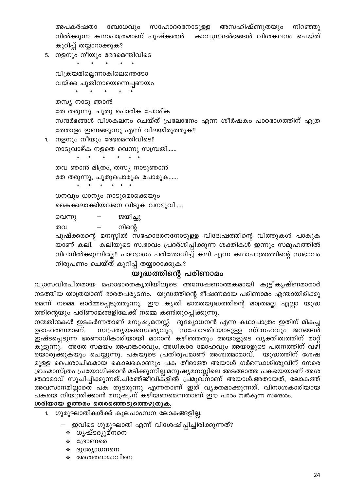അപകർഷതാ സഹോദരനോടുള്ള അസഹിഷ്ണുതയും നിറഞ്ഞു ബോധവും നിൽക്കുന്ന കഥാപാത്രമാണ് പുഷ്ക്കരൻ. കാവ്യസന്ദർഭങ്ങൾ വിശകലനം ചെയ്ത് കുറിപ്പ് തയ്യാറാക്കുക?

വിക്രയമില്ലെന്നാകിലെന്തെടോ വയ്ക്ക ചൂതിനായെന്നെപ്പണയം

 $\star$ 

5. നളനും നീയും ഭേദമെന്തിവിടെ  $\star$ 

തസ്യ നാടു ഞാൻ

തേ തരുന്നു. ചൂതു പൊരിക പോരിക സന്ദർഭങ്ങൾ വിശകലനം ചെയ്ത് പ്രലോഭനം എന്ന ശീർഷകം പാഠഭാഗത്തിന് എത്ര ത്തോളം ഇണങ്ങുന്നു എന്ന് വിലയിരുത്തുക?

1. നളനും നീയും ദേഭമെന്തിവിടെ? നാടുവാഴ്ക നളതെ വെന്നു സമ്പ്രതി......

 $*$  \* \* \*

തവ ഞാൻ മിത്രം, തസ്യ നാടുഞാൻ തേ തരുന്നു, ചൂതുപൊരുക പോരുക......  $\star$ 

ധനവും ധാന്യം നാടുമൊക്കെയും കൈക്കലാക്കിയവനെ വിടുക വനഭൂവി.....

വെന്നു ജയിച്ചു

 $\star$ 

തവ നിന്റെ  $\hspace{0.1mm}-\hspace{0.1mm}$ 

പുഷ്ക്കരന്റെ മനസ്സിൽ സഹോദരനനോടുള്ള വിദേഃഷത്തിന്റെ വിത്തുകൾ പാകുക യാണ് കലി. കലിയുടെ സ്വഭാവം പ്രദർശിപ്പിക്കുന്ന ശക്തികൾ ഇന്നും സമൂഹത്തിൽ നിലനിൽക്കുന്നില്ലേ? പാഠഭാഗം പരിശോധിച്ച് കലി എന്ന കഥാപാത്രത്തിന്റെ സ്വഭാവം നിരൂപണം ചെയ്ത് കുറിപ്പ് തയ്യാറാക്കുക.?

### യുദ്ധത്തിന്റെ പരിണാമം

വ്യാസവിരചിതമായ മഹാഭാരതകൃതിയിലൂടെ അന്വേഷണാത്മകമായി കുട്ടികൃഷ്ണമാരാർ നടത്തിയ യാത്രയാണ് ഭാരതപര്യടനം. യുദ്ധത്തിന്റെ ഭീഷണമായ പരിണാമം എന്തായിരിക്കു മെന്ന് നമ്മെ ഓർമ്മപ്പെടുത്തുന്നു. ഈ കൃതി ഭാരതയുദ്ധത്തിന്റെ മാത്രമല്ല എല്ലാ യുദ്ധ ത്തിന്റെയും പരിണാമങ്ങളിലേക്ക് നമ്മെ കൺതുറപ്പിക്കുന്നു.

നന്മതിന്മകൾ ഇടകർന്നതാണ് മനുഷ്യമനസ്സ്. ദുര്യോധനൻ എന്ന കഥാപാത്രം ഇതിന് മികച്ച സ്വപ്രതൃയസൈ്ഥര്യവും, സഹോദരിയോടുള്ള സ്നേഹവും ജനങ്ങൾ ഉദാഹരണമാണ്. ഇഷ്ടപ്പെടുന്ന ഭരണാധികാരിയായി മാറാൻ കഴിഞ്ഞതും അയാളുടെ വ്യക്തിത്വത്തിന് മാറ്റ് കൂട്ടുന്നു. അതേ സമയം അഹങ്കാരവും, അധികാര മോഹവും അയാളുടെ പതനത്തിന് വഴി യൊരുക്കുകയും ചെയ്യുന്നു. പകയുടെ പ്രതിരൂപമാണ് അശ്വത്മാമാവ്. യുദ്ധത്തിന് ശേഷ മുള്ള പൈശാചികമായ കൊലകൊണ്ടും പക തീരാത്ത അയാൾ ഗർഭസ്ഥശിശുവിന് നേരെ ബ്രഹ്മാസ്ത്രം പ്രയോഗിക്കാൻ മടിക്കുന്നില്ല.മനുഷ്യമനസ്സിലെ അടങ്ങാത്ത പകയെയാണ് അശ ്രഥാമാവ് സൂചിപ്പിക്കുന്നത്.ചിരഞ്ജീവികളിൽ പ്രമുഖനാണ് അയാൾ.അതായത്, ലോകത്ത് അവസാനമില്ലാതെ പക തുടരുന്നു എന്നതാണ് ഇത് വ്യക്തമാക്കുന്നത്. വിനാശകാരിയായ പകയെ നിയന്ത്രിക്കാൻ മനുഷ്യന് കഴിയണമെന്നതാണ് ഈ പാഠം നൽകുന്ന സന്ദേശം.

#### ശരിയായ ഉത്തരം തെരഞ്ഞെടുത്തെഴുതുക.

- 1. ഗുരുഘാതികൾക്ക് കുലപാംസന ലോകങ്ങളില്ല.
	- ഇവിടെ ഗുരുഘാതി എന്ന് വിശേഷിപ്പിച്ചിരിക്കുന്നത്?
		- ∻ ധൃഷ്ടദൃുമ്നനെ
		- ∻ ക്രോണരെ
		- ∻ ദുര്യോധനനെ
		- അശ്വത്ഥാമാവിനെ ÷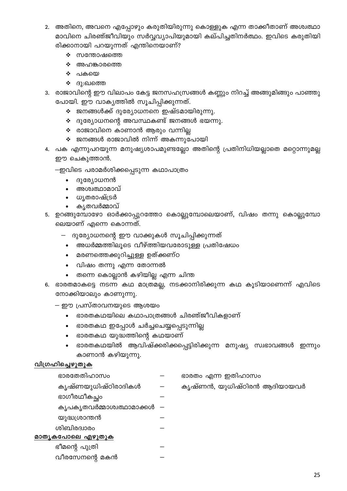- 2. അതിനെ, അവനെ എപ്പോഴും കരുതിയിരുന്നു കൊള്ളുക എന്ന താക്കീതാണ് അശ്വത്ഥാ മാവിനെ ചിരഞ്ജീവിയും സർവ്വവ്യാപിയുമായി കല്പിച്ചതിനർത്ഥം. ഇവിടെ കരുതിയി രിക്കാനായി പറയുന്നത് എന്തിനെയാണ്?
	- ❖ സന്തോഷത്തെ
	- ∻ അഹങ്കാരത്തെ
	- ∻ പകയെ
	- ∻ ദു:ഖത്തെ
- 3. രാജാവിന്റെ ഈ വിലാപം കേട്ട ജനസഹസ്രങ്ങൾ കണ്ണും നിറച്ച് അങ്ങുമിങ്ങും പാഞ്ഞു പോയി. ഈ വാകൃത്തിൽ സൂചിപ്പിക്കുന്നത്.
	- $\boldsymbol{\dot{\cdot}}$  ജനങ്ങൾക്ക് ദുര്യോധനനെ ഇഷ്ടമായിരുന്നു.
	- $\boldsymbol{\cdot}$  ദുര്യോധനന്റെ അവസ്ഥകണ്ട് ജനങ്ങൾ ഭയന്നു.
	- $\boldsymbol{\dot{\cdot}}$  രാജാവിനെ കാണാൻ ആരും വന്നില്ല
	- $\boldsymbol{\cdot}$  ജനങ്ങൾ രാജാവിൽ നിന്ന് അകന്നുപോയി
- 4. പക എന്നുപറയുന്ന മനുഷ്യശാപമുണ്ടല്ലോ അതിന്റെ പ്രതിനിധിയല്ലാതെ മറ്റൊന്നുമല്ല ഈ ചെകുത്താൻ.
	- —ഇവിടെ പരാമർശിക്കപ്പെടുന്ന കഥാപാത്രം
		- ദുര്യോധനൻ
		- അശ്വത്ഥാമാവ്
		- ∙ ധൃതരാഷ്ട്രർ
		- ∙ കൃതവർമ്മാവ്
- 5. ഉറങ്ങുമ്പോഴോ ഓർക്കാപ്പുറത്തോ കൊല്ലുമ്പോലെയാണ്, വിഷം തന്നു കൊല്ലുമ്പോ ലെയാണ് എന്നെ കൊന്നത്.
	- ദുര്യോധനന്റെ ഈ വാക്കുകൾ സൂചിപ്പിക്കുന്നത്
		- അധർമ്മത്തിലൂടെ വീഴ്ത്തിയവരോടുള്ള പ്രതിഷേധം
		- മരണത്തെക്കുറിച്ചുള്ള ഉത്ക്കണ്ഠ
		- വിഷം തന്നു എന്ന തോന്നൽ
		- തന്നെ കൊല്ലാൻ കഴിയില്ല എന്ന ചിന്ത
- 6. ഭാരതമാകട്ടെ നടന്ന കഥ മാത്രമല്ല, നടക്കാനിരിക്കുന്ന കഥ കൂടിയാണെന്ന് എവിടെ നോക്കിയാലും കാണുന്നു.
	- ഈ പ്രസ്താവനയുടെ ആശയം
		- ഭാരതകഥയിലെ കഥാപാത്രങ്ങൾ ചിരഞ്ജീവികളാണ്
		- ഭാരതകഥ ഇപ്പോൾ ചർച്ചചെയ്യപ്പെടുന്നില്ല
		- ഭാരതകഥ യുദ്ധത്തിന്റെ കഥയാണ്
		- ഭാരതകഥയിൽ ആവിഷ്ക്കരിക്കപ്പെട്ടിരിക്കുന്ന മനുഷ്യ സ്വഭാവങ്ങൾ ഇന്നും കാണാൻ കഴിയുന്നു.

#### വിഗ്രഹിച്ചെഴുതുക

| ഭാരതേതിഹാസം                 |  | ഭാരതം എന്ന ഇതിഹാസം          |  |  |
|-----------------------------|--|-----------------------------|--|--|
| കൃഷ്ണയുധിഷ്ഠിരാദികൾ         |  | കൃഷ്ണൻ, യുധിഷ്ഠിരൻ ആദിയായവർ |  |  |
| ഭാഗീരഥീകച്ചം                |  |                             |  |  |
| കൃപകൃതവർമ്മാശ്വത്ഥാമാക്കൾ — |  |                             |  |  |
| യുദ്ധശ്രാന്തൻ               |  |                             |  |  |
| ശിബിരദ്വാരം                 |  |                             |  |  |
| മാത്യകപോലെ എഴുതുക           |  |                             |  |  |
| ഭീമന്റെ പുത്രി              |  |                             |  |  |
| വീരസേനന്റെ മകൻ              |  |                             |  |  |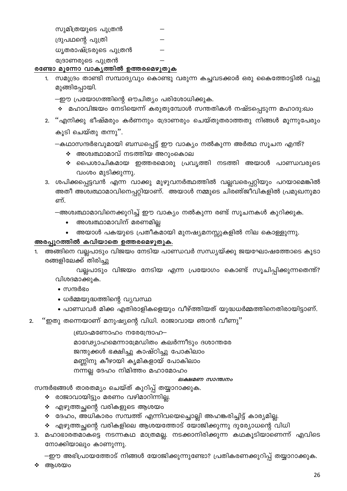സുമിത്രയുടെ പുത്രൻ

ദ്രുപഥന്റെ പുത്രി

ധൃതരാഷ്ട്രരുടെ പുത്രൻ

ദ്രോണരുടെ പുത്രൻ

## രണ്ടോ മൂന്നോ വാകൃത്തിൽ ഉത്തരമെഴുതുക

1. സമുദ്രം താണ്ടി സമ്പാദ്യവും കൊണ്ടു വരുന്ന കച്ചവടക്കാർ ഒരു കൈത്തോട്ടിൽ വച്ചു മുങ്ങിപ്പോയി.

—ഈ പ്രയോഗത്തിന്റെ ഔചിത്യം പരിശോധിക്കുക.

- ∻ മഹാവിജയം നേടിയെന്ന് കരുതുമ്പോൾ സന്തതികൾ നഷ്ടപ്പെടുന്ന മഹാദു:ഖം
- 2. "എനിക്കു ഭീഷ്മരും കർണനും ദ്രോണരും ചെയ്തുതരാത്തതു നിങ്ങൾ മൂന്നുപേരും കൂടി ചെയ്തു തന്നു".

—കഥാസന്ദർഭവുമായി ബന്ധപ്പെട്ട് ഈ വാക്യം നൽകുന്ന അർത്ഥ സൂചന എന്ത്?

- $\boldsymbol{\cdot}$  അശ്വത്ഥാമാവ് നടത്തിയ അറുംകൊല
- ❖ പൈശാചികമായ ഇത്തരമൊരു പ്രവൃത്തി നടത്തി അയാൾ പാണ്ഡവരുടെ വംശം മുടിക്കുന്നു.
- 3. ശപിക്കപ്പെട്ടവൻ എന്ന വാക്കു മുഴുവനർത്ഥത്തിൽ വല്ലവരെപ്പറ്റിയും പറയാമെങ്കിൽ അതീ അശ്വത്ഥാമാവിനെപ്പറ്റിയാണ്. അയാൾ നമ്മുടെ ചിരഞ്ജീവികളിൽ പ്രമുഖനുമാ ണ്.

—അശ്വത്ഥാമാവിനെക്കുറിച്ച് ഈ വാക്യം നൽകുന്ന രണ്ട് സൂചനകൾ കുറിക്കുക.

- അശ്വത്ഥാമാവിന് മരണമില്ല
- അയാൾ പകയുടെ പ്രതീകമായി മുനഷ്യമനസ്സുകളിൽ നില കൊള്ളുന്നു.

# അരപ്പുറത്തിൽ കവിയാതെ ഉത്തരമെഴുതുക.

1. അങ്ങിനെ വല്ലപാടും വിജയം നേടിയ പാണ്ഡവർ സന്ധ്യയ്ക്കു ജയഘോഷത്തോടെ കൂടാ രങ്ങളിലേക്ക് തിരിച്ചു

വല്ലപാടും വിജയം നേടിയ എന്ന പ്രയോഗം കൊണ്ട് സൂചിപ്പിക്കുന്നതെന്ത്? വിശദമാക്കുക.

- $\bullet$  സന്ദർഭം
- ധർമ്മയുദ്ധത്തിന്റെ വ്യവസ്ഥ
- പാണ്ഡവർ മിക്ക എതിരാളികളെയും വീഴ്ത്തിയത് യുദ്ധധർമ്മത്തിനെതിരായിട്ടാണ്.
- ''ഇതു തന്നെയാണ് മനുഷ്യന്റെ വിധി. രാജാവായ ഞാൻ വീണു''  $2.$

ബ്രാഹ്മണോഹം നരേന്ദ്രോഹ–

മാഢ്യോഹമെന്നാമ്രേഡിതം കലർന്നീടും ദശാന്തരേ

ജന്തുക്കൾ ഭക്ഷിച്ചു കാഷ്ഠിച്ചു പോകിലാം

മണ്ണിനു കീഴായി കൃമികളായ് പോകിലാം

നന്നല്ല ദേഹം നിമിത്തം മഹാമോഹം

# ലക്ഷമണ സാന്ത്വനം

സന്ദർഭങ്ങൾ താരതമ്യം ചെയ്ത് കുറിപ്പ് തയ്യാറാക്കുക.

- ❖ രാജാവായിട്ടും മരണം വഴിമാറിന്നില്ല.
- $\boldsymbol{\cdot}$  എഴുത്തച്ഛന്റെ വരികളുടെ ആശയം
- ❖ ദേഹം, അധികാരം സമ്പത്ത് എന്നിവയെച്ചൊല്ലി അഹങ്കരിച്ചിട്ട് കാര്യമില്ല.
- ❖ എഴുത്തച്ഛന്റെ വരികളിലെ ആശയത്തോട് യോജിക്കുന്നു ദുര്യോധന്റെ വിധി
- 3. മഹാഭാരതമാകട്ടെ നടന്നകഥ മാത്രമല്ല. നടക്കാനിരിക്കുന്ന കഥകൂടിയാണെന്ന് എവിടെ നോക്കിയാലും കാണുന്നു.

—ഈ അഭിപ്രായത്തോട് നിങ്ങൾ യോജിക്കുന്നുണ്ടോ? പ്രതികരണക്കുറിപ്പ് തയ്യാറാക്കുക.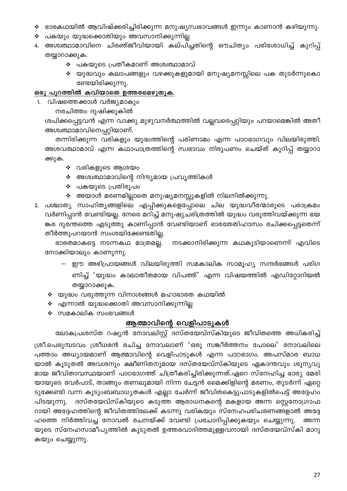- $\boldsymbol{\cdot}$  ഭാരകഥയിൽ ആവിഷ്ക്കരിച്ചിരിക്കുന്ന മനുഷ്യസ്വഭാവങ്ങൾ ഇന്നും കാണാൻ കഴിയുന്നു.
- ❖ പകയും യുദ്ധക്കൊതിയും അവസാനിക്കുന്നില്ല
- 4. അശ്വത്ഥാമാവിനെ ചിരഞ്ജീവിയായി കല്പിച്ചതിന്റെ ഔചിത്യം പരിശോധിച്ച് കുറിപ്പ് തയ്യാറാക്കുക.
	- ❖ പകയുടെ പ്രതീകമാണ് അശ്വത്ഥാമാവ്
	- ❖ യുദ്ധവും കലാപങ്ങളും വഴക്കുകളുമായി മനുഷ്യമനസ്സിലെ പക തുടർന്നുകൊ ണ്ടേയിരിക്കുന്നു.

#### <u>ഒരു പുറത്തിൽ കവിയാതെ ഉത്തരമെഴുതുക.</u>

- 1. വിഷത്തെക്കാൾ വർജ്യമാകും
	- നരചിത്തം ദുഷിക്കുകിൽ

ശപിക്കപ്പെട്ടവൻ എന്ന വാക്കു മുഴുവനർത്ഥത്തിൽ വല്ലവരെപ്പറ്റിയും പറയാമെങ്കിൽ അതീ അശ്വത്ഥാമാവിനെപ്പറ്റിയാണ്.

തന്നിരിക്കുന്ന വരികളും യുദ്ധത്തിന്റെ പരിണാമം എന്ന പാഠഭാഗവും വിലയിരുത്തി. അശവത്ഥാമാവ് എന്ന കഥാപാത്രത്തിന്റെ സ്വഭാവം നിരൂപണം ചെയ്ത് കുറിപ്പ് തയ്യാറാ ക്കുക.

- ∻ വരികളുടെ ആശയം
- ❖ അശ്വത്ഥാമാവിന്റെ നിന്ദ്യമായ പ്രവൃത്തികൾ
- ∻ പകയുടെ പ്രതിരൂപം
- $\boldsymbol{\cdot\!\!\cdot}\;$  അയാൾ മരണമില്ലാതെ മനുഷ്യമനസ്സുകളിൽ നിലനിൽക്കുന്നു.

2. പശ്ചാത്യ സാഹിത്യങ്ങളിലെ എപ്പിക്കുകളെപ്പോലെ ചില യുദ്ധവീരന്മാരുടെ പരാക്രമം വർണിപ്പാൻ വേണ്ടിയല്ല. നേരെ മറിച്ച് മനുഷ്യചരിത്രത്തിൽ യുദ്ധം വരുത്തിവയ്ക്കുന്ന ഭയ ങ്കര ദുരന്തത്തെ എടുത്തു കാണിപ്പാൻ വേണ്ടിയാണ് ഭാരതേതിഹാസം രചിക്കപ്പെട്ടതെന്ന് തീർത്തുപറയാൻ സംശയിക്കേണ്ടതില്ല.

നടക്കാനിരിക്കുന്ന കഥകൂടിയാണെന്ന് എവിടെ ഭാരതമാകട്ടെ നടന്നകഥ മാത്രമല്ല. നോക്കിയാലും കാണുന്നു.

- ഈ അഭിപ്രായങ്ങൾ വിലയിരുത്തി സമകാലിക സാമൂഹ്യ സന്ദർഭങ്ങൾ പരിഗ ണിച്ച് 'യുദ്ധം കാലാതീതമായ വിപത്ത്' എന്ന വിഷയത്തിൽ എഡിറ്റോറിയൽ തയ്യാറാക്കുക.
- $\div$  യുദ്ധം വരുത്തുന്ന വിനാശങ്ങൾ മഹാഭാരത കഥയിൽ
- ❖ എന്നാൽ യുദ്ധക്കൊതി അവസാനിക്കുന്നില്ല
- $\div$  സമകാലിക സംഭവങ്ങൾ

#### <u>ആത്മാവിന്റെ വെളിപാടുകൾ</u>

ലോകപ്രശസ്ത റഷ്യൻ നോവലിസ്റ്റ് ദസ്തയേവ്സ്കിയുടെ ജീവിതത്തെ അധികരിച്ച് ശ്രീ.പെരുമ്പടവം ശ്രീധരൻ രചിച്ച നോവലാണ് 'ഒരു സങ്കീർത്തനം പോലെ' നോവലിലെ പത്താം അധ്യായമാണ് ആത്മാവിന്റെ വെളിപാടുകൾ എന്ന പാഠഭാഗം. അപസ്മാര ബാധ യാൽ കൂടുതൽ അവശനും ക്ഷീണിതനുമായ ദസ്തയേവ്സ്കിയുടെ ഏകാന്തവും ശൂനൃവു മായ ജീവിതാവസ്ഥയാണ് പാഠഭാഗത്ത് ചിത്രീകരിച്ചിരിക്കുന്നത്.ഏറെ സ്നേഹിച്ച ഭാര്യ മേരി യായുടെ വേർപാട്, താങ്ങും തണലുമായി നിന്ന ചേട്ടൻ മൈക്കിളിന്റെ മരണം, തുടർന്ന് ഏറ്റെ ടുക്കേണ്ടി വന്ന കുടുംബബാധ്യതകൾ എല്ലാ ചേർന്ന് ജീവിതകെട്ടുപാടുകളിൽപെട്ട് അദ്ദേഹം പിടയുന്നു. ദസ്തയേവ്സ്കിയുടെ കടുത്ത ആരാധനകന്റെ മകളായ അന്ന സ്റ്റെനോഗ്രാഫ റായി അദ്ദേഹത്തിന്റെ ജീവിതത്തിലേക്ക് കടന്നു വരികയും സ്നേഹപരിചരണങ്ങളാൽ അദ്ദേ ഹത്തെ നിർത്തിവച്ച നോവൽ രചനയ്ക്ക് വേണ്ടി പ്രചോദിപ്പിക്കുകയും ചെയ്യുന്നു. അന്ന യുടെ സ്നേഹസാമീപ്യത്തിൽ കൂടുതൽ ഉത്തരവാദിത്തമുള്ളവനായി ദസ്തയേവ്സ്കി മാറു കയും ചെയ്യുന്നു.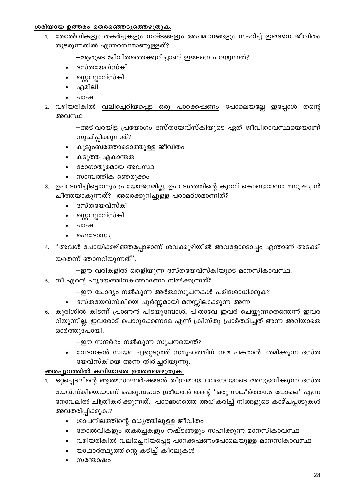#### ശരിയായ ഉത്തരം തെരഞ്ഞെടുത്തെഴുതുക.

- തോൽവികളും തകർച്ചകളും നഷ്ടങ്ങളും അപമാനങ്ങളും സഹിച്ച് ഇങ്ങനെ ജീവിതം 1. തുടരുന്നതിൽ എന്തർത്ഥമാണുള്ളത്?
	- —ആരുടെ ജീവിതത്തെക്കുറിച്ചാണ് ഇങ്ങനെ പറയുന്നത്?
	- ദസ്തയേവ്സ്കി
	- സ്റ്റെല്ലോവ്സ്കി
	- എമിലി
	- പാഷ
- 2. വഴിയരികിൽ വലിച്ചെറിയപ്പെട്ട ഒരു പാറക്കഷണ<u>ം</u> പോലെയല്ലേ ഇപ്പോൾ തന്റെ അവസ്ഥ
	- —അടിവരയിട്ട പ്രയോഗം ദസ്തയേവ്സ്കിയുടെ ഏത് ജീവിതാവസ്ഥയെയാണ് സൂചിപ്പിക്കുന്നത്?
	- കുടുംബത്തോടൊത്തുള്ള ജീവിതം
	- കടുത്ത ഏകാന്തത
	- രോഗാതുരമായ അവസ്ഥ
	- സാമ്പത്തിക ഞെരുക്കം
- 3. ഉപദേശിച്ചിട്ടൊന്നും പ്രയോജനമില്ല. ഉപദേശത്തിന്റെ കുറവ് കൊണ്ടാണോ മനുഷ്യ ൻ ചീത്തയാകുന്നത്? അരെക്കുറിച്ചുള്ള പരാമർശമാണിത്?
	- ദസ്തയേവ്സ്കി
	- സ്റ്റെല്ലോവ്സ്കി
	- പാഷ
	- ഫെദോസ്യ
- 4. ''അവൾ പോയിക്കഴിഞ്ഞപ്പോഴാണ് ശവക്കുഴിയിൽ അവളോടൊപ്പം എന്താണ് അടക്കി യതെന്ന് ഞാനറിയുന്നത്''.
	- —ഈ വരികളിൽ തെളിയുന്ന ദസ്തയേവ്സ്കിയുടെ മാനസികാവസ്ഥ.
- 5. നീ എന്റെ ഹൃദയത്തിനകത്താണോ നിൽക്കുന്നത്?
	- —ഈ ചോദ്യം നൽകുന്ന അർത്ഥസൂചനകൾ പരിശോധിക്കുക?
	- ദസ്തയേവ്സ്കിയെ പൂർണ്ണമായി മനസ്സിലാക്കുന്ന അന്ന
- 6. കുരിശിൽ കിടന്ന് പ്രാണൻ പിടയുമ്പോൾ, പിതാവേ ഇവർ ചെയ്യുന്നതെന്തെന്ന് ഇവര റിയുന്നില്ല. ഇവരോട് പൊറുക്കേണമേ എന്ന് ക്രിസ്തു പ്രാർത്ഥിച്ചത് അന്ന അറിയാതെ ഓർത്തുപോയി.
	- —ഈ സന്ദർഭം നൽകുന്ന സൂചനയെന്ത്?
	- വേദനകൾ സ്വയം ഏറ്റെടുത്ത് സമൂഹത്തിന് നന്മ പകരാൻ ശ്രമിക്കുന്ന ദസ്ത യേവ്സ്കിയെ അന്ന തിരിച്ചറിയുന്നു.

#### അരപ്പുറത്തിൽ <u>കവിയാതെ ഉത്തരമെഴുതുക.</u>

- ഒറ്റപ്പെടലിന്റെ ആത്മസംഘർഷങ്ങൾ തീവ്രമായ വേദനയോടെ അനുഭവിക്കുന്ന ദസ്ത  $1.$ യേവ്സ്കിയെയാണ് പെരുമ്പടവം ശ്രീധരൻ തന്റെ 'ഒരു സങ്കീർത്തനം പോലെ' എന്ന നോവലിൽ ചിത്രീകരിക്കുന്നത്. പാഠഭാഗത്തെ അധികരിച്ച് നിങ്ങളുടെ കാഴ്ചപ്പാടുകൾ അവതരിപ്പിക്കുക.?
	- ശാപനിലത്തിന്റെ മധ്യത്തിലുള്ള ജീവിതം
	- തോൽവികളും തകർച്ചകളും നഷ്ടങ്ങളും സഹിക്കുന്ന മാനസികാവസ്ഥ
	- വഴിയരികിൽ വലിച്ചെറിയപ്പെട്ട പാറക്കഷണംപോലെയുള്ള മാനസികാവസ്ഥ
	- യാഥാർത്ഥ്യത്തിന്റെ കടിച്ച് കീറലുകൾ
	- സന്തോഷം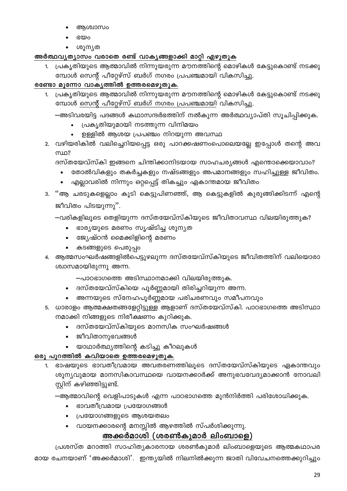- ആശ്വാസം
- ഭയം
- ശൂനൃത

#### <u>അർത്ഥവൃത്യാസം വരാതെ രണ്ട് വാക്യങ്ങളാക്കി മാറ്റി എഴുതുക</u>

1. പ്രകൃതിയുടെ ആത്മാവിൽ നിന്നുയരുന്ന മൗനത്തിന്റെ മൊഴികൾ കേട്ടുകൊണ്ട് നടക്കു മ്പോൾ സെന്റ് പീറ്റേഴ്സ് ബർഗ് നഗരം പ്രപഞ്ചമായി വികസിച്ചു.

#### രണ്ടോ മൂന്നോ വാകൃത്തിൽ ഉത്തരമെഴുതുക.

1. പ്രക്യതിയുടെ ആത്മാവിൽ നിന്നുയരുന്ന മൗനത്തിന്റെ മൊഴികൾ കേട്ടുകൊണ്ട് നടക്കു <u>മ്പോൾ സെന്റ് പീറ്റേഴ്സ് ബർഗ് നഗരം പ്രപഞ്ചമായി</u> വികസിച്ചു.

–അടിവരയിട്ട പദങ്ങൾ കഥാസന്ദർഭത്തിന് നൽകുന്ന അർത്ഥവ്യാപ്തി സൂചിപ്പിക്കുക.

- പ്രകൃതിയുമായി നടത്തുന്ന വിനിമയം
- ഉള്ളിൽ ആശയ പ്രപഞ്ചം നിറയുന്ന അവസ്ഥ  $\bullet$
- 2. വഴിയരികിൽ വലിച്ചെറിയപ്പെട്ട ഒരു പാറക്കഷണംപൊലെയല്ലേ ഇപ്പോൾ തന്റെ അവ സ്ഥ?

ദസ്തയേവ്സ്കി ഇങ്ങനെ ചിന്തിക്കാനിടയായ സാഹചര്യങ്ങൾ എന്തൊക്കെയാവാം?

- തോൽവികളും തകർച്ചകളും നഷ്ടങ്ങളും അപമാനങ്ങളും സഹിച്ചുള്ള ജീവിതം.
- എല്ലാവരിൽ നിന്നും ഒറ്റപ്പെട്ട് തികച്ചും ഏകാന്തമായ ജീവിതം
- 3. ''ആ ചരടുകളെല്ലാം കൂടി കെട്ടുപിണഞ്ഞ്, ആ കെട്ടുകളിൽ കുരുങ്ങിക്കിടന്ന് എന്റെ ജീവിതം പിടയുന്നു".

–വരികളിലൂടെ തെളിയുന്ന ദസ്തയേവ്സ്കിയുടെ ജീവിതാവസ്ഥ വിലയിരുത്തുക?

- ∙ ഭാര്യയുടെ മരണം സൃഷ്ടിച്ച ശൂന്യത
- ജ്യേഷ്ഠൻ മൈക്കിളിന്റെ മരണം
- കടങ്ങളുടെ പെരുപ്പറ
- 4. ആത്മസംഘർഷങ്ങളിൽപെട്ടുഴലുന്ന ദസ്തയേവ്സ്കിയുടെ ജീവിതത്തിന് വലിയൊരാ ശ്വാസമായിരുന്നു അന്ന.
	- –പാഠഭാഗത്തെ അടിസ്ഥാനമാക്കി വിലയിരുത്തുക.
	- ദസ്തയേവ്സ്കിയെ പൂർണ്ണമായി തിരിച്ചറിയുന്ന അന്ന.
	- അന്നയുടെ സ്നേഹപൂർണ്ണമായ പരിചരണവും സമീപനവും
- 5. ധാരാളം ആത്മക്ഷതങ്ങളേറ്റിട്ടുള്ള ആളാണ് ദസ്തയേവ്സ്കി. പാഠഭാഗത്തെ അടിസ്ഥാ നമാക്കി നിങ്ങളുടെ നിരീക്ഷണം കുറിക്കുക.
	- ദസ്തയേവ്സ്കിയുടെ മാനസിക സംഘർഷങ്ങൾ
	- ജീവിതാനുഭവങ്ങൾ
	- യാഥാർത്ഥ്യത്തിന്റെ കടിച്ചു കീറലുകൾ

### ഒരു പുറത്തിൽ കവിയാതെ ഉത്തരമെഴുതുക.

1. ഭാഷയുടെ ഭാവതീവ്രമായ അവതരണത്തിലൂടെ ദസ്തയേവ്സ്കിയുടെ ഏകാന്തവും ശൂന്യവുമായ മാനസികാവസ്ഥയെ വായനക്കാർക്ക് അനുഭവവേദ്യമാക്കാൻ നോവലി സ്റ്റിന് കഴിഞ്ഞിട്ടുണ്ട്.

—ആത്മാവിന്റെ വെളിപാടുകൾ എന്ന പാഠഭാഗത്തെ മുൻനിർത്തി പരിശോധിക്കുക.

- ഭാവതീവ്രമായ പ്രയോഗങ്ങൾ
- പ്രയോഗങ്ങളുടെ ആശയതലം
- വായനക്കാരന്റെ മനസ്സിൽ ആഴത്തിൽ സ്പർശിക്കുന്നു.

# അക്കർമാശി (ശരൺകുമാർ ലിംബാളെ)

പ്രശസ്ത മറാത്തി സാഹിത്യകാരനായ ശരൺകുമാർ ലിംബാളെയുടെ ആത്മകഥാപര മായ രചനയാണ് 'അക്കർമാശി'. ഇന്ത്യയിൽ നിലനിൽക്കുന്ന ജാതി വിവേചനത്തെക്കുറിച്ചും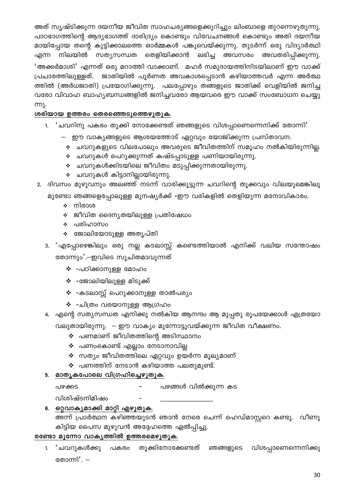അത് സൃഷ്ടിക്കുന്ന ദയനീയ ജീവിത സാഹചര്യങ്ങളെക്കുറിച്ചും ലിംബാളെ തുറന്നെഴുതുന്നു. പാഠഭാഗത്തിന്റെ ആദ്യഭാഗത്ത് ദാരിദ്ര്യം കൊണ്ടും വിവേചനങ്ങൾ കൊണ്ടും അതി ദയനീയ മായിപ്പോയ തന്റെ കുട്ടിക്കാലത്തെ ഓർമ്മകൾ പങ്കുവെയ്ക്കുന്നു. തുടർന്ന് ഒരു വിദ്യാർത്ഥി എന്ന നിലയിൽ സതൃസന്ധത തെളിയിക്കാൻ ലഭിച്ച അവസരം അവതരിപ്പിക്കുന്നു. 'അക്കർമാശി' എന്നത് ഒരു മറാത്തി വാക്കാണ്. മഹർ സമുദായത്തിനിടയിലാണ് ഈ വാക്ക് ജാതിയിൽ പൂർണത അവകാശപ്പെടാൻ കഴിയാത്തവർ എന്ന അർത്ഥ പ്രചാരത്തിലുള്ളത്. ത്തിൽ (അർധജാതി) പ്രയോഗിക്കുന്നു. പലപ്പോഴും തങ്ങളുടെ ജാതിക്ക് വെളിയിൽ ജനിച്ച വരോ വിവാഹ ബാഹ്യബന്ധങ്ങളിൽ ജനിച്ചവരോ ആയവരെ ഈ വാക്ക് സംബോധന ചെയ്യു <u>m)</u>.

#### ശരിയായ ഉത്തരം തെരഞ്ഞെടുത്തെഴുതുക.

- ് ചവറിനു പകരം തൂക്കി നോക്കേണ്ടത് ഞങ്ങളുടെ വിശപ്പാണെന്നെനിക്ക് തോന്നി'
	- ഈ വാകൃങ്ങളുടെ ആശയത്തോട് ഏറ്റവും യോജിക്കുന്ന പ്രസ്താവന.
		- ∻ ചവറുകളുടെ വിലപോലും അവരുടെ ജീവിതത്തിന് സമൂഹം നൽകിയിരുന്നില്ല.
		- ∻ ചവറുകൾ പെറുക്കുന്നത് കഷ്ടപ്പാടുള്ള പണിയായിരുന്നു.
		- ∻ ചവറുകൾക്കിടയിലെ ജീവിതം മടുപ്പിക്കുന്നതായിരുന്നു.
		- ∻ ചവറുകൾ കിട്ടാനില്ലായിരുന്നു.
- 2. ദിവസം മുഴുവനും അലഞ്ഞ് നടന്ന് വാരിക്കൂട്ടുന്ന ചവറിന്റെ തൂക്കവും വിലയുമെങ്കിലു മുണ്ടോ ഞങ്ങളെപ്പോലുള്ള മുനഷ്യർക്ക് -ഈ വരികളിൽ തെളിയുന്ന മനോവികാരം.
	- ∻ നിരാശ
	- $\boldsymbol{\cdot}$  ജീവിത ദൈന്യതയിലുള്ള പ്രതിഷേധം
	- ∻ പരിഹാസം
	- ∻ ജോലിയോടുള്ള അത്യപ്തി
	- 3. 'എപ്പോഴെങ്കിലും ഒരു നല്ല കടലാസ്സ് കണ്ടെത്തിയാൽ എനിക്ക് വലിയ സന്തോഷം തോന്നും'.–ഇവിടെ സൂചിതമാവുന്നത്
		- $\cdot$  -പഠിക്കാനുള്ള മോഹം
		- $\boldsymbol{\dot{\cdot}}$  -ജോലിയിലുള്ള മിടുക്ക്
		- $\boldsymbol{\dot{\cdot}}$  -കടലാസ്സ് പെറുക്കാനുള്ള താൽപര്യം
		- ❖ -ചിത്രം വരയാനുള്ള ആഗ്രഹം
	- 4. എന്റെ സത്യസന്ധത എനിക്കു നൽകിയ ആനന്ദം ആ മുപ്പതു രൂപയേക്കാൾ എത്രയോ വലുതായിരുന്നു. — ഈ വാക്യം മുന്നോട്ടുവയ്ക്കുന്ന ജീവിത വീക്ഷണം.
		- $\boldsymbol{\cdot}$  പണമാണ് ജീവിതത്തിന്റെ അടിസ്ഥാനം
		- ❖ പണംകൊണ്ട് എല്ലാം നേടാനാവില്ല
		- ❖ സത്യം ജീവിതത്തിലെ ഏറ്റവും ഉയർന്ന മൂല്യമാണ്
		- $\boldsymbol{\cdot}$  പണത്തിന് നേടാൻ കഴിയാത്ത പലതുമുണ്ട്.

#### 5. മാതൃകപോലെ വിഗ്രഹിച്ചെഴുതുക.

പഴക്കട

പഴങ്ങൾ വിൽക്കുന്ന കട

വിശിഷ്ടനിമിഷം

### 6. ഒറ്റവാകൃമാക്കി മാറ്റി എഴുതുക.

അന്ന് പ്രാർത്ഥന കഴിഞ്ഞയുടൻ ഞാൻ നേരെ ചെന്ന് ഹെഡ്മാസ്റ്ററെ കണ്ടു. വീണു കിട്ടിയ പൈസ മുഴുവൻ അദ്ദേഹത്തെ ഏൽപ്പിച്ചു.

#### രണ്ടോ മൂന്നോ വാകൃത്തിൽ ഉത്തരമെഴുതുക.

തൂക്കിനോക്കേണ്ടത് ഞങ്ങളുടെ ്ചവറുകൾക്കു പകരം  $1.$ വിശപ്പാണെന്നെനിക്കു തോന്നി'. –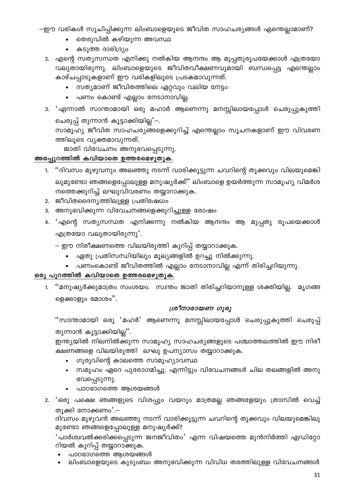–ഈ വരികൾ സൂചിപ്പിക്കുന്ന ലിംബാളെയുടെ ജീവിത സാഹചര്യങ്ങൾ എന്തെല്ലാമാണ്?

- തെരുവിൽ കഴിയുന്ന അവസ്ഥ
- കടുത്ത ദാരിദ്ര്യം
- 2. എന്റെ സത്യസന്ധത എനിക്കു നൽകിയ ആനന്ദം ആ മുപ്പതുരൂപയേക്കാൾ എത്രയോ വലുതായിരുന്നു. ലിംബാളെയുടെ ജീവിതവീക്ഷണവുമായി ബന്ധപ്പെട്ട എന്തെല്ലാം കാഴ്ചപ്പാടുകളാണ് ഈ വരികളിലൂടെ പ്രടകമാവുന്നത്.
	- സത്യമാണ് ജീവിതത്തിലെ ഏറ്റവും വലിയ നേട്ടം
	- പണം കൊണ്ട് എല്ലാം നേടാനാവില്ല.
- 3. 'എന്നാൽ സാന്താമായി ഒരു മഹാർ ആണെന്നു മനസ്സിലായപ്പോൾ ചെരുപ്പുകുത്തി ചെരുപ്പ് തുന്നാൻ കൂട്ടാക്കിയില്ല'-.

സാമൂഹ്യ ജീവിത സാഹചര്യങ്ങളെക്കുറിച്ച് എന്തെല്ലാം സൂചനകളാണ് ഈ വിവരണ ത്തിലൂടെ വ്യക്തമാവുന്നത്.

ജാതി വിവേചനം അനുഭവപ്പെടുന്നു.

#### അരപ്പുറത്തിൽ കവിയാതെ ഉത്തരമെഴുതുക.

- 1. "ദിവസം മുഴുവനും അലഞ്ഞു നടന്ന് വാരിക്കൂട്ടുന്ന ചവറിന്റെ തൂക്കവും വിലയുമെങ്കി ലുമുണ്ടോ ഞങ്ങളെപ്പോലുള്ള മനുഷ്യർക്ക്'' ലിംബാളെ ഉയർത്തുന്ന സാമൂഹ്യ വിമർശ നത്തെക്കുറിച്ച് ലഘുവിവരണം തയ്യാറാക്കുക.
- 2. ജീവിതദൈന്യത്തിലുള്ള പ്രതിഷേധം
- 3. അനുഭവിക്കുന്ന വിവേചനങ്ങളെക്കുറിച്ചുള്ള രോഷം
- 4. 'എന്റെ സത്യസന്ധത എനിക്കന്നു നൽകിയ ആനന്ദം ആ മുപ്പതു രൂപയെക്കാൾ എത്രയോ വലുതായിരുന്നു'.
	- ഈ നിരീക്ഷണത്തെ വിലയിരുത്തി കുറിപ്പ് തയ്യാറാക്കുക.
		- ഏതു പ്രതിസന്ധിയിലും മൂല്യങ്ങളിൽ ഉറച്ചു നിൽക്കുന്നു.
		- പണംകൊണ്ട് ജീവിതത്തിൽ എല്ലാം നേടാനാവില്ല എന്ന് തിരിച്ചറിയുന്നു.  $\bullet$

#### ഒരു പുറത്തിൽ കവിയാതെ ഉത്തരമെഴുതുക.

1. ''മനുഷ്യർക്കുമാത്രം സംശയം. സ്വന്തം ജാതി തിരിച്ചറിയാനുള്ള ശക്തിയില്ല. മൃഗങ്ങ ളെക്കാളും മോശം".

#### ശ്രീനാരായണ ഗുരു

''സാന്താമായി ഒരു 'മഹർ' ആണെന്നു മനസ്സിലായപ്പോൾ ചെരുപ്പുകുത്തി ചെരുപ്പ് തുന്നാൻ കൂട്ടാക്കിയില്ല''.

ഇന്ത്യയിൽ നിലനിൽക്കുന്ന സാമൂഹ്യ സാഹചര്യങ്ങളുടെ പശ്ചാത്തലത്തിൽ ഈ നിരീ ക്ഷണങ്ങളെ വിലയിരുത്തി ലഘു ഉപന്യാസം തയ്യാറാക്കുക.

- ഗുരുവിന്റെ കാലത്തെ സാമൂഹ്യാവസ്ഥ
- സമൂഹം ഏറെ പുരോഗമിച്ചു. എന്നിട്ടും വിവേചനങ്ങൾ ചില തലങ്ങളിൽ അനു ഭവപ്പെടുന്നു.
- പാഠഭാഗത്തെ ആശയങ്ങൾ
- 2. 'ഒരു പക്ഷെ ഞങ്ങളുടെ വിശപ്പും വയറും മാത്രമല്ല ഞങ്ങളേയും ത്രാസിൽ വെച്ച് തൂക്കി നോക്കണം'. $-$

ദിവസം മുഴുവൻ അലഞ്ഞു നടന്ന് വാരിക്കൂട്ടുന്ന ചവറിന്റെ തൂക്കവും വിലയുമെങ്കിലു മുണ്ടോ ഞങ്ങളെപ്പോലുള്ള മനുഷ്യർക്ക്?

'പാർശ്വവൽക്കരിക്കപ്പെടുന്ന ജനജീവിതം' എന്ന വിഷയത്തെ മുൻനിർത്തി എഡിറ്റോ റിയൽ കുറിപ്പ് തയ്യാറാക്കുക.

- പാഠഭാഗത്തെ ആശയങ്ങൾ
- ലിംബാളെയുടെ കുടുംബം അനുഭവിക്കുന്ന വിവിധ തരത്തിലുള്ള വിവേചനങ്ങൾ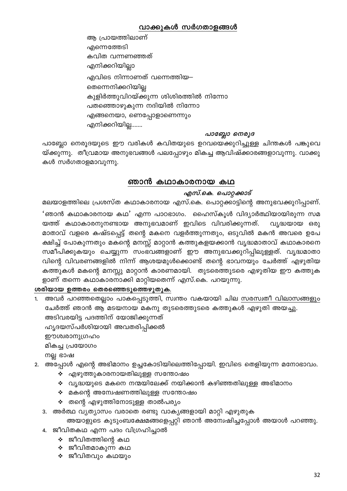ആ പ്രായത്തിലാണ് എന്നെത്തേടി കവിത വന്നണഞ്ഞത് എനിക്കറിയില്ലാ എവിടെ നിന്നാണത് വന്നെത്തിയ— തെന്നെനിക്കറിയില്ല കുളിർത്തുവിറയ്ക്കുന്ന ശിശിരത്തിൽ നിന്നോ പതഞ്ഞൊഴുകുന്ന നദിയിൽ നിന്നോ എങ്ങനെയാ, ണെപ്പോളാണെന്നും എനിക്കറിയില്ല…….

#### പാബ്ലോ നെരൂദ

പാബ്ലോ നെരൂദയുടെ ഈ വരികൾ കവിതയുടെ ഉറവയെക്കുറിച്ചുള്ള ചിന്തകൾ പങ്കുവെ യ്ക്കുന്നു. തീവ്രമായ അനുഭവങ്ങൾ പലപ്പോഴും മികച്ച ആവിഷ്ക്കാരങ്ങളാവുന്നു. വാക്കു കൾ സർഗതാളമാവുന്നു.

### ഞാൻ കഥാകാരനായ കഥ

#### എസ്.കെ. പൊറ്റക്കാട്

മലയാളത്തിലെ പ്രശസ്ത കഥാകാരനായ എസ്.കെ. പൊറ്റക്കാട്ടിന്റെ അനുഭവക്കുറിപ്പാണ്. 'ഞാൻ കഥാകാരനായ കഥ' എന്ന പാഠഭാഗം. ഹൈസ്കൂൾ വിദ്യാർത്ഥിയായിരുന്ന സമ യത്ത് കഥാകാരനുനണ്ടായ അനുഭവമാണ് ഇവിടെ വിവരിക്കുന്നത്. വ്/ദ്ധതാത ഒരു മാതാവ് വളരെ കഷ്ടപ്പെട്ട് തന്റെ മകനെ വളർത്തുന്നതും, ഒടുവിൽ മകൻ അവരെ ഉപേ ക്ഷിച്ച് പോകുന്നതും മകന്റെ മനസ്സ് മാറ്റാൻ കത്തുകളയക്കാൻ വൃദ്ധമാതാവ് കഥാകാരനെ സമീപിക്കുകയും ചെയ്യുന്ന സംഭവങ്ങളാണ് ഈ അനുഭവക്കുറിപ്പിലുള്ളത്. വൃദ്ധമാതാ വിന്റെ വിവരണങ്ങളിൽ നിന്ന് ആശയമുൾക്കൊണ്ട് തന്റെ ഭാവനയും ചേർത്ത് എഴുതിയ കത്തുകൾ മകന്റെ മനസ്സു മാറ്റാൻ കാരണമായി. തുടരെത്തുടരെ എഴുതിയ ഈ കത്തുക ളാണ് തന്നെ കഥാകാരനാക്കി മാറ്റിയതെന്ന് എസ്.കെ. പറയുന്നു.

#### ശരിയായ ഉത്തരം തെരഞ്ഞെടുത്തെഴുതുക.

- അവർ പറഞ്ഞതെല്ലാം പാകപ്പെടുത്തി, സ്വന്തം വകയായി ചില <u>സരസ്വതീ വിലാസങ്ങളും</u> ചേർത്ത് ഞാൻ ആ മടയനായ മകനു തുടരെത്തുടരെ കത്തുകൾ എഴുതി അയച്ചു. അടിവരയിട്ട പദത്തിന് യോജിക്കുന്നത്
	- ഹൃദയസ്പർശിയായി അവതരിപ്പിക്കൽ
	- ഇൗശ്വരാനുഗ്രഹം
	- മികച്ച പ്രയോഗം
	- നല്ല ഭാഷ
- 2. അപ്പോൾ എന്റെ അഭിമാനം ഉച്ചകോടിയിലെത്തിപ്പോയി. ഇവിടെ തെളിയുന്ന മനോഭാവം.
	- ❖ എഴുത്തുകാരനായതിലുള്ള സന്തോഷം
	- $\boldsymbol{\cdot}$  വൃദ്ധയുടെ മകനെ നന്മയിലേക്ക് നയിക്കാൻ കഴിഞ്ഞതിലുള്ള അഭിമാനം
	- $\boldsymbol{\cdot}$  മകന്റെ അന്വേഷണത്തിലുള്ള സന്തോഷം
	- ❖ തന്റെ എഴുത്തിനോടുള്ള താൽപര്യം
	- 3. അർത്ഥ വ്യത്യാസം വരാതെ രണ്ടു വാക്യങ്ങളായി മാറ്റി എഴുതുക
		- അയാളുടെ കുടുംബക്ഷേമങ്ങളെപ്പറ്റി ഞാൻ അന്വേഷിച്ചപ്പോൾ അയാൾ പറഞ്ഞു.
	- 4. ജീവിതകഥ എന്ന പദം വിഗ്രഹിച്ചാൽ
		- $\div$  ജീവിതത്തിന്റെ കഥ
		- ∻ ജീവിതമാകുന്ന കഥ
		- $\div$  ജീവിതവും കഥയും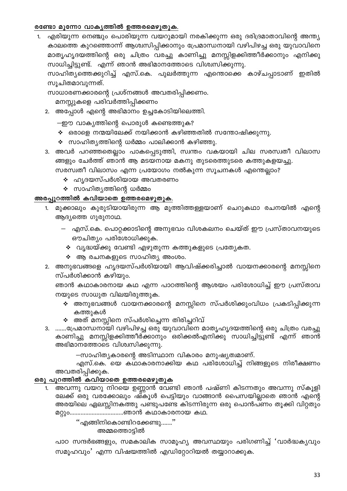#### രണ്ടോ മൂന്നോ വാകൃത്തിൽ ഉത്തരമെഴുതുക.

1. എരിയുന്ന നെഞ്ചും പൊരിയുന്ന വയറുമായി നരകിക്കുന്ന ഒരു ദരിദ്രമാതാവിന്റെ അന്ത്യ കാലത്തെ കുറഞ്ഞൊന്ന് ആശ്വസിപ്പിക്കാനും പ്രേമാന്ധനായി വഴിപിഴച്ച ഒരു യുവാവിനെ മാതൃഹൃദയത്തിന്റെ ഒരു ചിത്രം വരച്ചു കാണിച്ചു മനസ്സിളക്കിത്തീർക്കാനും എനിക്കു സാധിച്ചിട്ടുണ്ട്. എന്ന് ഞാൻ അഭിമാനത്തോടെ വിശ്വസിക്കുന്നു.

സാഹിത്യത്തെക്കുറിച്ച് എസ്.കെ. പുലർത്തുന്ന എന്തൊക്കെ കാഴ്ചപ്പാടാണ് ഇതിൽ സൂചിതമാവുന്നത്.

സാധാരണക്കാരന്റെ പ്രശ്നങ്ങൾ അവതരിപ്പിക്കണം.

മനസ്സുകളെ പരിവർത്തിപ്പിക്കണം

2. അപ്പോൾ എന്റെ അഭിമാനം ഉച്ചകോടിയിലെത്തി.

—ഈ വാകൃത്തിന്റെ പൊരുൾ കണ്ടെത്തുക?

- $\boldsymbol{\cdot}$  ഒരാളെ നന്മയിലേക്ക് നയിക്കാൻ കഴിഞ്ഞതിൽ സന്തോഷിക്കുന്നു.
- $\boldsymbol{\cdot}$  സാഹിത്യത്തിന്റെ ധർമ്മം പാലിക്കാൻ കഴിഞ്ഞു.
- 3. അവർ പറഞ്ഞതെല്ലാം പാകപ്പെടുത്തി, സ്വന്തം വകയായി ചില സരസ്വതീ വിലാസ ങ്ങളും ചേർത്ത് ഞാൻ ആ മടയനായ മകനു തുടരെത്തുടരെ കത്തുകളയച്ചു.
	- സരസ്വതീ വിലാസം എന്ന പ്രയോഗം നൽകുന്ന സൂചനകൾ എന്തെല്ലാം?
		- ❖ ഹൃദയസ്പർശിയായ അവതരണം
		- $\boldsymbol{\cdot}$  സാഹിത്യത്തിന്റെ ധർമ്മം

#### അരപ്പുറത്തിൽ കവിയാതെ ഉത്തരമെഴുതുക.

- മുക്കാലും കുരുടിയായിരുന്ന ആ മുത്തിത്തള്ളയാണ് ചെറുകഥാ രചനയിൽ എന്റെ  $1.$ ആദ്യത്തെ ഗുരുനാഥ.
	- എസ്.കെ. പൊറ്റക്കാടിന്റെ അനുഭവം വിശകലനം ചെയ്ത് ഈ പ്രസ്താവനയുടെ ഔചിത്യം പരിശോധിക്കുക.
		- $\boldsymbol{\cdot}$  വൃദ്ധയ്ക്കു വേണ്ടി എഴുതുന്ന കത്തുകളുടെ പ്രത്യേകത.
		- ∻ ആ രചനകളുടെ സാഹിത്യ അംശം.
- 2. അനുഭവങ്ങളെ ഹൃദയസ്പർശിയായി ആവിഷ്ക്കരിച്ചാൽ വായനക്കാരന്റെ മനസ്സിനെ സ്പർശിക്കാൻ കഴിയും.

ഞാൻ കഥാകാരനായ കഥ എന്ന പാഠത്തിന്റെ ആശയം പരിശോധിച്ച് ഈ പ്രസ്താവ നയുടെ സാധുത വിലയിരുത്തുക.

- ❖ അനുഭവങ്ങൾ വായനക്കാരന്റെ മനസ്സിനെ സ്പർശിക്കുംവിധം പ്രകടിപ്പിക്കുന്ന കത്തുകൾ
- ❖ അത് മനസ്സിനെ സ്പർശിച്ചെന്ന തിരിച്ചറിവ്
- 3. .......പ്രേമാന്ധനായി വഴിപിഴച്ച ഒരു യുവാവിനെ മാതൃഹൃദയത്തിന്റെ ഒരു ചിത്രം വരച്ചു കാണിച്ചു മനസ്സിളക്കിത്തീർക്കാനും ഒരിക്കൽഎനിക്കു സാധിച്ചിട്ടുണ്ട് എന്ന് ഞാൻ അഭിമാനത്തോടെ വിശ്വസിക്കുന്നു.

—സാഹിത്യകാരന്റെ അടിസ്ഥാന വികാരം മനുഷ്യത്വമാണ്.

എസ്.കെ. യെ കഥാകാരനാക്കിയ കഥ പരിശോധിച്ച് നിങ്ങളുടെ നിരീക്ഷണം അവതരിപ്പിക്കുക.

#### ഒരു പുറത്തിൽ കവിയാതെ ഉത്തരമെഴുതുക

അവന്നു വയറു നിറയെ ഉണ്ണാൻ വേണ്ടി ഞാൻ പഷ്ണി കിടന്നതും അവന്നു സ്കൂളി ലേക്ക് ഒരു വരക്കോലും ഷ്കൂൾ പെട്ടിയും വാങ്ങാൻ പൈസയില്ലാതെ ഞാൻ എന്റെ അരയിലെ ഏലസ്സിനകത്തു പണ്ടുപണ്ടേ കിടന്നിരുന്ന ഒരു പൊൻപണം തൂക്കി വിറ്റതും മറ്റും...............................ഞാൻ കഥാകാരനായ കഥ.

''എങ്ങിനികൊണ്ടിറക്കേണ്ടു…….'' അമ്മത്തൊട്ടിൽ

പാഠ സന്ദർഭങ്ങളും, സമകാലിക സാമൂഹ്യ അവസ്ഥയും പരിഗണിച്ച് 'വാർദ്ധകൃവും സമൂഹവും' എന്ന വിഷയത്തിൽ എഡിറ്റോറിയൽ തയ്യാറാക്കുക.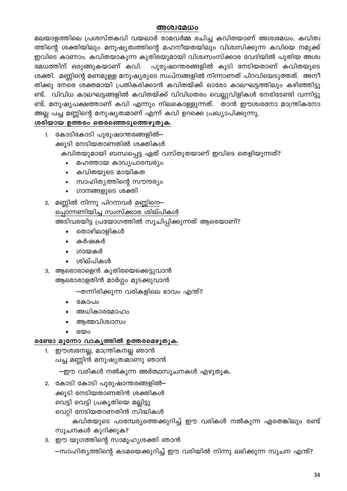#### അശ്വമേധം

മലയാളത്തിലെ പ്രശസ്തകവി വയലാർ രാമവർമ്മ രചിച്ച കവിതയാണ് അശ്വമേധം. കവിത്വ ത്തിന്റെ ശക്തിയിലും മനുഷ്യത്വത്തിന്റെ മഹനീയതയിലും വിശ്വസിക്കുന്ന കവിയെ നമുക്ക് ഇവിടെ കാണാം. കവിതയാകുന്ന കുതിരയുമായി വിശ്വസംസ്ക്കാര വേദിയിൽ പുതിയ അശ്വ മേധത്തിന് ഒരുങ്ങുകയാണ് കവി. പുരുഷാന്തരങ്ങളിൽ കൂടി നേടിയതാണ് കവിതയുടെ ശക്തി. മണ്ണിന്റെ മണമുള്ള മനുഷ്യരുടെ സ്വപ്നങ്ങളിൽ നിന്നാണത് പിറവിയെടുത്തത്. അനീ തിക്കു നേരെ ശക്തമായി പ്രതികരിക്കാൻ കവിതയ്ക്ക് ഓരോ കാലഘട്ടത്തിലും കഴിഞ്ഞിട്ടു ണ്ട്. വിവിധ കാലഘട്ടങ്ങളിൽ കവിതയ്ക്ക് വിവിധതരം വെല്ലുവിളികൾ നേരിടേണ്ടി വന്നിട്ടു ണ്ട്. മനുഷ്യപക്ഷത്താണ് കവി എന്നും നിലകൊള്ളുന്നത്. താൻ ഈശ്വരനോ മാന്ത്രികനോ അല്ല പച്ച മണ്ണിന്റെ മനുഷ്യത്വമാണ് എന്ന് കവി ഉറക്കെ പ്രഖ്യാപിക്കുന്നു.

#### <u>ശരിയായ ഉത്തരം തെരഞ്ഞെടുത്തെഴുതുക.</u>

1. കോടികോടി പുരുഷാന്തരങ്ങളിൽ– ക്കൂടി നേടിയതാണതിൽ ശക്തികൾ

കവിതയുമായി ബന്ധപ്പെട്ട ഏത് വസ്തുതയാണ് ഇവിടെ തെളിയുന്നത്?

- മഹത്തായ കാവൃപാരമ്പരൃം
- കവിതയുടെ മായികത
- സാഹിത്യത്തിന്റെ സൗന്ദര്യം
- ഗാനങ്ങളുടെ ശക്തി
- 2. മണ്ണിൽ നിന്നു പിറന്നവർ മണ്ണിനെ– <u>പ്പൊന്നണിയിച്ച സംസ്ക്കാര ശില്പികൾ</u> അടിവരയിട്ട പ്രയോഗത്തിൽ സൂചിപ്പിക്കുന്നത് ആരെയാണ്?
	- തൊഴിലാളികൾ
	- കർഷകർ
	- ഗായകർ
	- ശില്പികൾ
- 3. ആരൊരാളെൻ കുതിരയെക്കെട്ടുവാൻ ആരൊരാളതിൻ മാർഗ്ഗം മുടക്കുവാൻ
	- —തന്നിരിക്കുന്ന വരികളിലെ ഭാവം എന്ത്?
	- കോപം
	- അധികാരമോഹം
	- ആത്മവിശ്വാസം
	- ഭയം  $\bullet$

#### രണ്ടോ മൂന്നോ വാകൃത്തിൽ ഉത്തരമെഴുതുക.

ഈശ്വരനല്ല, മാന്ത്രികനല്ല ഞാൻ  $1.$ പച്ച മണ്ണിൻ മനുഷ്യത്വമാണു ഞാൻ

—ഈ വരികൾ നൽകുന്ന അർത്ഥസൂചനകൾ എഴുതുക.

2. കോടി കോടി പുരുഷാന്തരങ്ങളിൽ–

ക്കുടി നേടിയതാണതിൻ ശക്തികൾ

- വെട്ടി വെട്ടി പ്രകൃതിയെ മല്ലിട്ടു
- വെറ്റി നേടിയതാണതിൻ സിദ്ധികൾ

കവിതയുടെ പാരമ്പര്യത്തെക്കുറിച്ച് ഈ വരികൾ നൽകുന്ന ഏതെങ്കിലും രണ്ട് സൂചനകൾ കുറിക്കുക?

3. ഈ യുഗത്തിന്റെ സാമൂഹ്യശക്തി ഞാൻ

—സാഹിത്യത്തിന്റെ കടമയെക്കുറിച്ച് ഈ വരിയിൽ നിന്നു ലഭിക്കുന്ന സൂചന എന്ത്?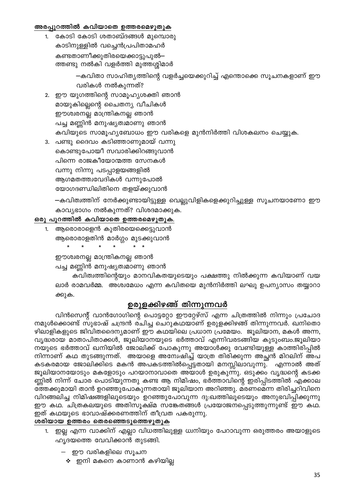#### അരപ്പുറത്തിൽ കവിയാതെ ഉത്തരമെഴുതുക

കോടി കോടി ശതാബ്ദങ്ങൾ മുമ്പൊരു കാടിനുള്ളിൽ വച്ചെൻപ്രപിതാമഹർ കണ്ടതാണീക്കുതിരയെക്കാട്ടുപുൽ— ത്തണ്ടു നൽകി വളർത്തി മുത്തശ്ശിമാർ

> –കവിതാ സാഹിത്യത്തിന്റെ വളർച്ചയെക്കുറിച്ച് എന്തൊക്കെ സൂചനകളാണ് ഈ വരികൾ നൽകുന്നത്?

- 2. ഈ യുഗത്തിന്റെ സാമൂഹ്യശക്തി ഞാൻ മായുകില്ലെന്റെ ചൈതന്യ വീചികൾ ഈശ്വരനല്ല മാന്ത്രികനല്ല ഞാൻ പച്ച മണ്ണിൻ മനുഷ്യത്വമാണു ഞാൻ കവിയുടെ സാമൂഹ്യബോധം ഈ വരികളെ മുൻനിർത്തി വിശകലനം ചെയ്യുക.
- 3. പണ്ടു ദൈവം കടിഞ്ഞാണുമായ് വന്നു കൊണ്ടുപോയീ സവാരിക്കിറങ്ങുവാൻ പിന്നെ രാജകീയോന്മത്ത സേനകൾ വന്നു നിന്നു പടപ്പാളയങ്ങളിൽ ആഗമതത്ത്വവേദികൾ വന്നുപോൽ യോഗദണ്ഡിലിതിനെ തളയ്ക്കുവാൻ

—കവിത്വത്തിന് നേർക്കുണ്ടായിട്ടുള്ള വെല്ലുവിളികളെക്കുറിച്ചുള്ള സൂചനയാണോ ഈ കാവ്യഭാഗം നൽകുന്നത്? വിശദമാക്കുക.

#### ഒരു പുറത്തിൽ കവിയാതെ ഉത്തരമെഴുതുക.

1. ആരൊരാളെൻ കുതിരയെക്കെട്ടുവാൻ ആരൊരാളതിൻ മാർഗ്ഗം മുടക്കുവാൻ

ഈശ്വരനല്ല മാന്ത്രികനല്ല ഞാൻ പച്ച മണ്ണിൻ മനുഷ്യത്വമാണു ഞാൻ

കവിത്വത്തിന്റെയും മാനവികതയുടെയും പക്ഷത്തു നിൽക്കുന്ന കവിയാണ് വയ ലാർ രാമവർമ്മ. അശ്വമേധം എന്ന കവിതയെ മുൻനിർത്തി ലഘു ഉപന്യാസം തയ്യാറാ ക്കുക.

### ഉരുളക്കിഴങ്ങ് തിന്നുന്നവർ

വിൻസെന്റ് വാൻഗോഗിന്റെ പൊട്ടറ്റോ ഈറ്റേഴ്സ് എന്ന ചിത്രത്തിൽ നിന്നും പ്രചോദ നമുൾക്കൊണ്ട് സുഭാഷ് ചന്ദ്രൻ ര്ചിച്ച ചെറുകഥയാണ് ഉരുളക്കിഴങ്ങ് തിന്നുന്നവർ. ഖനിതൊ ഴിലാളികളുടെ ജിവിതദൈന്യമാണ് ഈ കഥയിലെ പ്രധാന പ്രമേയം. ജൂലിയാന, മകൾ അന്ന, വൃദ്ധരായ മാതാപിതാക്കൾ, ജൂലിയാനയുടെ ഭർത്താവ് എന്നിവരടങ്ങിയ കുടുംബം.ജൂലിയാ നയുടെ ഭർത്താവ് ഖനിയിൽ ജോലിക്ക് പോകുന്നു അയാൾക്കു വേണ്ടിയുള്ള കാത്തിരിപ്പിൽ നിന്നാണ് കഥ തുടങ്ങുന്നത്. അയാളെ അന്വേഷിച്ച് യാത്ര തിരിക്കുന്ന അച്ഛൻ മിറലിന് അപ കടകരമായ ജോലിക്കിടെ മകൻ അപകടത്തിൽപ്പെട്ടതായി മനസ്സിലാവുന്നു. എന്നാൽ അത് ജൂലിയാനയോടും മകളോടും പറയാനാവാതെ അയാൾ ഉരുകുന്നു. ഒടുക്കം വൃദ്ധന്റെ കടക്ക ണ്ണിൽ നിന്ന് ചോര പൊടിയുന്നതു കണ്ട ആ നിമിഷം, ഭർത്താവിന്റെ ഇരിപ്പിടത്തിൽ എക്കാല ത്തേക്കുമായി താൻ ഉറഞ്ഞുപോകുന്നതായി ജൂലിയാന അറിഞ്ഞു. മരണമെന്ന തിരിച്ചറിവിനെ വിറങ്ങലിച്ച നിമിഷങ്ങളിലൂടെയും ഉറഞ്ഞുപോവുന്ന ദു:ഖത്തിലൂടെയും അനുഭവിപ്പിക്കുന്നു ഈ കഥ. ചിത്രകലയുടെ അതിസൂക്ഷ്മ സങ്കേതങ്ങൾ പ്രയോജനപ്പെടുത്തുന്നുണ്ട് ഈ കഥ. ഇത് കഥയുടെ ഭാവാഷ്ക്കരണത്തിന് തീവ്രത പകരുന്നു.

#### <u>ശരിയായ ഉത്തരം തെരഞ്ഞെടുത്തെഴുതുക</u>

- 1. ഇല്ല എന്ന വാക്കിന് എല്ലാ വിധത്തിലുള്ള ധ്വനിയും പേറാവുന്ന ഒരുത്തരം അയാളുടെ ഹൃദയത്തെ വേവിക്കാൻ തുടങ്ങി.
	- ഈ വരികളിലെ സൂചന
		- $\boldsymbol{\cdot}$  ഇനി മകനെ കാണാൻ കഴിയില്ല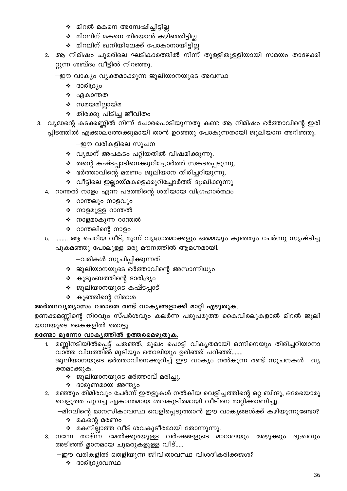- ❖ മിറൽ മകനെ അന്വേഷിച്ചിട്ടില്ല
- ❖ മിറലിന് മകനെ തിരയാൻ കഴിഞ്ഞിട്ടില്ല
- ❖ മിറലിന് ഖനിയിലേക്ക് പോകാനായിട്ടില്ല
- 2. ആ നിമിഷം ചുമരിലെ ഘടികാരത്തിൽ നിന്ന് തുള്ളിതുള്ളിയായി സമയം താഴേക്കി റ്റുന്ന ശബ്ദം വീട്ടിൽ നിറഞ്ഞു.
	- —ഈ വാക്യം വ്യക്തമാക്കുന്ന ജൂലിയാനയുടെ അവസ്ഥ
		- ∻ ദാരിദ്ര്യം
		- ∻ ഏകാന്തത
		- ❖ സമയമില്ലായ്മ
		- ∻ തിരക്കു പിടിച്ച ജീവിതം
- 3. വൃദ്ധന്റെ കടക്കണ്ണിൽ നിന്ന് ചോരപൊടിയുന്നതു കണ്ട ആ നിമിഷം ഭർത്താവിന്റെ ഇരി പ്പിടത്തിൽ എക്കാലത്തേക്കുമായി താൻ ഉറഞ്ഞു പോകുന്നതായി ജൂലിയാന അറിഞ്ഞു.
	- —ഈ വരികളിലെ സൂചന
	- ❖ വൃദ്ധന് അപകടം പറ്റിയതിൽ വിഷമിക്കുന്നു.
	- ❖ തന്റെ കഷ്ടപ്പാടിനെക്കുറിച്ചോർത്ത് സങ്കടപ്പെടുന്നു.
	- $\boldsymbol{\cdot}$  ഭർത്താവിന്റെ മരണം ജൂലിയാന തിരിച്ചറിയുന്നു.
	- $\boldsymbol{\cdot}$  വീട്ടിലെ ഇല്ലായ്മകളെക്കുറിച്ചോർത്ത് ദു:ഖിക്കുന്നു
	- 4. റാന്തൽ നാളം എന്ന പദത്തിന്റെ ശരിയായ വിഗ്രഹാർത്ഥം
		- ❖ റാന്തലും നാളവും
		- $\boldsymbol{\cdot}$  നാളമുള്ള റാന്തൽ
		- ❖ നാളമാകുന്ന റാന്തൽ
		- $\boldsymbol{\cdot}$ െറാന്തലിന്റെ നാളം
	- 5. ........ ആ ചെറിയ വീട്, മൂന്ന് വൃദ്ധാത്മാക്കളും ഒരമ്മയും കുഞ്ഞും ചേർന്നു സൃഷ്ടിച്ച പുകമഞ്ഞു പോലുള്ള ഒരു മൗനത്തിൽ ആമഗ്നമായി.
		- —വരികൾ സൂചിപ്പിക്കുന്നത്
		- $\boldsymbol{\dot{\ast}}$  ജൂലിയാനയുടെ ഭർത്താവിന്റെ അസാന്നിധ്യം
		- ❖ കുടുംബത്തിന്റെ ദാരിദ്ര്യം
		- ❖ ജൂലിയാനയുടെ കഷ്ടപ്പാട്
		- $\boldsymbol{\cdot}$  കുഞ്ഞിന്റെ നിരാശ

#### <u>അർത്ഥവൃത്യാസം വരാതെ രണ്ട് വാകൃങ്ങളാക്കി മാറ്റി എഴുതുക.</u>

ഉണക്കമണ്ണിന്റെ നിറവും സ്പർശവും കലർന്ന പരുപരുത്ത കൈവിരലുകളാൽ മിറൽ ജൂലി യാനയുടെ കൈകളിൽ തൊട്ടു.

#### <u>രണ്ടോ മൂന്നോ വാകൃത്തിൽ ഉത്തരമെഴുതുക.</u>

മണ്ണിനടിയിൽപ്പെട്ട് ചതഞ്ഞ്, മുഖം പൊട്ടി വികൃതമായി ഒന്നിനെയും തിരിച്ചറിയാനാ 1. വാത്ത വിധത്തിൽ മുടിയും തൊലിയും ഉരിഞ്ഞ് പറിഞ്ഞ്.......

ജൂലിയാനയുടെ ഭർത്താവിനെക്കുറിച്ച് ഈ വാക്യം നൽകുന്ന രണ്ട് സൂചനകൾ വ്യ ക്തമാക്കുക.

- ∻ ജൂലിയാനയുടെ ഭർത്താവ് മരിച്ചു.
- ∻ ദാരുണമായ അന്ത്യം
- 2. മഞ്ഞും തിമിരവും ചേർന്ന് ഇതളുകൾ നൽകിയ വെളിച്ചത്തിന്റെ ഒറ്റ ബിന്ദു, ഒരേയൊരു വെളുത്ത പൂവച്ച ഏകാന്തമായ ശവകുടീരമായി വീടിനെ മാറ്റിക്കാണിച്ചു.
	- —മിറലിന്റെ മാനസികാവസ്ഥ വെളിപ്പെടുത്താൻ ഈ വാക്യങ്ങൾക്ക് കഴിയുന്നുണ്ടോ?
		- $\boldsymbol{\cdot}$  മകന്റെ മരണം
		- ❖ മകനില്ലാത്ത വീട് ശവകുടീരമായി തോന്നുന്നു.
- 3. നന്നേ താഴ്ന്ന മേൽക്കൂരയുള്ള വർഷങ്ങളുടെ മാറാലയും അഴുക്കും ദു:ഖവും അടിഞ്ഞ് മ്ലാനമായ ചുമരുകളുള്ള വീട്.....

 $-$ ഈ വരികളിൽ തെളിയുന്ന ജീവിതാവസ്ഥ വിശദീകരിക്കജശ?

❖ ദാരിദ്ര്യാവസ്ഥ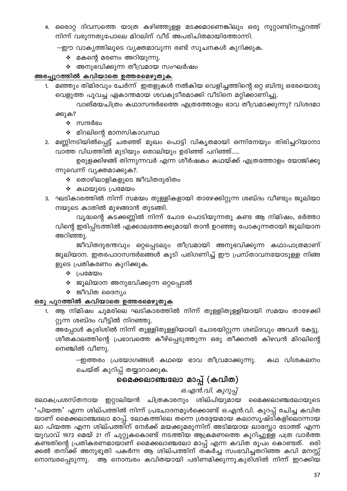- 4. ഒരൊറ്റ ദിവസത്തെ യാത്ര കഴിഞ്ഞുള്ള മടക്കമാണെങ്കിലും ഒരു നൂറ്റാണ്ടിനപ്പുറത്ത് നിന്ന് വരുന്നതുപോലെ മിറലിന് വീട് അപരിചിതമായിത്തോന്നി.
	- —ഈ വാകൃത്തിലുടെ വ്യക്തമാവുന്ന രണ്ട് സുചനകൾ കുറിക്കുക.
		- ∻ മകന്റെ മരണം അറിയുന്നു.
		- ❖ അനുഭവിക്കുന്ന തീവ്രമായ സംഘർഷം

#### അരപ്പുറത്തിൽ കവിയാതെ ഉത്തരമെഴുതുക.

- മഞ്ഞും തിമിരവും ചേർന്ന് ഇതളുകൾ നൽകിയ വെളിച്ചത്തിന്റെ ഒറ്റ ബിന്ദു ഒരേയൊരു വെളുത്ത പൂവച്ച ഏകാന്തമായ ശവകുടീരമാക്കി വീടിനെ മറ്റിക്കാണിച്ചു.
	- വാങ്മയചിത്രം കഥാസന്ദർഭത്തെ എത്രത്തോളം ഭാവ തീവ്രമാക്കുന്നു? വിശദമാ ക്കുക?
		- $\boldsymbol{\cdot}$  സന്ദർഭം
		- $\boldsymbol{\dot{\ast}}$  മിറലിന്റെ മാനസികാവസ്ഥ
- 2. മണ്ണിനടിയിൽപ്പെട്ട് ചതഞ്ഞ് മുഖം പൊട്ടി വികൃതമായി ഒന്നിനേയും തിരിച്ചറിയാനാ വാത്ത വിധത്തിൽ മുടിയും തൊലിയും ഉരിഞ്ഞ് പറിഞ്ഞ്.....

ഉരുളക്കിഴങ്ങ് തിന്നുന്നവർ എന്ന ശീർഷകം കഥയ്ക്ക് എത്രത്തോളം യോജിക്കു ന്നുവെന്ന് വ്യക്തമാക്കുക?.

- $\boldsymbol{\cdot}$ െതാഴിലാളികളുടെ ജീവിതദുരിതം
- ∻ കഥയുടെ പ്രമേയം
- 3. ഘടികാരത്തിൽ നിന്ന് സമയം തുള്ളികളായി താഴേക്കിറ്റുന്ന ശബ്ദം വീണ്ടും ജൂലിയാ നയുടെ കാതിൽ മുഴങ്ങാൻ തുടങ്ങി.

വൃദ്ധന്റെ കടക്കണ്ണിൽ നിന്ന് ചോര പൊടിയുന്നതു കണ്ട ആ നിമിഷം, ഭർത്താ വിന്റെ ഇരിപ്പിടത്തിൽ എക്കാലത്തേക്കുമായി താൻ ഉറഞ്ഞു പോകുന്നതായി ജൂലിയാന അറിഞ്ഞു.

ജീവിതദുരന്തവും ഒറ്റപ്പെടലും തീവ്രമായി അനുഭവിക്കുന്ന കഥാപാത്രമാണ് ജൂലിയാന. ഇതരപാഠസന്ദർഭങ്ങൾ കൂടി പരിഗണിച്ച് ഈ പ്രസ്താവനയോടുള്ള നിങ്ങ ളുടെ പ്രതികരണം കുറിക്കുക.

- ❖ (പമേയ**o**
- ❖ ജൂലിയാന അനുഭവിക്കുന്ന ഒറ്റപ്പെടൽ
- $\div$  ജീവിത ദൈന്യം

#### ഒരു പുറത്തിൽ കവിയാതെ ഉത്തരമെഴുതുക

ആ നിമിഷം ചുമരിലെ ഘടികാരത്തിൽ നിന്ന് തുള്ളിതുള്ളിയായി സമയം താഴേക്കി റ്റുന്ന ശബ്ദം വീട്ടിൽ നിറഞ്ഞു.

അപ്പോൾ കുരിശിൽ നിന്ന് തുള്ളിതുള്ളിയായി ചോരയിറ്റുന്ന ശബ്ദവും അവൾ കേട്ടു. ശീതകാലത്തിന്റെ പ്രഭാവത്തെ കീഴ്പ്പെടുത്തുന്ന ഒരു തീക്കനൽ കിഴവൻ മിറലിന്റെ നെഞ്ചിൽ വീണു.

–ഇത്തരം പ്രയോഗങ്ങൾ കഥയെ ഭാവ തീവ്രമാക്കുന്നു. കഥ വിശകലനം ചെയ്ത് കുറിപ്പ് തയ്യാറാക്കുക.

# മൈക്കലാഞ്ചലോ മാപ്പ് (കവിത)

#### ഒ.എൻ.വി. കുറുപ്പ്

ഇറ്റാലിയൻ ചിത്രകാരനും ശില്പിയുമായ മൈക്കലാഞ്ചലോയുടെ ലോകപ്രശസ്തനായ 'പിയത്ത' എന്ന ശില്പത്തിൽ നിന്ന് പ്രചോദനമുൾക്കൊണ്ട് ഒ.എൻ.വി. കുറപ്പ് രചിച്ച കവിത യാണ് മൈക്കലാഞ്ചലോ മാപ്പ്. ലോകത്തിലെ തന്നെ ശ്രദ്ദേയമായ കലാസൃഷ്ടികളിലൊന്നായ ലാ പിയത്ത എന്ന ശില്പത്തിന് നേർക്ക് മയക്കുമരുന്നിന് അടിമയായ ലാസ്ലോ ടോത്ത് എന്ന യുവാവ് 1972 മെയ് 21 ന് ചുറ്റുകകൊണ്ട് നടത്തിയ ആക്രമണത്തെ കുറിച്ചുള്ള പത്ര വാർത്ത കണ്ടതിന്റെ പ്രതികരണമായാണ് മൈക്കലാഞ്ചലോ മാപ്പ് എന്ന കവിത രൂപം കൊണ്ടത്. ഒരി ക്കൽ തനി്ക്ക് അനുഭൂതി പകർന്ന ആ ശില്പത്തിന് തകർച്ച സംഭവിച്ചതറിഞ്ഞ കവി മനസ്സ് നൊമ്പരപ്പെടുന്നു. ആ നൊമ്പരം കവിതയായി പരിണമിക്കുന്നു.കുരിശിൽ നിന്ന് ഇറക്കിയ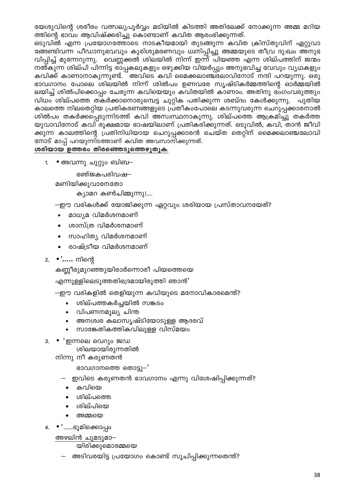യേശുവിന്റെ ശരീരം വത്സല്യപൂർവ്വം മടിയിൽ കിടത്തി അതിലേക്ക് നോക്കുന്ന അമ്മ മറിയ ത്തിന്റെ ഭാവം ആവിഷ്ക്കരിച്ചു കൊണ്ടാണ് കവിത ആരംഭിക്കുന്നത്.

ഒടുവിൽ എന്ന പ്രയോഗത്തോടെ നാടകീയമായി തുടങ്ങുന്ന കവിത ക്രിസ്തുവിന് ഏറ്റുവാ ങ്ങേണ്ടിവന്ന പീഡാനുഭവവും കുരിശുമരണവും ധ്വനിപ്പിച്ചു അമ്മയുടെ തീവ്ര ദു:ഖം അനുഭ വിപ്പിച്ച് മുന്നേറുന്നു. വെണ്ണക്കൽ ശിലയിൽ നിന്ന് ഇന്ന് പിയഞ്ഞ എന്ന ശില്പത്തിന് ജന്മം നൽ്കുന്ന ശില്പി പിന്നിട്ട രാപ്പകലുകളും ഒഴുക്കിയ വിയർപ്പും അനുഭവിച്ച വേവും വ്യഥകളും ഭാവഗാനം പോലെ ശിലയിൽ നിന്ന് ശിൽപം ഉണവരേ സൃഷ്ടികർമ്മത്തിന്റെ ഓർമ്മയിൽ ലയിച്ച് ശിൽപിക്കൊപ്പം ചേരുന്ന കവിയെയും കവിതയിൽ കാണാം. അതിനു ഭംഗംവരുത്തും വിധം ശില്പത്തെ തകർക്കാനൊരുമ്പെട്ട ചുറ്റിക പതിക്കുന്ന ശബ്ദം കേൾക്കുന്നു. പുതിയ കാലത്തെ നിലതെറ്റിയ പ്രതികരണങ്ങളുടെ പ്രതീകംപോലെ കടന്നുവരുന്ന ചെറുപ്പക്കാരനാൽ ശിൽപം തകർക്കപ്പെടുന്നിടത്ത് കവി അസ്വസ്ഥനാകുന്നു. ശില്പത്തെ ആക്രമിച്ചു തകർത്ത യുവാവിനോട് കവി രൂക്ഷമായ ഭാഷയിലാണ് പ്രതികരിക്കുന്നത്. ഒടുവിൽ, കവി, താൻ ജീവി ക്കുന്ന കാലത്തിന്റെ പ്രതിനിധിയായ ചെറുപ്പക്കാരൻ ചെയ്ത തെറ്റിന് മൈക്കലാഞ്ചലോവി നോട് മാപ്പ് പറയുന്നിടത്താണ് കവിത അവസാനിക്കുന്നത്.

#### ശരിയായ ഉത്തരം തിരഞ്ഞെടുത്തെഴുതുക.

1. • അവന്നു ചുറ്റും ബിബ–

ഭഞ്ജകപരിവഷ–

മണിയിക്കുവാനേതോ

ക്യാമറ കൺചിമ്മുന്നു!....

- —ഈ വരികൾക്ക് യോജിക്കുന്ന ഏറ്റവും ശരിയായ പ്രസ്താവനയേത്?
- മാധ്യമ വിമർശനമാണ്
- ശാസ്ത്ര വിമർശനമാണ്
- സാഹിത്യ വിമർശനമാണ്
- രാഷ്ട്രീയ വിമർശനമാണ്
- 2. •'…… നിന്റെ

കണ്ണീരുമുറഞ്ഞുയിരാർന്നൊരീ പിയത്തെയെ

എന്നുള്ളിലെടുത്തതിഭദ്രമായിരുത്തി ഞാൻ'

—ഈ വരികളിൽ തെളിയുന്ന കവിയുടെ മനോവികാരമെന്ത്?

- ശില്പത്തകർച്ചയിൽ സങ്കടം  $\bullet$
- വിപണനമൂല്യ ചിന്ത
- അനശ്വര കലാസൃഷ്ടിയോടുള്ള ആദരവ്
- സാങ്കേതികത്തികവിലുള്ള വിസ്മയം
- 'ഇന്നലെ വെറും ജഡ 3.

ശിലയായിരുന്നതിൽ

നിന്നു നീ കരുണതൻ

ഭാവഗാനത്തെ തൊട്ടു $-$ 

- ഇവിടെ കരുണതൻ ഭാവഗാനം എന്നു വിശേഷിപ്പിക്കുന്നത്?
- കവിയെ
- ശില്പത്തെ
- ശില്പിയെ
- അമ്മയെ
- ∙ '……ഭൂമിക്കൊപ്പറ 4.
	- അഴലിൻ ചുമടുമാ–

യിരിക്കുമൊരമ്മയെ

– അടിവരയിട്ട പ്രയോഗം കൊണ്ട് സൂചിപ്പിക്കുന്നതെന്ത്?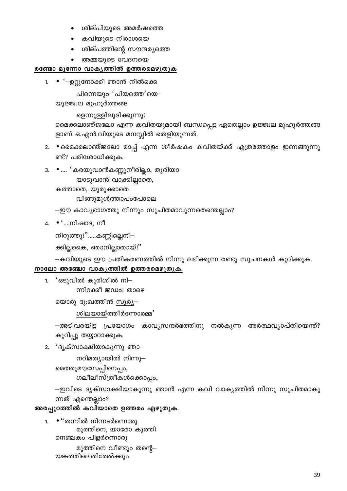- ശില്പിയുടെ അമർഷത്തെ
- കവിയുടെ നിരാശയെ
- ശില്പത്തിന്റെ സൗന്ദര്യത്തെ
- 
- അമ്മയുടെ വേദനയെ

- 
- 

#### രണ്ടോ മൂന്നോ വാകൃത്തിൽ ഉത്തരമെഴുതുക

1. • '—ഉറ്റുനോക്കി ഞാൻ നിൽക്കെ

പിന്നെയും 'പിയത്തെ'യെ–

ളാണ് ഒ.എൻ.വിയുടെ മനസ്സിൽ തെളിയുന്നത്.

മൈക്കലാഞ്ജലോ എന്ന കവിതയുമായി ബന്ധപ്പെട്ട ഏതെല്ലാം ഉജ്ജ്വല മുഹൂർത്തങ്ങ

2. • മൈക്കലാഞ്ജലോ മാപ്പ് എന്ന ശീർഷകം കവിതയ്ക്ക് എത്രത്തോളം ഇണങ്ങുന്നു

—കവിയുടെ ഈ പ്രതികരണത്തിൽ നിന്നു ലഭിക്കുന്ന രണ്ടു സൂചനകൾ കുറിക്കുക.

–അടിവരയിട്ട പ്രയോഗം കാവ്യസന്ദർഭത്തിനു നൽകുന്ന അർത്ഥവ്യാപ്തിയെന്ത്?

—ഇവിടെ ദൃക്സാക്ഷിയാകുന്നു ഞാൻ എന്ന കവി വാകൃത്തിൽ നിന്നു സൂചിതമാകു

യുജ്ജ്വല മുഹൂർത്തങ്ങ

ണ്ട്? പരിശോധിക്കുക.

കത്താതെ, യുരുക്കാതെ

നിറുത്തൂ!''.....കണ്ണില്ലെനി–

1. 'ഒടുവിൽ കുരിശിൽ നി–

കുറിപ്പു തയ്യാറാക്കുക.

2. 'ദൃക്സാക്ഷിയാകുന്നു ഞാ–

മെത്തുമൗസേപ്പിനെപ്പം,

ന്നത് എന്തെല്ലാം?

 $1.$ 

യൊരു ദു:ഖത്തിൻ സൂര്യ—

ക്കില്ലകൈ, ഞാനില്ലാതായ്!"

നാലോ അഞ്ചോ വാകൃത്തിൽ ഉത്തരമെഴുതുക.

ന്നിറക്കീ ജഡം! താഴെ

ശിലയായ്ത്തീർന്നോരമ്മ'

നറിമത്യായിൽ നിന്നു—

ഗലീലീസ്ത്രീകൾക്കൊപ്പം,

4. • '....നിഷാദ, നീ

ളെന്നുള്ളിലുദിക്കുന്നു:

3. •.... 'കരയുവാൻകണ്ണുനീരില്ലാ, തുരിയാ യാടുവാൻ വാക്കില്ലാതെ,

വിങ്ങുമുൾത്താപoപോലെ

–ഈ കാവ്യഭാഗത്തു നിന്നും സൂചിതമാവുന്നതെന്തെല്ലാം?

മുത്തിനെ, യാരോ കുത്തി നെഞ്ചകം പിളർന്നൊരു

 $\cdot$ "തന്നിൽ നിന്നടർന്നൊരു

<u>അരപ്പുറത്തിൽ കവിയാതെ ഉത്തരം എഴുതുക.</u>

മുത്തിനെ വീണ്ടും തന്റെ— യങ്കത്തിലെതിരേൽക്കും

39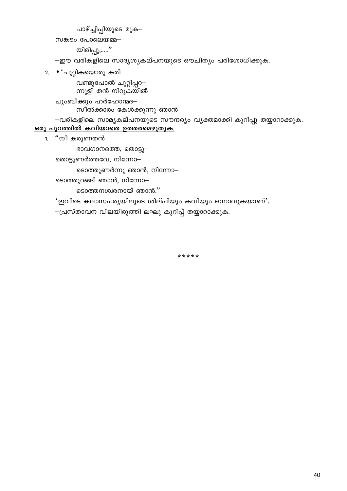പാഴ്ച്ചിപ്പിയുടെ മൂക–

വണ്ടുപോൽ ചുറ്റിപ്പറ– ന്നുളി തൻ നിറുകയിൽ

സീൽക്കാരം കേൾക്കുന്നു ഞാൻ

ടൊത്തുണർന്നു ഞാൻ, നിന്നോ—

ടൊത്തനശ്വരനായ് ഞാൻ.''

–ഈ വരികളിലെ സാദൃശ്യകല്പനയുടെ ഔചിത്യം പരിശോധിക്കുക.

'ഇവിടെ കലാസപര്യയിലൂടെ ശില്പിയും കവിയും ഒന്നാവുകയാണ്'.

\*\*\*\*\*

40

–പ്രസ്താവന വിലയിരുത്തി ലഘു കുറിപ്പ് തയ്യാറാക്കുക.

–വരികളിലെ സാമ്യകല്പനയുടെ സൗന്ദര്യം വ്യക്തമാക്കി കുറിപ്പു തയ്യാറാക്കുക.

സങ്കടം പോലെയമ്മ-

2. ∙്ചുറ്റികയൊരു കരി

യിരിപ്പൂ,.....''

ചുംബിക്കും ഹർഹോന്മദ—

ഒരു പുറത്തിൽ കവിയാതെ ഉത്തരമെഴുതുക.

തൊട്ടുണർത്തവേ, നിന്നോ—

ടൊത്തുറങ്ങി ഞാൻ, നിന്നോ—

ഭാവഗാനത്തെ, തൊട്ടു–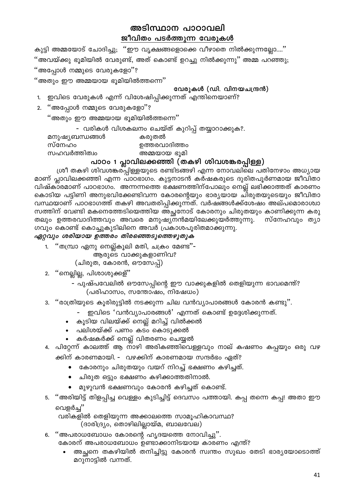# അടിസ്ഥാന പാഠാവലി ജീവിതം പടർത്തുന്ന വേരുകൾ

കുട്ടി അമ്മയോട് ചോദിച്ചു; ''ഈ വൃക്ഷങ്ങളൊക്കെ വീഴാതെ നിൽക്കുന്നല്ലോ....''

''അവയ്ക്കു ഭൂമിയിൽ വേരുണ്ട്, അത് കൊണ്ട് ഉറച്ചു നിൽക്കുന്നു'' അമ്മ പറഞ്ഞു;

''അപ്പോൾ നമ്മുടെ വേരുകളോ''?

''അതും ഈ അമ്മയായ ഭൂമിയിൽത്തന്നെ''

#### വേരുകൾ (ഡി. വിനയചന്ദ്രൻ)

- ഇവിടെ വേരുകൾ എന്ന് വിശേഷിപ്പിക്കുന്നത് എന്തിനെയാണ്? 1.
- 2. "അപ്പോൾ നമ്മുടെ വേരുകളോ"?

''അതും ഈ അമ്മയായ ഭൂമിയിൽത്തന്നെ''

- വരികൾ വിശകലനം ചെയ്ത് കുറിപ്പ് തയ്യാറാക്കുക?.

കരുതൽ മനുഷ്യബന്ധങ്ങൾ സ്നേഹം ഉത്തരവാദിത്തം സഹവർത്തിത്വം അമ്മയായ ഭൂമി

#### പാഠം 1 പ്ലാവിലക്കഞ്ഞി (തകഴി ശിവശങ്കരപ്പിള്ള)

ശ്രീ തകഴി ശിവശങ്കര്പ്പിള്ളയുടെ രണ്ടിടങ്ങഴി എന്ന നോവലിലെ പതിനേഴാം അധ്യായ മാണ് പ്ലാവിലക്കഞ്ഞി എന്ന പാഠഭാഗം. കുട്ടനാടൻ കർഷകരുടെ ദുരിതപൂർണമായ ജീവിതാ വിഷ്കാരമാണ് പാഠഭാഗം. അന്നന്നത്തെ ഭക്ഷണത്തിന്പോലും നെല്ല് ലഭിക്കാത്തത് കാരണം കൊടിയ പട്ടിണി അനുഭവിക്കേണ്ടിവന്ന കോരന്റെയും ഭാര്യയായ ചിരുതയുടെയും ജീവിതാ വസ്ഥയാണ് പാഠഭാഗത്ത് തകഴി അവതരിപ്പിക്കുന്നത്. വർഷങ്ങൾക്ക്ശേഷം അല്പമൊരാശ്വാ സത്തിന് വേണ്ടി മകനെത്തേടിയെത്തിയ അച്ഛനോട് കോരനും ചിരുതയും കാണിക്കുന്ന കരു തലും ഉത്തരവാദിത്തവും അവരെ മനുഷ്യനന്ദിമയിലേക്കുയർത്തുന്നു. സ്നേഹവും തൃാ ഗവും കൊണ്ട് കൊച്ചുകുടിലിനെ അവർ പ്രകാശപൂരിതമാക്കുന്നു.

#### ഏറ്റവും ശരിയായ ഉത്തരം തിരഞ്ഞെടുത്തെഴുതുക

''തമ്പ്രാ ഏനു നെല്ല്കൂലി മതി, ചക്രം മേണ്ട''-

ആരുടെ വാക്കുകളാണിവ?

(ചിരുത, കോരൻ, ഔസേപ്പ്)

്'നെല്ലില്ല, പിശാശുക്കള്''  $2.$ 

- പുഷ്പവേലിൽ ഔസേപ്പിന്റെ ഈ വാക്കുകളിൽ തെളിയുന്ന ഭാവമെന്ത്? (പരിഹാസം, സന്തോഷം, നിഷേധം)
- 3. "രാത്രിയുടെ കൂരിരുട്ടിൽ നടക്കുന്ന ചില വൻവ്യാപാരങ്ങൾ കോരൻ കണ്ടു".
	- ഇവിടെ 'വൻവ്യാപാരങ്ങൾ' എന്നത് കൊണ്ട് ഉദ്ദേശിക്കുന്നത്.
	- കൂടിയ വിലയ്ക്ക് നെല്ല് മറിച്ച് വിൽക്കൽ
	- പലിശയ്ക്ക് പണം കടം കൊടുക്കൽ
	- കർഷകർക്ക് നെല്ല് വിതരണം ചെയ്യൽ
- 4. പിറ്റേന്ന് കാലത്ത് ആ നാഴി അരികഞ്ഞിവെള്ളവും നാല് കഷണം കപ്പയും ഒരു വഴ ക്കിന് കാരണമായി. - വഴക്കിന് കാരണമായ സന്ദർഭം ഏത്?
	- കോരനും ചിരുതയും വയറ് നിറച്ച് ഭക്ഷണം കഴിച്ചത്.
	- ചിരുത ഒട്ടും ഭക്ഷണം കഴിക്കാത്തതിനാൽ.  $\bullet$
	- മുഴുവൻ ഭക്ഷണവും കോരൻ കഴിച്ചത് കൊണ്ട്.
- 5. '''അരിയിട്ട് തിളപ്പിച്ച വെള്ളം കുടിച്ചിട്ട് ദെവസം പത്തായി. കപ്പ തന്നെ കപ്പ! അതാ ഈ വെളർച്ച്'

വരികളിൽ തെളിയുന്ന അക്കാലത്തെ സാമൂഹികാവസ്ഥ? (ദാരിദ്ര്യം, തൊഴിലില്ലായ്മ, ബാലവേല)

- 6. "അപരാധബോധം കോരന്റെ ഹൃദയത്തെ നോവിച്ചു". കോരന് അപരാധബോധം ഉണ്ടാക്കാനിടയായ കാരണം എന്ത്?
	- അച്ഛനെ തകഴിയിൽ തനിച്ചിട്ടു കോരൻ സ്വന്തം സുഖം തേടി ഭാര്യയോടൊത്ത് മറുനാട്ടിൽ വന്നത്.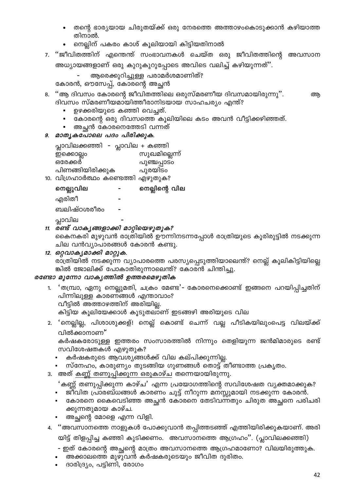- 
- അക്കാലത്തെ മുഴുവൻ കർഷകരുടെയും ജീവിത ദുരിതം.

കർഷകരുടെ ആവശ്യങ്ങൾക്ക് വില കല്പിക്കുന്നില്ല.

3. അത് കണ്ണ് തണുപ്പിക്കുന്ന ഒരുകാഴ്ച തന്നെയായിരുന്നു.

- ഇത് കോരന്റെ അച്ഛന്റെ മാത്രം അവസാനത്തെ ആഗ്രഹമാണോ? വിലയിരുത്തുക.
- യിട്ട് തിളപ്പിച്ച കഞ്ഞി കുടിക്കണം. അവസാനത്തെ ആഗ്രഹം''. (പ്ലാവിലക്കഞ്ഞി)
- 4. "അവസാനത്തെ നാളുകൾ പോക്കുവാൻ തപ്പിത്തടഞ്ഞ് എത്തിയിരിക്കുകയാണ്. അരി
- അച്ഛന്റെ മോളെ എന്ന വിളി.

ദാരിദ്ര്യം, പട്ടിണി, രോഗം

ക്കുന്നതുമായ കാഴ്ച.

സവിശേഷതകൾ എഴുതുക?

- കൈനകരി മുഴുവൻ രാത്രിയിൽ ഊന്നിനടന്നപ്പോൾ രാത്രിയുടെ കൂരിരുട്ടിൽ നടക്കുന്ന ചില വൻവ്യാപാരങ്ങൾ കോരൻ കണ്ടു.
- 12. ഒറ്റവാകൃമാക്കി മാറ്റുക.
	- രാത്രിയിൽ നടക്കുന്ന വ്യാപാരത്തെ പരസ്യപ്പെടുത്തിയാലെന്ത്? നെല്ല് കൂലികിട്ടിയില്ലെ

# രണ്ടോ മൂന്നോ വാകൃത്തിൽ ഉത്തരമെഴുതിക

വിൽക്കാനാണ്

പിന്നിലുള്ള കാരണങ്ങൾ എന്താവാം? വീട്ടിൽ അത്താഴത്തിന് അരിയില്ല. കിട്ടിയ കൂലിയേക്കാൾ കൂടുതലാണ് ഇടങ്ങഴി അരിയുടെ വില

2. 'നെല്ലില്ല, പിശാശുക്കള്! നെല്ല് കൊണ്ട് ചെന്ന് വല്ല പീടികയിലുംപെട്ട വിലയ്ക്ക്

സ്നേഹം, കാരുണ്യം തുടങ്ങിയ ഗുണങ്ങൾ തൊട്ട് തീണ്ടാത്ത പ്രകൃതം.

കർഷകരോടുള്ള ഇത്തരം സംസാരത്തിൽ നിന്നും തെളിയുന്ന ജൻമിമാരുടെ രണ്ട്

'കണ്ണ് തണുപ്പിക്കുന്ന കാഴ്ച' എന്ന പ്രയോഗത്തിന്റെ സവിശേഷത വ്യക്തമാക്കുക? ജീവിത പ്രാരബ്ധങ്ങൾ കാരണം ചുട്ട് നീറുന്ന മനസ്സുമായി നടക്കുന്ന കോരൻ. • കോരനെ കൈവെടിഞ്ഞ അച്ഛൻ കോരനെ തേടിവന്നതും ചിരുത അച്ഛനെ പരിചരി

- - ങ്കിൽ ജോലിക്ക് പോകാതിരുന്നാലെന്ത്? കോരൻ ചിന്തിച്ചു.
- - ്തമ്പ്രാ, ഏനു നെല്ലുമതി, ചക്രം മേണ്ട<sup>്</sup>- കോരനെക്കൊണ്ട് ഇങ്ങനെ പറയിപ്പിച്ചതിന്

- 
- 

എരിതീ ബലിഷ്ഠശരീരം

11. രണ്ട് വാകൃങ്ങളാക്കി മാറ്റിയെഴുതുക?

- 10. വിഗ്രഹാർത്ഥം കണ്ടെത്തി എഴുതുക?  $\sim$ നെല്ലിന്റെ വില നെല്ലുവില
- ഒരേക്കർ പുഞ്ചപ്പാടം പുരയിടം പിണങ്ങിയിരിക്കുക
- 

9. മാതൃകപോലെ പദം പിരിക്കുക.

പ്ലാവില

- പ്ലാവിലക്കഞ്ഞി പ്ലാവില + കഞ്ഞി സുഖമില്ലെന്ന് ഇക്കൊല്ലം
- 
- 
- കോരന്റെ ഒരു ദിവസത്തെ കൂലിയിലെ കടം അവൻ വീട്ടിക്കഴിഞ്ഞത്.
	-
	- അച്ഛൻ കോരനെത്തേടി വന്നത്
	-
	-
- 
- ഉഴക്കരിയുടെ കഞ്ഞി വെച്ചത്.
- 
- 
- 
- 

അധ്യായങ്ങളാണ് ഒരു കുറുകുറുപ്പോടെ അവിടെ വലിച്ച് കഴിയുന്നത്''.

ആരെക്കുറിച്ചുള്ള പരാമർശമാണിത്?

- 
- 
- 
- ദിവസം സ്മരണീയമായിത്തീരാനിടയായ സാഹചര്യം എന്ത്?
- കോരൻ, ഔസേപ്പ്, കോരന്റെ അച്ഛൻ 8. "ആ ദിവസം കോരന്റെ ജീവിതത്തിലെ ഒരുസ്മരണീയ ദിവസമായിരുന്നു".
- അ
- തന്റെ ഭാര്യയായ ചിരുതയ്ക്ക് ഒരു നേരത്തെ അത്താഴംകൊടുക്കാൻ കഴിയാത്ത തിനാൽ. നെല്ലിന് പകരം കാശ് കൂലിയായി കിട്ടിയതിനാൽ

7. ''ജീവിതത്തിന് എന്തെന്ത് സംഭാവനകൾ ചെയ്ത ഒരു ജീവിതത്തിന്റെ അവസാന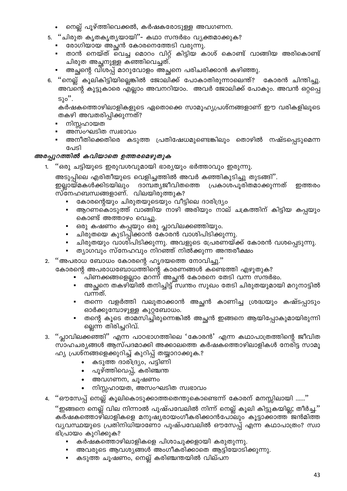- നെല്ല് പൂഴ്ത്തിവെക്കൽ, കർഷകരോടുള്ള അവഗണന.
- 5. "ചിരുത കൃതകൃതൃയായി"- കഥാ സന്ദർഭം വൃക്തമാക്കുക?
	- രോഗിയായ അച്ഛൻ കോരനെത്തേടി വരുന്നു.
	- താൻ നെയ്ത് വെച്ച മൊറം വിറ്റ് കിട്ടിയ കാശ് കൊണ്ട് വാങ്ങിയ അരികൊണ്ട് ചിരുത അച്ഛനുള്ള കഞ്ഞിവെച്ചത്.
	- അച്ഛന്റെ വിശപ്പ് മാറുവോളം അച്ഛനെ പരിചരിക്കാൻ കഴിഞ്ഞു.
- 6. ''നെല്ല് കൂലികിട്ടിയില്ലെങ്കിൽ ജോലിക്ക് പോകാതിരുന്നാലെന്ത്? കോരൻ ചിന്തിച്ചു.
- അവന്റെ കൂട്ടുകാരെ എല്ലാം അവനറിയാം. അവർ ജോലിക്ക് പോകും. അവൻ ഒറ്റപ്പെ  $S_1$ <sup>".</sup>

കർഷകത്തൊഴിലാളികളുടെ ഏതൊക്കെ സാമൂഹ്യപ്രശ്നങ്ങളാണ് ഈ വരികളിലൂടെ തകഴി അവതരിപ്പിക്കുന്നത്?

- നിസ്സഹായത
- അസംഘടിത സ്വഭാവം
- അനീതിക്കെതിരെ കടുത്ത പ്രതിഷേധമുണ്ടെങ്കിലും തൊഴിൽ നഷ്ടപ്പെടുമെന്ന പേടി

# അരപ്പുറത്തിൽ കവിയാതെ ഉത്തരമെഴുതുക

"ഒരു ചട്ടിയുടെ ഇരുവശവുമായി ഭാര്യയും ഭർത്താവും ഇരുന്നു.

അടുപ്പിലെ എരിതീയുടെ വെളിച്ചത്തിൽ അവർ കഞ്ഞികുടിച്ചു തുടങ്ങി".

ഇല്ലായ്മകൾക്കിടയിലും ദാമ്പത്യജീവിതത്തെ പ്രകാശപൂരിതമാക്കുന്നത് ഇത്തരം സ്നേഹബന്ധങ്ങളാണ്. വിലയിരുത്തുക?

- കോരന്റെയും ചിരുതയുടെയും വീട്ടിലെ ദാരിദ്ര്യം
- ആറണകൊടുത്ത് വാങ്ങിയ നാഴി അരിയും നാല് ചക്രത്തിന് കിട്ടിയ കപ്പയും കൊണ്ട് അത്താഴം വെച്ചു.
- ഒരു കഷണം കപ്പയും ഒരു പ്ലാവിലക്കഞ്ഞിയും.
- ചിരുതയെ കുടിപ്പിക്കാൻ കോരൻ വാശിപിടിക്കുന്നു.
- ചിരുതയും വാശിപിടിക്കുന്നു. അവളുടെ പ്രേരണയ്ക്ക് കോരൻ വശപ്പെടുന്നു.
- ത്യാഗവും സ്നേഹവും നിറഞ്ഞ് നിൽക്കുന്ന അന്തരീക്ഷം

2. ''അപരാധ ബോധം കോരന്റെ ഹൃദയത്തെ നോവിച്ചു.''

കോരന്റെ അപരാധബോധത്തിന്റെ കാരണങ്ങൾ കണ്ടെത്തി എഴുതുക?

- <sup>്</sup>പിണക്കങ്ങളെല്ലാം മറന്ന് അച്ഛൻ കോരനെ തേടി വന്ന സന്ദർഭം.
	- അച്ഛനെ തകഴിയിൽ തനിച്ചിട്ട് സ്വന്തം സുഖം തേടി ചിരുതയുമായി മറുനാട്ടിൽ വന്നത്.
- തന്നെ വളർത്തി വലുതാക്കാൻ അച്ഛൻ കാണിച്ച ശ്രദ്ധയും കഷ്ടപ്പാടും ഓർക്കുമ്പോഴുള്ള കുറ്റബോധം.
- തന്റെ കൂടെ താമസിച്ചിരുന്നെങ്കിൽ അച്ഛൻ ഇങ്ങനെ ആയിപ്പോകുമായിരുന്നി ല്ലെന്ന തിരിച്ചറിവ്.

3. ''പ്ലാവിലക്കഞ്ഞി'' എന്ന പാഠഭാഗത്തിലെ 'കോരൻ' എന്ന കഥാപാത്രത്തിന്റെ ജീവിത സാഹചര്യങ്ങൾ ആസ്പദമാക്കി അക്കാലത്തെ കർഷകത്തൊഴിലാളികൾ നേരിട്ട സാമൂ ഹ്യ പ്രശ്നങ്ങളെക്കുറിച്ച് കുറിപ്പ് തയ്യാറാക്കുക.?

- കടുത്ത ദാരിദ്ര്യം, പട്ടിണി
- പൂഴ്ത്തിവെപ്പ്, കരിഞ്ചന്ത
- അവഗണന, ചൂഷണം
- നിസ്സഹായത, അസംഘടിത സ്വഭാവം
- ''ഔസേപ്പ് നെല്ല് കൂലികൊടുക്കാത്തതെന്തുകൊണ്ടെന്ന് കോരന് മനസ്സിലായി ……''

''ഇങ്ങനെ നെല്ല് വില നിന്നാൽ പുഷ്പവേലിൽ നിന്ന് നെല്ല് കൂലി കിട്ടുകയില്ല; തീർച്ച.'' കർഷകത്തൊഴിലാളികളെ മനുഷ്യരായംഗീകരിക്കാൻപോലും കൂട്ടാക്കാത്ത ജൻമിത്ത വ്യവസ്ഥയുടെ പ്രതിനിധിയാണോ പുഷ്പവേലിൽ ഔസേപ്പ് എന്ന കഥാപാത്രം? സ്വാ ഭിപ്രായം കുറിക്കുക?

- കർഷകത്തൊഴിലാളികളെ പിശാചുക്കളായി കരുതുന്നു.
- അവരുടെ ആവശ്യങ്ങൾ അംഗീകരിക്കാതെ ആട്ടിയോടിക്കുന്നു.
- കടുത്ത ചൂഷണം, നെല്ല് കരിഞ്ചന്തയിൽ വില്പന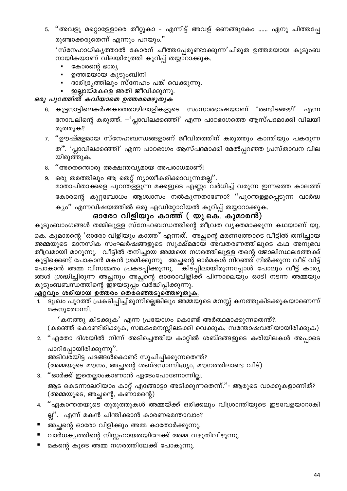5. ''അവളു മറ്റൊള്ളോരെ തീറ്റുകാ - എന്നിട്ട് അവള് ഒണങ്ങുകേം ...... ഏനു ചിത്തപ്പേ രുണ്ടാക്കരുതെന്ന് എന്നും പറയും."

'സ്നേഹാധികൃത്താൽ കോരന് ചീത്തപ്പേരുണ്ടാക്കുന്ന'ചിരുത ഉത്തമയായ കുടുംബ നായികയാണ് വിലയിരുത്തി കുറിപ്പ് തയ്യാറാക്കുക.

- കോരന്റെ ഭാര്യ
- ഉത്തമയായ കുടുംബിനി
- ദാരിദ്ര്യത്തിലും സ്നേഹം പങ്ക് വെക്കുന്നു.
- ഇല്ലായ്മകളെ അതി ജീവിക്കുന്നു.

#### ഒരു പുറത്തിൽ കവിയാതെ ഉത്തരമെഴുതുക

- 6. കുട്ടനാട്ടിലെകർഷകത്തൊഴിലാളികളുടെ സംസാരഭാഷയാണ് 'രണ്ടിടങ്ങഴി' എന്ന നോവലിന്റെ കരുത്ത്. - 'പ്ലാവിലക്കഞ്ഞി' എന്ന പാഠഭാഗത്തെ ആസ്പദമാക്കി വിലയി രുത്തുക?
- 7. ''ഊഷ്മളമായ സ്നേഹബന്ധങ്ങളാണ് ജീവിതത്തിന് കരുത്തും കാന്തിയും പകരുന്ന ത്". 'പ്ലാവിലക്കഞ്ഞി' എന്ന പാഠഭാഗം ആസ്പദമാക്കി മേൽപ്പറഞ്ഞ പ്രസ്താവന വില യിരുത്തുക.
- 8. "അതെന്തൊരു അക്ഷന്തവ്യമായ അപരാധമാണ്!
- 9. ഒരു തരത്തിലും ആ തെറ്റ് ന്യായീകരിക്കാവുന്നതല്ല".

മാതാപിതാക്കളെ പുറന്തള്ളുന്ന മക്കളുടെ എണ്ണം വർധിച്ച് വരുന്ന ഇന്നത്തെ കാലത്ത് കോരന്റെ കുറ്റബോധം ആശ്വാസം നൽകുന്നതാണോ? ''പുറന്തള്ളപ്പെടുന്ന വാർദ്ധ ക്യം'' എന്നവിഷയത്തിൽ ഒരു എഡിറ്റോറിയൽ കുറിപ്പ് തയ്യാറാക്കുക.

#### ഓരോ വിളിയും കാത്ത് ( യു.കെ. കുമാരൻ)

കുടുംബാംഗങ്ങൾ തമ്മിലുള്ള സ്നേഹബന്ധത്തിന്റെ തീവ്രത വ്യക്തമാക്കുന്ന കഥയാണ് യു. കെ. കുമാരന്റെ 'ഓരോ വിളിയും കാത്ത്' എന്നത്. അച്ഛന്റെ മരണത്തോടെ വീട്ടിൽ തനിച്ചായ അമ്മയുടെ മാനസിക സംഘർഷങ്ങളുടെ സൂക്ഷ്മമായ അവതരണത്തിലൂടെ കഥ അനുഭവ തീവ്രമായി മാറുന്നു. വീട്ടിൽ തനിച്ചായ അമ്മയെ നഗരത്തിലുള്ള തന്റെ ജോലിസ്ഥലത്തേക്ക് കൂട്ടിക്കെണ്ട് പോകാൻ മകൻ ശ്രമിക്കുന്നു. അച്ഛന്റെ ഓർമകൾ നിറഞ്ഞ് നിൽക്കുന്ന വീട് വിട്ട് പോകാൻ അമ്മ വിസമ്മതം പ്രകടപ്പിക്കുന്നു. ¯കിട്പ്പിലായിരുന്നപ്പോൾ പോലും വീട്ട് കാര്യ ങ്ങൾ ശ്രദ്ധിച്ചിരുന്ന അച്ഛനും അച്ഛന്റെ ഓരോവിളിക്ക് പിന്നാലെയും ഓടി നടന്ന അമ്മയും കുടുംബബന്ധത്തിന്റെ ഇഴയടുപ്പം വർദ്ധിപ്പിക്കുന്നു.

ഏറ്റവും ശരിയായ ഉത്തരം തെരഞ്ഞെടുത്തെഴുതുക.

1. ്ദു:ഖം പുറത്ത് പ്രകടിപ്പിച്ചിരുന്നില്ലെങ്കിലും അമ്മയുടെ മനസ്സ് കനത്തുകിടക്കുകയാണെന്ന് മകനുതോന്നി.

(കരഞ്ഞ് കൊണ്ടിരിക്കുക, സങ്കടംമനസ്സിലടക്കി വെക്കുക, സന്തോഷവതിയായിരിക്കുക) 2. ''ഏതോ ദിശയിൽ നിന്ന് അടിച്ചെത്തിയ കാറ്റിൽ <u>ശബ്ദങ്ങളുടെ കരിയിലകൾ</u> അപ്പാടെ

'കനത്തു കിടക്കുക' എന്ന പ്രയോഗം കൊണ്ട് അർത്ഥമാക്കുന്നതെന്ത്?.

പാറിപ്പോയിരിക്കുന്നു".

44

■ മകന്റെ കൂടെ അമ്മ നഗരത്തിലേക്ക് പോകുന്നു.

വാർധക്യത്തിന്റെ നിസ്സഹായതയിലേക്ക് അമ്മ വഴുതിവീഴുന്നു.

അച്ഛന്റെ ഓരോ വിളിക്കും അമ്മ കാതോർക്കുന്നു.

ല്ല്'. എന്ന് മകൻ ചിന്തിക്കാൻ കാരണമെന്താവാം?

4. ''ഏകാന്തതയുടെ തുരുത്തുകൾ അമ്മയ്ക്ക് ഒരിക്കലും വിശ്രാന്തിയുടെ ഇടവേളയാറാകി

ആട കെടന്നാലറിയാം കാറ്റ് എങ്ങോട്ടാ അടിക്കുന്നതെന്ന്.''- ആരുടെ വാക്കുകളാണിത്? (അമ്മയുടെ, അച്ഛന്റെ, കണാരന്റെ)

3. "ഓർക്ക് ഇതെല്ലാംകാണാൻ ഏടോപോണോന്നില്ല.

അടിവരയിട്ട പദങ്ങൾകൊണ്ട് സൂചിപ്പിക്കുന്നതെന്ത്? (അമ്മയുടെ മൗനം, അച്ഛന്റെ ശബ്ദസാന്നിദ്ധ്യം, മൗനത്തിലാണ്ട വീട്)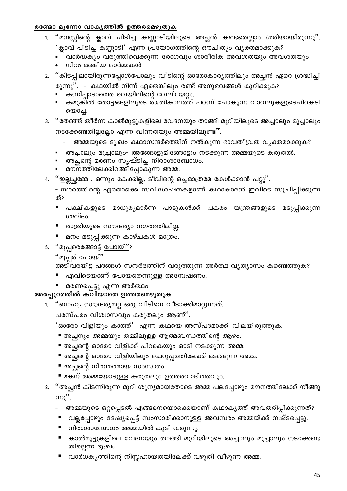#### രണ്ടോ മൂന്നോ വാകൃത്തിൽ ഉത്തരമെഴുതുക

- ''മനസ്സിന്റെ ക്ലാവ് പിടിച്ച കണ്ണാടിയിലൂടെ അച്ഛൻ കണ്ടതെല്ലാം ശരിയായിരുന്നു''. 'ക്ലാവ് പിടിച്ച കണ്ണാടി' എന്ന പ്രയോഗത്തിന്റെ ഔചിത്യം വ്യക്തമാക്കുക?
	- വാർദ്ധക്യം വരുത്തിവെക്കുന്ന രോഗവും ശാരീരിക അവശതയും അവശതയും  $\bullet$
	- നിറം മങ്ങിയ ഓർമ്മകൾ
- 2. ''കിടപ്പിലായിരുന്നപ്പോൾപോലും വീടിന്റെ ഓരോകാര്യത്തിലും അച്ഛൻ ഏറെ ശ്രദ്ധിച്ചി രുന്നു". - കഥയിൽ നിന്ന് ഏതെങ്കിലും രണ്ട് അനുഭവങ്ങൾ കുറിക്കുക?
	- കന്നിപ്പാടാത്തെ വെയിലിന്റെ വേലിയേറ്റം.
	- കമുകിൽ തോട്ടങ്ങളിലൂടെ രാത്രികാലത്ത് പറന്ന് പോകുന്ന വാവലുകളുടെചിറകടി യൊച്ച.
- 3. "തേഞ്ഞ് തീർന്ന കാൽമുട്ടുകളിലെ വേദനയും താങ്ങി മുറിയിലൂടെ അച്ചാലും മുച്ചാലും നടക്കേണ്ടതില്ലല്ലോ എന്ന ഖിന്നതയും അമ്മയിലുണ്ടു്.
	- അമ്മയുടെ ദു:ഖം കഥാസന്ദർഭത്തിന് നൽകുന്ന ഭാവതീവ്രത വ്യക്തമാക്കുക?
	- അച്ചാലും മുച്ചാലും- അങ്ങോട്ടുമിങ്ങോട്ടും നടക്കുന്ന അമ്മയുടെ കരുതൽ.
	- അച്ഛന്റെ മരണം സൃഷ്ടിച്ച നിരാശാബോധം.
	- മൗനത്തിലേക്കിറങ്ങിപ്പോകുന്ന അമ്മ.
- 4. ''ഇല്ലച്ഛമ്മേ , ഒന്നും കേക്കില്ല, ടീവിന്റെ ഒച്ചമാത്രമേ കേൾക്കാൻ പറ്റൂ''.

- നഗരത്തിന്റെ ഏതൊക്കെ സവിശേഷതകളാണ് കഥാകാരൻ ഇവിടെ സൂചിപ്പിക്കുന്ന ത്?

- പക്ഷികളുടെ മാധുര്യമാർന്ന പാട്ടുകൾക്ക് പകരം യന്ത്രങ്ങളുടെ മടുപ്പിക്കുന്ന ശബ്ദം.
- രാത്രിയുടെ സൗന്ദര്യം നഗരത്തിലില്ല.
- മനം മടുപ്പിക്കുന്ന കാഴ്ചകൾ മാത്രം.
- ് മുപ്പരെങ്ങോട്ട് <u>പോയി''</u>? 5.
	- <u>''മൂപ്പര് പോയി''</u>

അടിവരയിട്ട പദങ്ങൾ സന്ദർദത്തിന് വരുത്തുന്ന അർത്ഥ വ്യത്യാസം കണ്ടെത്തുക?

- എവിടെയാണ് പോയതെന്നുള്ള അന്വേഷണം.
- മരണപ്പെട്ടു എന്ന അർത്ഥം

#### അരപ്പുറത്തിൽ കവിയാതെ ഉത്തരമെഴുതുക

1. "ബാഹ്യ സൗന്ദര്യമല്ല ഒരു വീടിനെ വീടാക്കിമാറ്റുന്നത്.

പരസ്പരം വിശ്വാസവും കരുതലും ആണ്''.

'ഓരോ വിളിയും കാത്ത്' എന്ന കഥയെ അസ്പദമാക്കി വിലയിരുത്തുക.

- അച്ഛനും അമ്മയും തമ്മിലുള്ള ആത്മബന്ധത്തിന്റെ ആഴം.
- അച്ഛന്റെ ഓരോ വിളിക്ക് പിറകെയും ഓടി നടക്കുന്ന അമ്മ.
- അച്ഛന്റെ ഓരോ വിളിയിലും ചെറുപ്പത്തിലേക്ക് മടങ്ങുന്ന അമ്മ.
- അച്ഛന്റെ നിരന്തരമായ സംസാരം
- മകന് അമ്മയോടുള്ള കരുതലും ഉത്തരവാദിത്തവും.
- 2. ''അച്ഛൻ കിടന്നിരുന്ന മുറി ശൂന്യമായതോടെ അമ്മ പലപ്പോഴും മൗനത്തിലേക്ക് നീങ്ങു ന്നു''.
	- അമ്മയുടെ ഒറ്റപ്പെടൽ എങ്ങനെയൊക്കെയാണ് കഥാകൃത്ത് അവതരിപ്പിക്കുന്നത്?
	- വല്ലപ്പോഴും ദേഷ്യപ്പെട്ട് സംസാരിക്കാനുള്ള അവസരം അമ്മയ്ക്ക് നഷ്ടപ്പെട്ടു.
	- നിരാശാബോധം അമ്മയിൽ കൂടി വരുന്നു.
	- കാൽമുട്ടുകളിലെ വേദനയും താങ്ങി മുറിയിലൂടെ അച്ചാലും മുച്ചാലും നടക്കേണ്ട തില്ലെന്ന ദു:ഖം
	- വാർധക്യത്തിന്റെ നിസ്സഹായതയിലേക്ക് വഴുതി വീഴുന്ന അമ്മ.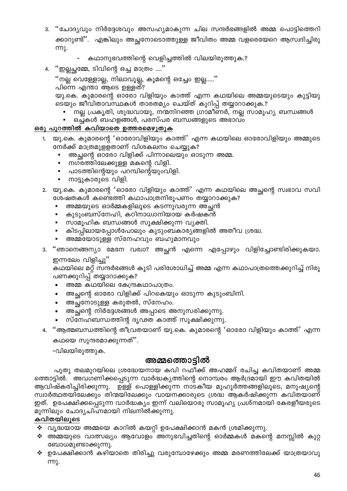- 3. ''ചോദ്യവും നിർദ്ദേശവും അസഹ്യമാകുന്ന ചില സന്ദർഭങ്ങളിൽ അമ്മ പൊട്ടിത്തെറി ക്കാറുണ്ട്''. എങ്കിലും അച്ഛനോടൊത്തുള്ള ജീവിതം അമ്മ വളരെയേറെ ആസ്വദിച്ചിരു **ന്നു.** 
	- -
	-
- കഥാനുഭവത്തിന്റെ വെളിച്ചത്തിൽ വിലയിരുത്തുക.?
	-
	-
- 
- "ഇല്ലച്ഛമ്മേ, ടിവിന്റെ ഒച്ച മാത്രം ...." 4.
	-
	- ''നല്ല വെള്ളോല്ല, നിലാവൂല്ല, കൂമന്റെ ഒച്ചേം ഇല്ല.....''
	- പിന്നെ എന്താ ആടെ ഉള്ളത്?

യു.കെ. കുമാരന്റെ ഓരോ വിളിയും കാത്ത് എന്ന കഥയിലെ അമ്മയുടെയും കുട്ടിയു ടെയും ജീവിതാവസ്ഥകൾ താരതമ്യം ചെയ്ത് കുറിപ്പ് തയ്യാറാക്കുക.?

- നല്ല പ്രകൃതി, ശുദ്ധവായു, നന്മനിറഞ്ഞ ഗ്രാമീണർ, നല്ല സാമൂഹ്യ ബന്ധങ്ങൾ
- ഒച്ചകൾ ബഹളങ്ങൾ, പരസ്പര ബന്ധങ്ങളുടെ അഭാവം

# ഒരു പുറത്തിൽ കവിയാതെ ഉത്തരമെഴുതുക

- യു.കെ. കുമാരന്റെ 'ഓരോവിളിയും കാത്ത്' എന്ന കഥയിലെ ഓരോവിളിയും അമ്മുടെ നേർക്ക് മാത്രമുളളതാണ് വിശകലനം ചെയ്യുക?
	- അച്ഛന്റെ ഓരോ വിളിക്ക് പിന്നാലെയും ഓടുന്ന അമ്മ.
	- നഗരത്തിലേക്കുള്ള മകന്റെ വിളി.
	- പാടത്തിന്റെയും പറമ്പിന്റെയുംവിളി.
	- നാട്ടുകാരുടെ വിളി.
- 2. യു.കെ. കുമാരന്റെ 'ഓരോ വിളിയും കാത്ത്' എന്ന കഥയിലെ അച്ഛന്റെ സ്വഭാവ സവി ശേഷതകൾ കണ്ടെത്തി കഥാപാത്രനിരൂപണം തയ്യാറാക്കുക?
	- അമ്മയുടെ ഓർമ്മകളിലൂടെ കടന്നുവരുന്ന അച്ഛൻ
	- $\blacksquare$ കുടുംബസ്നേഹി, കഠിനാധ്വാനിയായ കർഷകൻ
	- സാമൂഹിക ബന്ധങ്ങൾ സൂക്ഷിക്കുന്ന വ്യക്തി.
	- കിടപ്പിലായപ്പോൾപോലും കുടുംബകാര്യങ്ങളിൽ അതീവ ശ്രദ്ധ.
	- അമ്മയോടുള്ള സ്നേഹവും ബഹുമാനവും
- 3. "ഞാനെങ്ങന്യാ മേനേ വര്വാ? അച്ഛൻ എന്നെ എപ്പോഴും വിളിച്ചോണ്ടിരിക്കുകയാ. ഇന്നലേം വിളിച്ചു''

കഥയിലെ മറ്റ് സന്ദർഭങ്ങൾ കൂടി പരിശോധിച്ച് അമ്മ എന്ന കഥാപാത്രത്തെക്കുറിച്ച് നിരൂ പണക്കുറിപ്പ്്തയ്യാറാക്കുക?

- അമ്മ കഥയിലെ കേന്ദ്രകഥാപാത്രം.  $\bullet$
- അച്ഛന്റെ ഓരോ വിളിക്ക് പിറകെയും ഓടുന്ന കുടുംബിനി.
- അച്ഛനോടുള്ള കരുതൽ, സ്നേഹം.
- അച്ഛന്റെ നിർദ്ദേശങ്ങൾ അപ്പാടെ അനുസരിക്കുന്നു.  $\bullet$
- സ്നേഹബന്ധത്തിന്റ ദൃഢത കാത്ത് സൂക്ഷിക്കുന്നു.
- 4. "ആത്മബന്ധത്തിന്റെ തീവ്രതയാണ് യു.കെ. കുമാരന്റെ 'ഓരോ വിളിയും കാത്ത്' എന്ന കഥയെ സുന്ദരമാക്കുന്നത്".

-വിലയിരുത്തുക.

# അമ്മത്തൊട്ടിൽ

പുതു തലമുറയിലെ ശ്രദ്ധേയനായ കവി റഫീക്ക് അഹമ്മദ് രചിച്ച കവിതയാണ് അമ്മ ത്തൊട്ടിൽ. അവഗണിക്കപ്പെടുന്ന വാർദ്ധകൃത്തിന്റെ നൊമ്പരം ആർദ്രമായി ഈ കവിതയിൽ ആവിഷ്കരിച്ചിരിക്കുന്നു. ഉള്ള് പൊള്ളിക്കുന്ന നാടകീയ മുഹൂർത്തങ്ങളിലൂടെ, മനുഷ്യന്റെ സ്വാർത്ഥതയിലേക്കും തിന്മയിലേക്കും വായനക്കാരുടെ ശ്രദ്ധ ആകർഷിക്കുന്ന കവിതയാണ് ഇത്. ഉപേക്ഷിക്കപ്പെടുന്ന വാർദ്ധക്യം ഇന്ന് വലിയൊരു സാമൂഹ്യ പ്രശ്നമായി കേരളീയരുടെ മുന്നിലും ചോദൃചിഹ്നമായി നിലനിൽക്കുന്നു.

# കവിതയിലുടെ

- $\boldsymbol{\cdot}$  വൃദ്ധയായ അമ്മയെ കാറിൽ കയറ്റി ഉപേക്ഷിക്കാൻ മകൻ ശ്രമിക്കുന്നു.
- $\boldsymbol{\cdot}$  അമ്മയുടെ വാത്സല്യം ആവോളം അനുഭവിച്ചതിന്റെ ഓർമ്മകൾ മകന്റെ മനസ്സിൽ കുറ്റ ബോധമുണ്ടാക്കുന്നു.
- $\boldsymbol{\cdot}$  ഉപേക്ഷിക്കാൻ കഴിയാതെ തിരിച്ചു വരുമ്പോഴേക്കും അമ്മ മരണത്തിലേക്ക് യാത്രയാവു ന്നു.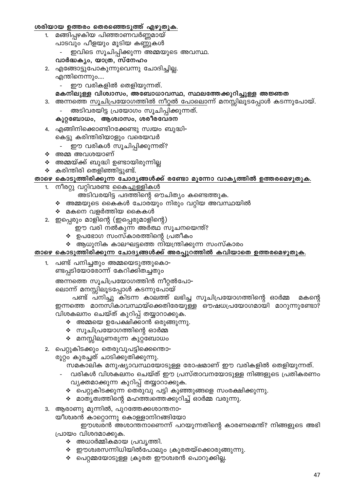- ❖ പെറ്റമ്മയോടുള്ള ക്രൂരത ഈശ്വരൻ പൊറുക്കില്ല.
- ❖ ഈശ്വരസന്നിധിയിൽപോലും ക്രൂരതയ്ക്കൊരുങ്ങുന്നു.
- ∻ അധാർമ്മികമായ പ്രവൃത്തി.
- യീശ്വരൻ കാറ്റൊന്നു കൊള്ളാനിറങ്ങിയോ ഈശ്വരൻ അശാന്തനാണെന്ന് പറയുന്നതിന്റെ കാരണമെന്ത്? നിങ്ങളുടെ അഭി പ്രായം വിശദമാക്കുക.
- 3. ആരാണു മുന്നിൽ, പുറത്തേക്കശാന്തനാ-
- ❖ മാതൃത്വത്തിന്റെ മഹത്ത്വത്തെക്കുറിച്ച് ഓർമ്മ വരുന്നു.
- ❖ പെറ്റുകിടക്കുന്ന തെരുവു പട്ടി കുഞ്ഞുങ്ങളെ സംരക്ഷിക്കുന്നു.
- വരികൾ വിശകലനം ചെയ്ത് ഈ പ്രസ്താവനയോടുള്ള നിങ്ങളുടെ പ്രതികരണം വ്യക്തമാക്കുന്ന കുറിപ്പ് തയ്യാറാക്കുക.

രൂറ്റം കുരച്ചത് ചാടിക്കുതിക്കുന്നു. സമകാലിക മനുഷ്യാവസ്ഥയോടുള്ള രോഷമാണ് ഈ വരികളിൽ തെളിയുന്നത്.

- 2. പെറ്റുകിടക്കും തെരുവുപട്ടിക്കെന്താ-
- ❖ മനസ്സിലുണരുന്ന കുറ്റബോധം
- $\boldsymbol{\cdot}$  സൂചിപ്രയോഗത്തിന്റെ ഓർമ്മ
- $\boldsymbol{\dot{\ast}}$  അമ്മയെ ഉപേക്ഷിക്കാൻ ഒരുങ്ങുന്നു.

വിശകലനം ചെയ്ത് കുറിപ്പ് തയ്യാറാക്കുക.

ലൊന്ന് മനസ്സിലൂടപ്പോൾ കടന്നുപോയ് പണ്ട് പനിച്ചു കിടന്ന കാലത്ത് ലഭിച്ച സൂചിപ്രയോഗത്തിന്റെ ഓർമ്മ മകന്റെ ഇന്നത്തെ മാനസികാവസ്ഥയ്ക്കെതിരേയുള്ള ഔഷധപ്രയോഗമായി മാറുന്നുണ്ടോ?

അന്നത്തെ സൂചിപ്രയോഗത്തിൻ നീറ്റൽപോ-

1. പണ്ട് പനിച്ചതും അമ്മയെടുത്തുകൊ-ണ്ടപ്പടിയോരോന്ന് കേറിക്കിതച്ചതും

# താഴെ കൊടുത്തിരിക്കുന്ന ചോദൃങ്ങൾക്ക് അരപ്പുറത്തിൽ കവിയാതെ ഉത്തരമെഴുതുക.

- ❖ ആധുനിക കാലഘട്ടത്തെ നിയന്ത്രിക്കുന്ന സംസ്കാരം
- ❖ ഉപഭോഗ സംസ്കാരത്തിന്റെ പ്രതീകം
- ഈ വരി നൽകുന്ന അർത്ഥ സൂചനയെന്ത്?
- 2. ഇപ്പെരും മാളിന്റെ (ഇപ്പെരുമാളിന്റെ)
- $\boldsymbol{\cdot}$  മകനെ വളർത്തിയ കൈകൾ
- ❖ അമ്മയുടെ കൈകൾ ചോരയും നിരും വറ്റിയ അവസ്ഥയിൽ
- അടിവരയിട്ട പദത്തിന്റെ ഔചിത്യം കണ്ടെത്തുക.
- 1. നീരറ്റു വറ്റിവരണ്ട <u>കൈച്ചുള്ളികൾ</u>
	-
- 
- 
- 
- 
- 
- 
- -
	-
	-
	- - -
	-
	-
	- -
- 

 $\boldsymbol{\cdot}$  കരിന്തിരി തെളിഞ്ഞിട്ടുണ്ട്.

# $\boldsymbol{\cdot}$  അമ്മയ്ക്ക് ബുദ്ധി ഉണ്ടായിരുന്നില്ല

# <u>താഴെ കൊടുത്തിരിക്കുന്ന ചോദ്യങ്ങൾക്ക് രണ്ടോ മൂന്നോ വാക്യത്തിൽ ഉത്തരമെഴുതുക.</u>

∻ അമ്മ അവശയാണ്

 $\sim$ 

#### മകനിലുള്ള വിശ്വാസം, അബോധാവസ്ഥ, സ്ഥലത്തേക്കുറിച്ചുള്ള അജ്ഞത 3. അന്നത്തെ സൂചിപ്രയോഗത്തിൽ നീറ്റൽ പോലൊന്ന് മനസ്സിലൂടപ്പോൾ കടന്നുപോയ്.

അടിവരയിട്ട പ്രയോഗം സൂചിപ്പിക്കുന്നത്.

ഈ വരികളിൽ തെളിയുന്നത്.

#### 2. എങ്ങോട്ടുപോകുന്നുവെന്നു ചോദിച്ചില്ല. എന്തിനെന്നും....

കൂറ്റബോധം, ആശ്വാസം, ശരീരവേദന 4. എങ്ങിനിക്കൊണ്ടിറക്കേണ്ടു സ്വയം ബുദ്ധി-കെട്ടു കരിന്തിരിയാളും വരെയവർ

ഈ വരികൾ സൂചിപ്പിക്കുന്നത്?

- ഇവിടെ സൂചിപ്പിക്കുന്ന അമ്മയുടെ അവസ്ഥ. വാർദ്ധക്യം, യാത്ര, സ്നേഹം
- മങ്ങിപ്പഴകിയ പിഞ്ഞാണവർണ്ണമായ് പാടവും പീളയും മൂടിയ കണ്ണുകൾ

#### ശരിയായ ഉത്തരം തെരഞ്ഞെടുത്ത് എഴുതുക.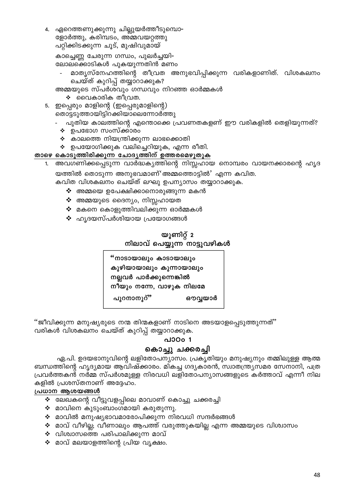4. ഏറെത്തണുക്കുന്നു ചില്ലുയർത്തീടുമ്പൊ-ളോർത്തു, കരിമ്പടം, അമ്മവയറ്റത്തു പറ്റിക്കിടക്കുന്ന ചൂട്, മുഷിവുമായ്

കാച്ചെണ്ണ ചേരുന്ന ഗന്ധം, പുലർച്ചയി-ലോലക്കൊടികൾ പുകയുന്നതിൻ മണം

മാതൃസ്നേഹത്തിന്റെ തീവ്രത അനുഭവിപ്പിക്കുന്ന വരികളാണിത്. വിശകലനം ചെയ്ത് കുറിപ്പ് തയ്യാറാക്കുക?

അവഗണിക്കപ്പെടുന്ന വാർദ്ധകൃത്തിന്റെ നിസ്സഹായ നൊമ്പരം വായനക്കാരന്റെ ഹൃദ

അമ്മയുടെ സ്പർശവും ഗന്ധവും നിറഞ്ഞ ഓർമ്മകൾ

യത്തിൽ തൊടുന്ന അനുഭവമാണ്'അമ്മത്തൊട്ടിൽ' എന്ന കവിത. കവിത വിശകലനം ചെയ്ത് ലഘു ഉപന്യാസം തയ്യാറാക്കുക.

- 
- $\boldsymbol{\cdot}$  വൈകാരിക തീവ്രത.
- 
- 
- 
- 
- 
- 
- 
- 
- 
- 
- 
- 
- 
- 
- 
- 
- 
- 
- 
- 
- 
- 
- 
- 
- 
- 
- 
- 5. ഇപ്പെരും മാളിന്റെ (ഇപ്പെരുമാളിന്റെ)
	-
	-

 $\cdot$  ഉപഭോഗ സംസ്ക്കാരം

- തൊട്ടടുത്തായിട്ടിറക്കിയാലെന്നോർത്തു
- 
- 
- പുതിയ കാലത്തിന്റെ എന്തൊക്കെ പ്രവണതകളണ് ഈ വരികളിൽ തെളിയുന്നത്?

 $\boldsymbol{\cdot}$  കാലത്തെ നിയന്ത്രിക്കുന്ന ലാഭക്കൊതി

താഴെ കൊടുത്തിരിക്കുന്ന ചോദൃത്തിന് ഉത്തരമെഴുതുക

 $\clubsuit$  അമ്മയുടെ ദൈന്യം, നിസ്സഹായത

 $\boldsymbol{\cdot}$  ഹൃദയസ്പർശിയായ പ്രയോഗങ്ങൾ

 $\boldsymbol{\cdot}$  ഉപയോഗിക്കുക വലിച്ചെറിയുക, എന്ന രീതി.

 $\boldsymbol{\cdot\!\!\!\cdot}$  അമ്മയെ ഉപേക്ഷിക്കാനൊരുങ്ങുന്ന മകൻ

 $\boldsymbol{\cdot}$  മകനെ കൊളുത്തിവലിക്കുന്ന ഓർമ്മകൾ

 $\boldsymbol{\cdot}$  വിശ്വാസത്തെ പരിപാലിക്കുന്ന മാവ്  $\boldsymbol{\cdot}$  മാവ് മലയാളത്തിന്റെ പ്രിയ വൃക്ഷം.

 $\boldsymbol{\cdot}$  മാവിനെ കുടുംബാംഗമായി കരുതുന്നു.

കളിൽ പ്രശസ്തനാണ് അദ്ദേഹം.

<u>പ്രധാന ആശയങ്ങൾ</u>

യൂണിറ്റ് 2 നിലാവ് പെയ്യുന്ന<sup>്</sup>നാട്ടുവഴികൾ

# "നാടായാലും കാടായാലും കുഴിയായാലും കുന്നായാലും നല്ലവർ പാർക്കുന്നെങ്കിൽ നീയും നന്നേ, വാഴുക നിലമേ

പുറനാനൂറ്"

ഔവ്വയാർ

''ജീവിക്കുന്ന മനുഷ്യരുടെ നന്മ തിന്മകളാണ് നാടിനെ അടയാളപ്പെടുത്തുന്നത്''

വരികൾ വിശകലനം ചെയ്ത് കുറിപ്പ് തയ്യാറാക്കുക.

❖ ലേഖകന്റെ വീട്ടുവളപ്പിലെ മാവാണ് കൊച്ചു ചക്കരച്ചി

 $\boldsymbol{\cdot}$  മാവിൽ മനുഷ്യഭാവമാരോപിക്കുന്ന നിരവധി സന്ദർഭങ്ങൾ

# പാഠം 1

# കൊച്ചു ചക്കരച്ചി

ബന്ധത്തിന്റെ ഹൃദ്യമായ ആവിഷ്ക്കാരം. മികച്ച ഗദ്യകാരൻ, സ്വാതന്ത്ര്യസമര സേനാനി, പത്ര പ്രവർത്തകൻ നർമ്മ സ്പർശമുള്ള നിരവധി ലളിതോപന്യാസങ്ങളുടെ കർത്താവ് എന്നീ നില

❖ മാവ് വീഴില്ല; വീണാലും ആപത്ത് വരുത്തുകയില്ല എന്ന അമ്മയുടെ വിശ്വാസം

ഏ.പി. ഉദയഭാനുവിന്റെ ലളിതോപന്യാസം. പ്രകൃതിയും മനുഷ്യനും തമ്മിലുള്ള ആത്മ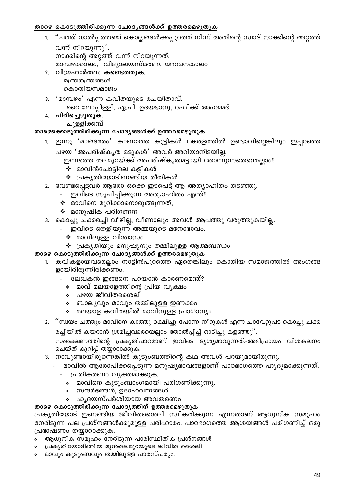#### താഴെ കൊടുത്തിരിക്കുന്ന ചോദൃങ്ങൾക്ക് ഉത്തരമെഴുതുക

- ''പത്ത് നാൽപ്പത്തഞ്ച് കൊല്ലങ്ങൾക്കപ്പുറത്ത് നിന്ന് അതിന്റെ സ്വാദ് നാക്കിന്റെ അറ്റത്ത് വന്ന് നിറയുന്നു''. നാക്കിന്റെ അറ്റത്ത് വന്ന് നിറയുന്നത്. മാമ്പഴക്കാലം, വിദ്യാലയസ്മരണ, യൗവനകാലം 2. വിഗ്രഹാർത്ഥം കണ്ടെത്തുക. മന്ത്രതന്ത്രങ്ങൾ കൊതിയസമാജം
- ്മാമ്പഴം' എന്ന കവിതയുടെ രചയിതാവ്. 3.

വൈലോപ്പിള്ളി, ഏ.പി. ഉദയഭാനു, റഫീക്ക് അഹമ്മദ്

പിരിച്ചെഴുതുക.

ചുള്ളിക്കമ്പ്

#### താഴെക്കൊടുത്തിരിക്കുന്ന ചോദ്യങ്ങൾക്ക് ഉത്തരമെഴുതുക

- ഇന്നു 'മാങ്ങമരം' കാണാത്ത കുട്ടികൾ കേരളത്തിൽ ഉണ്ടാവില്ലെങ്കിലും ഇപ്പറഞ്ഞ
	- പഴയ 'അപരിഷ്കൃത മട്ടുകൾ' അവർ അറിയാനിടയില്ല.

ഇന്നത്തെ തലമുറയ്ക്ക് അപരിഷ്കൃതമട്ടായി തോന്നുന്നതെന്തെല്ലാം?

- $\div$  മാവിൻചോട്ടിലെ കളികൾ
- ❖ പ്രകൃതിയോടിണങ്ങിയ രീതികൾ
- 2. വേണ്ടപ്പെട്ടവർ ആരോ ഒക്കെ ഇടപെട്ട് ആ അത്യാഹിതം തടഞ്ഞു.
	- \_ ഇവിടെ സൂചിപ്പിക്കുന്ന അത്യാഹിതം എന്ത്?
	- $\clubsuit$  മാവിനെ മുറിക്കാനൊരുങ്ങുന്നത്,
	- $\boldsymbol{\cdot}$  മാനുഷിക പരിഗണന
- 3. കൊച്ചു ചക്കരച്ചി വീഴില്ല, വീണാലും അവൾ ആപത്തു വരുത്തുകയില്ല.
	- ഇവിടെ തെളിയുന്ന അമ്മയുടെ മനോഭാവം.
	- $\clubsuit$  മാവിലുള്ള വിശ്വാസം
	- ❖ പ്രകൃതിയും മനുഷ്യനും തമ്മിലുള്ള ആത്മബന്ധം

#### താഴെ കൊടുത്തിരിക്കുന്ന ചോദ്യങ്ങൾക്ക് ഉത്തരമെഴുതുക

- 1. കവികളായവരെല്ലാം നാട്ടിൻപുറത്തെ ഏതെങ്കിലും കൊതിയ സമാജത്തിൽ അംഗങ്ങ ളായിരിരുന്നിരിക്കണം.
	- ലേഖകൻ ഇങ്ങനെ പറയാൻ കാരണമെന്ത്?
		- ∻ മാവ് മലയാളത്തിന്റെ പ്രിയ വൃക്ഷം
		- ∻ പഴയ ജീവിതശൈലി
		- ∻ ബാല്യവും മാവും തമ്മിലുള്ള ഇണക്കം
		- ∻ മലയാള കവിതയിൽ മാവിനുള്ള പ്രാധാന്യം
	- 2. ''സ്വയം ചത്തും മാവിനെ കാത്തു രക്ഷിച്ചു പോന്ന നീറുകൾ എന്ന ചാവേറ്റുപട കൊച്ചു ചക്ക

രച്ചിയിൽ കയറാൻ ശ്രമിച്ചവരെയെല്ലാം തോൽപ്പിച്ച് ഓടിച്ചു കളഞ്ഞു''.

സംരക്ഷണത്തിന്റെ പ്രകൃതിപാഠമാണ് ഇവിടെ ദൃശ്യമാവുന്നത്.-അഭിപ്രായം വിശകലനം ചെയ്ത് കുറിപ്പ് തയ്യാറാക്കുക.

- 3. നാവുണ്ടായിരുന്നെങ്കിൽ കുടുംബത്തിന്റെ കഥ അവൾ പറയുമായിരുന്നു.
	- മാവിൽ ആരോപിക്കപ്പെടുന്ന മനുഷ്യഭാവങ്ങളാണ് പാഠഭാഗത്തെ ഹൃദ്യമാക്കുന്നത്.
		- പ്രതികരണം വൃക്തമാക്കുക.
			- ∻ മാവിനെ കുടുംബാംഗമായി പരിഗണിക്കുന്നു.
			- സന്ദർഭങ്ങൾ, ഉദാഹരണങ്ങൾ
		- ഹൃദയസ്പർശിയായ അവതരണം

### താഴെ കൊടുത്തിരിക്കുന്ന ചോദൃത്തിന് ഉത്തരമെഴുതുക

പ്രകൃതിയോട് ഇണങ്ങിയ ജീവിതശൈലി സ്വീകരിക്കുന്ന എന്നതാണ് ആധുനിക സമൂഹം നേരിടുന്ന പല പ്രശ്നങ്ങൾക്കുമുള്ള പരിഹാരം. പാഠഭാഗത്തെ ആശയങ്ങൾ പരിഗണിച്ച് ഒരു പ്രഭാഷണം തയ്യാറാക്കുക.

- ആധുനിക സമൂഹം നേരിടുന്ന പാരിസ്ഥിതിക പ്രശ്നങ്ങൾ
- പ്രകൃതിയോടിങ്ങിയ മുൻതലമുറയുടെ ജീവിത ശൈലി
- മാവും കുടുംബവും തമ്മിലുള്ള പാരസ്പര്യം. ÷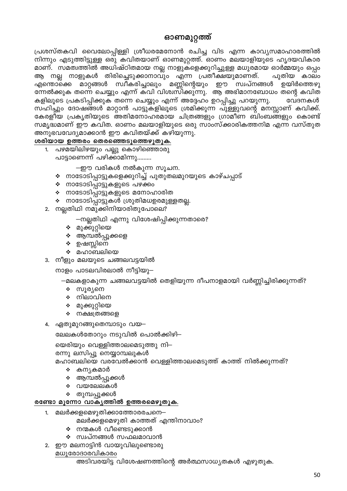അടിവരയിട്ട വിശേഷണത്തിന്റെ അർത്ഥസാധ്യതകൾ എഴുതുക.

- മധുരോദാരവികാരം
- 2. ഈ മലനാട്ടിൻ വായുവിലുണ്ടൊരു
- $\boldsymbol{\cdot}$  സ്വപ്നങ്ങൾ സഫലമാവാൻ
- ❖ നന്മകൾ വീണ്ടെടുക്കാൻ
- മലർക്കളമെഴുതി കാത്തത് എന്തിനാവാം?
- മലർക്കളമെഴുതിക്കാത്തോരരചനെ– 1.

#### <u>രണ്ടോ മൂന്നോ വാകൃത്തിൽ ഉത്തരമെഴുതുക.</u>

- ∻ തുമ്പപ്പൂക്കൾ
- ∻ വയലേലകൾ
- ∻ ആമ്പൽപ്പൂക്കൾ
- ∻ കനൃകമാർ

രന്നു ലസിപ്പൂ നെയ്യാമ്പലുകൾ മഹാബലിയെ വരവേൽക്കാൻ വെള്ളിത്താലമെടുത്ത് കാത്ത് നിൽക്കുന്നത്?

യെരിയും വെള്ളിത്താലമെടുത്തു നി–

ലേലകൾതോറും നടുവിൽ പൊൽക്കിഴി–

- 4. ഏതുമുറങ്ങുതെമ്പാടും വയ–
- ∻ നക്ഷത്രങ്ങളെ
- ∻ മുക്കുറ്റിയെ
- $\cdot$  നിലാവിനെ
- ∻ സൂര്യനെ
- —മലകളാകുന്ന ചങ്ങലവട്ടയിൽ തെളിയുന്ന ദീപനാളമായി വർണ്ണിച്ചിരിക്കുന്നത്?

നാളം പാടലവിരലാൽ നീട്ടിയു—

- 3. നീളും മലയുടെ ചങ്ങലവട്ടയിൽ
- ∻ മഹാബലിയെ
- $\cdot$  ഉഷസ്സിനെ
- ∻ ആമ്പൽപ്പൂക്കളെ
- ∻ മുക്കുറ്റിയെ
- —നല്ലതിഥി എന്നു വിശേഷിപ്പിക്കുന്നതാരെ?
- 2. നല്ലതിഥി നമുക്കിനിയാരിതുപോലെ?
- ∻ നാടോടിപ്പാട്ടുകൾ ശ്രുതിമധഉരമുള്ളതല്ല.
- ∻ നാടോടിപ്പാട്ടുകളുടെ മനോഹാരിത
- ❖ നാടോടിപ്പാട്ടുകളുടെ പഴക്കം
- ❖ നാടോടിപ്പാട്ടുകളെക്കുറിച്ച് പുതുതലമുറയുടെ കാഴ്ചപ്പാട്
- —ഈ വരികൾ നൽകുന്ന സൂചന.
- പാട്ടാണെന്ന് പഴിക്കാമിന്നു.........
- 1. പഴമയിലിഴയും പല്ലു കൊഴിഞ്ഞൊരു

# ശരിയായ ഉത്തരം തെരഞ്ഞെടുത്തെഴുതുക.

പ്രശസ്തകവി വൈലോപ്പിള്ളി ശ്രീധരമേനോൻ രചിച്ച വിട എന്ന കാവ്യസമാഹാരത്തിൽ നിന്നും എടുത്തിട്ടുള്ള ഒരു കവിതയാണ് ഓണമുറ്റത്ത്. ഓണം മലയാളിയുടെ ഹൃദയവികാര മാണ്. സമത്വത്തിൽ അധിഷ്ഠിതമായ നല്ല നാളുകളെക്കുറിച്ചുള്ള മധുരമായ ഓർമ്മയും ഒപ്പം ആ നല്ല നാളുകൾ തിരിച്ചെടുക്കാനാവും എന്ന പ്രതീക്ഷയുമാണത്. പുതിയ കാലം സ്വീകരിച്ചാലും മണ്ണിന്റെയും ഈ സ്വപ്നങ്ങൾ എന്തൊക്കെ മാറ്റങ്ങൾ ഉയിർത്തെഴു ന്നേൽക്കുക തന്നെ ചെയ്യും എന്ന് കവി വിശ്വസിക്കുന്നു. ആ അഭിമാനബോധം തന്റെ കവിത കളിലൂടെ പ്രകടിപ്പിക്കുക തന്നെ ചെയ്യും എന്ന് അദ്ദേഹം ഉറപ്പിച്ചു പറയുന്നു. വേദനകൾ സഹിച്ചും ദോഷങ്ങൾ മാറ്റാൻ പാട്ടുകളിലൂടെ ശ്രമിക്കുന്ന പുള്ളുവന്റെ മനസ്സാണ് കവിക്ക്. കേരളീയ പ്രകൃതിയുടെ അതിമനോഹരമായ ചിത്രങ്ങളും ഗ്രാമീണ ബിംബങ്ങളും കൊണ്ട് സമൃദ്ധമാണ് ഈ കവിത. ഓണം മലയാളിയുടെ ഒരു സാംസ്ക്കാരികത്തനിമ എന്ന വസ്തുത അനുഭവവേദ്യമാക്കാൻ ഈ കവിതയ്ക്ക് കഴിയുന്നു.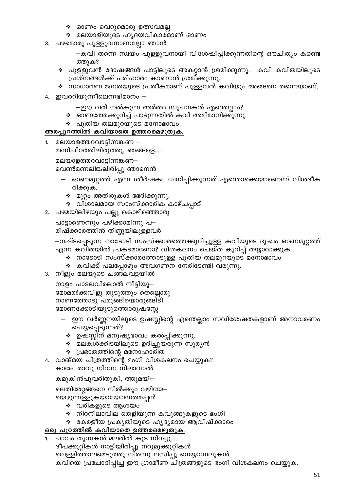പാവം തുമ്പകൾ മലരിൽ കൂട നിറച്ചു..... ദീപക്കുറ്റികൾ നാട്ടിയിരിപ്പൂ നറുമുക്കുറ്റികൾ വെള്ളിത്താലമെടുത്തു നിരന്നു ലസിപ്പൂ നെയ്യാമ്പലുകൾ കവിയെ പ്രചോദിപ്പിച്ച ഈ ഗ്രാമീണ ചിത്രങ്ങളുടെ ഭംഗി വിശകലനം ചെയ്യുക.

### ഒരു പുറത്തിൽ കവിയാതെ ഉത്തരമെഴുതുക.

- ❖ കേരളീയ പ്രകൃതിയുടെ ഹൃദ്യമായ ആവിഷ്ക്കാരം
- ❖ നിറനിലാവില തെളിയുന്ന കവുങ്ങുകളുടെ ഭംഗി
- $\div$  വരികളുടെ ആശയം

1.

യെഴുന്നള്ളുകയായോണത്തപ്പൻ

ലെതിരേറ്റങ്ങനെ നിൽക്കും വഴിയേ–

കമുകിൻപൂവരിതൂകി, ത്തൂമയി–

കാലേ രാവു നിറന്ന നിലാവാൽ

- 4. വാങ്മയ ചിത്രത്തിന്റെ ഭംഗി വിശകലനം ചെയ്യുക?
- ❖ (പഭാതത്തിന്റെ മനോഹാരിത
- $\boldsymbol{\cdot}$  മലകൾക്കിടയിലൂടെ ഉദിച്ചുയരുന്ന സൂര്യൻ
- $\boldsymbol{\dot{\ast}}$  ഉഷസ്സിന് മനുഷ്യഭാവം കൽപ്പിക്കുന്നു.
- ഈ വർണ്ണനയിലൂടെ ഉഷസ്സിന്റെ എന്തെല്ലാം സവിശേഷതകളാണ് അനാവരണം ചെയ്യപ്പെടുന്നത്?

നാളം പാടലവിരലാൽ നീട്ടിയു— മോമൽക്കവിളു തുടുത്തും തെല്ലൊരു നാണത്തോടു പരുങ്ങിയൊരുങ്ങിടി മോണക്കോടിയുടുത്തൊരുഷസ്സേ

- 3. നീളും മലയുടെ ചങ്ങലവട്ടയിൽ
- ❖ കവിക്ക് പലപ്പോഴും അവഗണന നേരിടേണ്ടി വരുന്നു.
- $\boldsymbol{\cdot}$  നാടോടി സംസ്ക്കാരത്തോടുള്ള പുതിയ തലമുറയുടെ മനോഭാവം

—നഷ്ടപ്പെടുന്ന നാടോടി സംസ്ക്കാരത്തെക്കുറിച്ചുള്ള കവിയുടെ ദു:ഖം ഓണമുറ്റത്ത് എന്ന കവിതയിൽ പ്രകടമാണോ? വിശകലനം ചെയ്ത കുറിപ്പ് തയ്യാറാക്കുക.

പാട്ടാണെന്നും പഴിക്കാമിന്നു പ $-$ രിഷ്ക്കാരത്തിൻ തിണ്ണയിലുള്ളവർ

- 2. പഴമയിലിഴയും പല്ലു കൊഴിഞ്ഞൊരു
- ❖ വിശാലമായ സാംസ്ക്കാരിക കാഴ്ചപ്പാട്
- $\boldsymbol{\cdot}$  മുറ്റം അതിരുകൾ ഭേദിക്കുന്നു.
- ഓണമുറ്റത്ത് എന്ന ശീർഷകം ധ്വനിപ്പിക്കുന്നത് എന്തൊക്കെയാണെന്ന് വിശദീക രിക്കുക.

വെൺമണലിങ്കലിരിപ്പൂ ഞാനെൻ

മലയാളത്തറവാട്ടിന്നങ്കണ–

മണിപീഠത്തിലിരുത്തൂ, ഞങ്ങളെ....

 $1.$ മലയാളത്തറവാട്ടിന്നങ്കണ —

#### അരപ്പുറത്തിൽ <u>കവിയാതെ ഉത്തരമെഴുതുക.</u>

- ❖ പുതിയ തലമുറയുടെ മനോഭാവം
- $\boldsymbol{\dot{\cdot}}$  ഓണത്തേക്കുറിച്ച് പാടുന്നതിൽ കവി അഭിമാനിക്കുന്നു.
- —ഈ വരി നൽകുന്ന അർത്ഥ സൂചനകൾ എന്തെല്ലാം?
- 4. ഇവരറിയുന്നീലെന്നഭിമാനം
- പ്രശ്നങ്ങൾക്ക് പരിഹാരം കാണാൻ ശ്രമിക്കുന്നു.  $\boldsymbol{\cdot}$  സാധാരണ ജനതയുടെ പ്രതീകമാണ് പുള്ളവൻ കവിയും അങ്ങനെ തന്നെയാണ്.
- ത്തുക?  $\boldsymbol{\cdot}$  പുള്ളുവൻ ദോഷങ്ങൾ പാട്ടിലൂടെ അകറ്റാൻ ശ്രമിക്കുന്നു. കവി കവിതയിലൂടെ
- —കവി തന്നെ സ്വയം പുള്ളുവനായി വിശേഷിപ്പിക്കുന്നതിന്റെ ഔചിത്യം കണ്ടെ
- 3. പഴമൊരു പുള്ളുവനാണല്ലോ ഞാൻ
- ❖ മലയാളിയുടെ ഹൃദയവികാരമാണ് ഓണം
- ∻ ഓണം വെറുമൊരു ഉത്സവമല്ല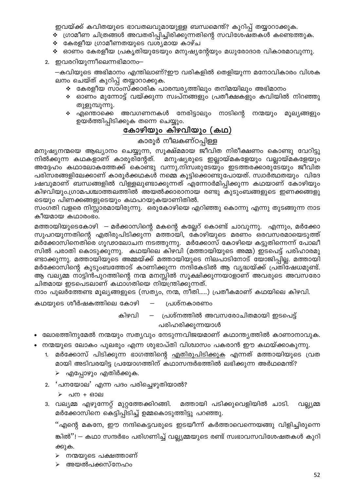ഇവയ്ക്ക് കവിതയുടെ ഭാവതലവുമായുള്ള ബന്ധമെന്ത്? കുറിപ്പ് തയ്യാറാക്കുക.

- $\stackrel{\bullet}{\bullet}$  ഗ്രാമീണ ചിത്രങ്ങൾ അവതരിപ്പിച്ചിരിക്കുന്നതിന്റെ സവിശേഷ്തകൾ കണ്ടെത്തുക.
- ❖ കേരളീയ ഗ്രാമീണതയുടെ വശ്യമായ കാഴ്ച
- ❖ ഓണം കേരളീയ പ്രകൃതിയുടേയും മനുഷ്യന്റേയും മധുരോദാര വികാരമാവുന്നു.
- 2. ഇവരറിയുന്നീലെന്നഭിമാനം–

—കവിയുടെ അഭിമാനം എന്തിലാണ്?ഈ വരികളിൽ തെളിയുന്ന മനോവികാരം വിശക ലനം ചെയ്ത് കുറിപ്പ് തയ്യാറാക്കുക.

- $\boldsymbol{\dot{\cdot}}$  കേരളീയ സാംസ്ക്കാരിക പാരമ്പര്യത്തിലും തനിമയിലും അഭിമാനം
- ∻ ഓണം മുന്നോട്ട് വയ്ക്കുന്ന സ്വപ്നങ്ങളും പ്രതീക്ഷകളും കവിയിൽ നിറഞ്ഞു തുളുമ്പുന്നു.
- **∻** എന്തൊക്കെ അവഗണനകൾ നേരിട്ടാലും നാടിന്റെ നന്മയും മൂല്യങ്ങളും ഉയർത്തിപ്പിടിക്കുക തന്നെ ചെയ്യും.

# <u>കോഴിയും കിഴവിയും</u> (കഥ)

#### കാരൂർ നീലകണ്ഠപ്പിള്ള

മനുഷ്യനന്മയെ ആഖ്യാനം ചെയ്യുന്ന, സൂക്ഷ്മമായ ജീവിത നിരീക്ഷണം കൊണ്ടു വേറിട്ടു നിൽക്കുന്ന കഥകളാണ് കാരൂരിന്റേത്. മനുഷ്യരുടെ ഇല്ലായ്മകളേയും വല്ലായ്മകളേയും അദ്ദേഹം കഥാലോകത്തേക്ക് കൊണ്ടു വന്നു.നിസ്വരുടേയും ഇടത്തരക്കാരുടേയും ജീവിത പരിസരങ്ങളിലേക്കാണ് കാരൂർക്കഥകൾ നമ്മെ കൂട്ടിക്കൊണ്ടുപോയത്. സ്വാർത്ഥതയും വിദേ കിഴവിയും.ഗ്രാമപശ്ചാത്തലത്തിൽ അയൽക്കാരാനായ രണ്ടു കുടുംബങ്ങളുടെ ഇണക്കങ്ങളു ടെയും പിണക്കങ്ങളുടെയും കഥപറയുകയാണിതിൽ.

സംഗതി വളരെ നിസ്സാരമായിരുന്നു. ഒരുകോഴിയെ എറിഞ്ഞു കൊന്നു എന്നു തുടങ്ങുന്ന നാട കീയമായ കഥാരംഭം.

മത്തായിയുടെകോഴി — മർക്കാസിന്റെ മകന്റെ കല്ലേറ് കൊണ്ട് ചാവുന്നു. എന്നും, മർക്കോ സുപറയുന്നതിന്റെ എതിരുപിടിക്കുന്ന മത്തായി, കോഴിയുടെ മരണം ഒരവസരമായെടുത്ത് മർക്കോസിനെതിരെ ഗൂഢാലോചന നടത്തുന്നു. മർക്കോസ് കോഴിയെ കട്ടുതിന്നെന്ന് പോലീ സിൽ പരാതി കൊടുക്കുന്നു. കഥയിലെ കിഴവി (മത്തായിയുടെ അമ്മ) ഇടപെട്ട് പരിഹാരമു ണ്ടാക്കുന്നു. മത്തായിയുടെ അമ്മയ്ക്ക് മത്തായിയുടെ നിലപാടിനോട് യോജിപ്പില്ല. മത്തായി മർക്കോസിന്റെ കുടുംബത്തോട് കാണിക്കുന്ന നന്ദികേടിൽ ആ വൃദ്ധയ്ക്ക് പ്രതിഷേധമുണ്ട്. ആ വല്യമ്മ നാട്ടിൻപുറത്തിന്റെ നന്മ മനസ്സിൽ സൂക്ഷിക്കുന്നയാളാണ് അവരുടെ അവസരോ ചിതമായ ഇടപെടലാണ് കഥാഗതിയെ നിയന്ത്രിക്കുന്നത്.

നാം പുലർത്തേണ്ട മൂല്യങ്ങളുടെ (സത്യം, നന്മ, നീതി.....) പ്രതീകമാണ് കഥയിലെ കിഴവി.

കഥയുടെ ശീർഷകത്തിലെ കോഴി  $\frac{1}{2}$ പ്രശ്നകാരണം

> – പ്രശ്നത്തിൽ അവസരോചിതമായി ഇടപെട്ട് കിഴവി പരിഹരിക്കുന്നയാൾ

- ലോഭത്തിനുമേൽ നന്മയും സത്യവും നേടുന്നവിജയമാണ് കഥാന്ത്യത്തിൽ കാണാനാവുക.
- നന്മയുടെ ലോകം പുലരും എന്ന ശുഭാപ്തി വിശ്വാസം പകരാൻ ഈ കഥയ്ക്കാകുന്നു.
	- 1. മർക്കോസ് പിടിക്കുന്ന ഭാഗത്തിന്റെ എതിരുപിടിക്കുക എന്നത് മത്തായിയുടെ വ്രത മായി അടിവരയിട്ട പ്രയോഗത്തിന് കഥാസന്ദർഭത്തിൽ ലഭിക്കുന്ന അർഥമെന്ത്?
		- ≻ എപ്പോഴും എതിർക്കുക.
	- 2. 'പനയോല' എന്ന പദം പരിച്ചെഴുതിയാൽ?
		- ≻ പന + ഓല
	- 3. വല്യമ്മ എഴുന്നേറ്റ് മുറ്റത്തേക്കിറങ്ങി. മത്തായി പടിക്കുവെളിയിൽ ചാടി. വല്ല്യമ്മ മർക്കോസിനെ കെട്ടിപ്പിടിച്ച് ഉമ്മകൊടുത്തിട്ടു പറഞ്ഞു.

''എന്റെ മകനേ, ഈ നന്ദികെട്ടവരുടെ ഇടയീന്ന് കർത്താവെന്നെയങ്ങു വിളിച്ചിരുന്നെ ങ്കിൽ''! – കഥാ സന്ദർഭം പരിഗണിച്ച് വല്ല്യമ്മയുടെ രണ്ട് സ്വഭാവസവിശേഷതകൾ കുറി ക്കുക.

- നന്മയുടെ പക്ഷത്താണ്
- അയൽപക്കസ്നേഹം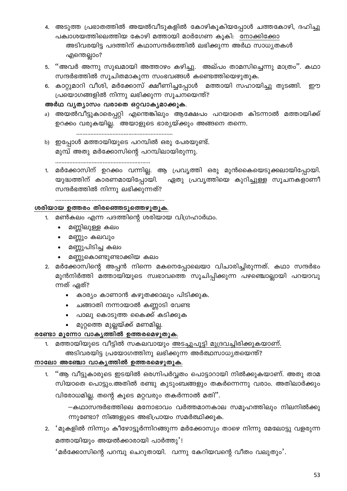- 4. അടുത്ത പ്രഭാതത്തിൽ അയൽവീടുകളിൽ കോഴികൂകിയപ്പോൾ ചത്തകോഴി, ദഹിച്ചു പക്വാശയത്തിലെത്തിയ കോഴി മത്തായി മാർഗേണ കൂകി: നോക്കിക്കോ അടിവരയിട്ട പദത്തിന് കഥാസന്ദർഭത്തിൽ ലഭിക്കുന്ന അർഥ സാധ്യതകൾ എന്തെല്ലാം?
- 5. "അവർ അന്നു സുഖമായി അത്താഴം കഴിച്ചു. അല്പം താമസിച്ചെന്നു മാത്രം". കഥാ സന്ദർഭത്തിൽ സൂചിതമാകുന്ന സംഭവങ്ങൾ കണ്ടെത്തിയെഴുതുക.
- 6. കാറ്റുമാറി വീശി, മർക്കോസ് ക്ഷീണിച്ചപ്പോൾ മത്തായി സഹായിച്ചു തുടങ്ങി. ഈ പ്രയൊഗങ്ങളിൽ നിന്നു ലഭിക്കുന്ന സൂചനയെന്ത്?

#### അർഥ വൃത്യാസം വരാതെ ഒറ്റവാക്യമാക്കുക.

a) അയൽവീട്ടുകാരെപ്പറ്റി എന്തെങ്കിലും ആക്ഷേപം പറയാതെ കിടന്നാൽ മത്തായിക്ക് ഉറക്കം വരുകയില്ല. അയാളുടെ ഭാര്യയ്ക്കും അങ്ങനെ തന്നെ.

- b) ഇപ്പോൾ മത്തായിയുടെ പറമ്പിൽ ഒരു പേരയുണ്ട്. മുമ്പ് അതു മർക്കോസിന്റെ പറമ്പിലായിരുന്നു.
- 1. മർക്കോസിന് ഉറക്കം വന്നില്ല. ആ പ്രവൃത്തി ഒരു മുൻകൈയെടുക്കലായിപ്പോയി. യുദ്ധത്തിന് കാരണമായിപ്പോയി. ഏതു പ്രവൃത്തിയെ കുറിച്ചുള്ള സൂചനകളാണീ സന്ദർഭത്തിൽ നിന്നു ലഭിക്കുന്നത്?

#### ശരിയായ ഉത്തരം തിരഞ്ഞെടുത്തെഴുതുക.

- മൺകലം എന്ന പദത്തിന്റെ ശരിയായ വിഗ്രഹാർഥം.  $1.$ 
	- $\bullet$  മണ്ണിലുള്ള കലം
	- മണ്ണും കലവും
	- മണ്ണുപിടിച്ച കലം
	- മണ്ണുകൊണ്ടുണ്ടാക്കിയ കലം  $\bullet$
- 2. മർക്കോസിന്റെ അപ്പൻ നിന്നെ മകനെപ്പോലെയാ വിചാരിച്ചിരുന്നത്. കഥാ സന്ദർഭം മുൻനിർത്തി മത്തായിയുടെ സ്വഭാവത്തെ സൂചിപ്പിക്കുന്ന പഴഞ്ചൊല്ലായി പറയാവു ന്നത് ഏത്?
	- കാര്യം കാണാൻ കഴുതക്കാലും പിടിക്കുക.
	- ചങ്ങാതി നന്നായാൽ കണ്ണാടി വേണ്ട
	- പാലു കൊടുത്ത കൈക്ക് കടിക്കുക
	- മുറ്റത്തെ മുല്ലയ്ക്ക് മണമില്ല.

#### രണ്ടോ മൂന്നോ വാകൃത്തിൽ ഉത്തരമെഴുതുക.

1. മത്തായിയുടെ വീട്ടിൽ സകലവായും അടച്ചുപൂട്ടി മുദ്രവച്ചിരിക്കുകയാണ്.

അടിവരയിട്ട പ്രയോഗത്തിനു ലഭിക്കുന്ന അർത്ഥസാധ്യതയെന്ത്?

#### നാലോ അഞ്ചോ വാകൃത്തിൽ ഉത്തരമെഴുതുക.

1. ''ആ വീട്ടുകാരുടെ ഇടയിൽ ഒരഗ്നിപർവ്വതം പൊട്ടാറായി നിൽക്കുകയാണ്. അതു താമ സിയാതെ പൊട്ടും.അതിൽ രണ്ടു കുടുംബങ്ങളും തകർന്നെന്നു വരാം. അതിലാർക്കും വിരോധമില്ല. തന്റെ കൂടെ മറ്റവരും തകർന്നാൽ മതി".

–കഥാസന്ദർഭത്തിലെ മനോഭാവം വർത്തമാനകാല സമൂഹത്തിലും നിലനിൽക്കു ന്നുണ്ടോ? നിങ്ങളുടെ അഭിപ്രായം സമർത്ഥിക്കുക.

2. 'മുകളിൽ നിന്നും കീഴോട്ടൂർന്നിറങ്ങുന്ന മർക്കോസും താഴെ നിന്നു മേലോട്ടു വളരുന്ന മത്തായിയും അയൽക്കാരായി പാർത്തു'!

'മർക്കോസിന്റെ പറമ്പു ചെറുതായി. വന്നു കേറിയവന്റെ വീതം വലുതും'.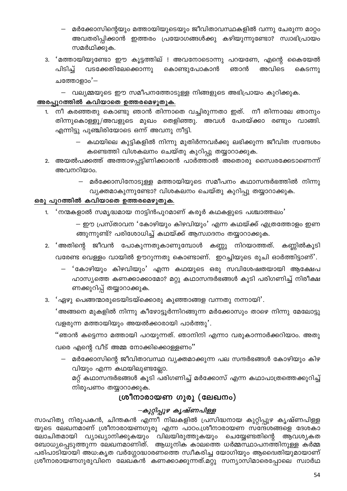- മർക്കോസിന്റെയും മത്തായിയുടെയും ജീവിതാവസ്ഥകളിൽ വന്നു ചേരുന്ന മാറ്റം അവതരിപ്പിക്കാൻ ഇത്തരം പ്രയോഗങ്ങൾക്കു കഴിയുന്നുണ്ടോ? സ്വാഭിപ്രായം സമർഥിക്കുക.
- 3. 'മത്തായിയുണ്ടോ ഈ കൂട്ടത്തില് ! അവനോടൊന്നു പറയണേ, എന്റെ കൈയേൽ പിടിച്ച് വടക്കേതിലേക്കൊന്നു കൊണ്ടുപോകാൻ അവിടെ ഞാൻ കെടന്നു ചത്തോളാം'–
	- വല്യമ്മയുടെ ഈ സമീപനത്തോടുള്ള നിങ്ങളുടെ അഭിപ്രായം കുറിക്കുക.

#### അരപ്പുറത്തിൽ കവിയാതെ ഉത്തരമെഴുതുക.

- നീ കരഞ്ഞതു കൊണ്ടു ഞാൻ തിന്നാതെ വച്ചിരുന്നതാ ഇത്. നീ തിന്നാലേ ഞാനും  $1.$ തിന്നുകൊള്ളൂ/അവളുടെ മുഖം തെളിഞ്ഞു. അവൾ പേരയ്ക്കാ രണ്ടും വാങ്ങി. എന്നിട്ടു പുഞ്ചിരിയോടെ ഒന്ന് അവനു നീട്ടി.
	- കഥയിലെ കുട്ടികളിൽ നിന്നു മുതിർന്നവർക്കു ലഭിക്കുന്ന ജീവിത സന്ദേശം കണ്ടെത്തി വിശകലനം ചെയ്തു കുറിപ്പു തയ്യാറാക്കുക.
- 2. അയൽപക്കത്ത് അത്താഴപ്പട്ടിണിക്കാരൻ പാർത്താൽ അതൊരു സൈ്വരക്കേടാണെന്ന് അവനറിയാം.
	- മർക്കോസിനോടുള്ള മത്തായിയുടെ സമീപനം കഥാസന്ദർഭത്തിൽ നിന്നു വ്യക്തമാകുന്നുണ്ടോ? വിശകലനം ചെയ്തു കുറിപ്പു തയ്യാറാക്കുക.

#### ഒരു പുറത്തിൽ കവിയാതെ ഉത്തരമെഴുതുക.

'നന്മകളാൽ സമൃദ്ധമായ നാട്ടിൻപുറമാണ് കരൂർ കഥകളുടെ പശ്ചാത്തലം'  $1.$ 

> — ഈ പ്രസ്താവന 'കോഴിയും കിഴവിയും' എന്ന കഥയ്ക്ക് എത്രത്തോളം ഇണ ങ്ങുന്നുണ്ട്? പരിശോധിച്ച് കഥയ്ക്ക് ആസ്വാദനം തയ്യാറാക്കുക.

- 2. 'അതിന്റെ ജീവൻ പോകുന്നതുകാണുമ്പോൾ കണ്ണു നിറയാത്തത്. കണ്ണിൽകൂടി വരേണ്ട വെള്ളം വായിൽ ഊറുന്നതു കൊണ്ടാണ്. ഇറച്ചിയുടെ രുചി ഓർത്തിട്ടാണ്'.
	- 'കോഴിയും കിഴവിയും' എന്ന കഥയുടെ ഒരു സവിശേഷതയായി ആക്ഷേപ ഹാസ്യത്തെ കണക്കാക്കാമോ? മറ്റു കഥാസന്ദർഭങ്ങൾ കൂടി പരിഗണിച്ച് നിരീക്ഷ ണക്കുറിപ്പ് തയ്യാറാക്കുക.
- 'ഏഴു പെങ്ങന്മാരുടെയിടയ്ക്കൊരു കുഞ്ഞാങ്ങള വന്നതു നന്നായി'. 3.

'അങ്ങനെ മുകളിൽ നിന്നു കീഴോട്ടൂർന്നിറങ്ങുന്ന മർക്കോസും താഴെ നിന്നു മേലോട്ടു വളരുന്ന മത്തായിയും അയൽക്കാരായി പാർത്തു'.

''ഞാൻ കട്ടെന്നാ മത്തായി പറയുന്നത്. ഞാനിനി എന്നാ വരുകാന്നാർക്കറിയാം. അതു വരെ എന്റെ വീട് അമ്മ നോക്കിക്കൊള്ളണം''

മർക്കോസിന്റെ ജീവിതാവസ്ഥ വ്യക്തമാക്കുന്ന പല സന്ദർഭങ്ങൾ കോഴിയും കിഴ വിയും എന്ന കഥയിലുണ്ടല്ലോ.

മറ്റ് കഥാസന്ദർഭങ്ങൾ കൂടി പരിഗണിച്ച് മർക്കോസ് എന്ന കഥാപാത്രത്തെക്കുറിച്ച് നിരൂപണം തയ്യാറാക്കുക.

# ശ്രീനാരായണ ഗുരു (ലേഖനം)

#### –കുറ്റിപ്പുഴ കൃഷ്ണപിള്ള

സാഹിത്യ നിരൂപകൻ, ചിന്തകൻ എന്നീ നിലകളിൽ പ്രസിദ്ധനായ കുറ്റിപ്പുഴ കൃഷ്ണപിള്ള യുടെ ലേഖനമാണ് ശ്രീനാരായണഗുരു എന്ന പാഠം.ശ്രീനാരായണ സ്ന്ദേശങ്ങളെ ദേശകാ ലോചിതമായി വ്യാഖ്യാനിക്കുകയും വിലയിരുത്തുകയും ചെയ്യേണ്ടതിന്റെ ആവശ്യകത ബോധ്യപ്പെടുത്തുന്ന ലേഖനമാണിത്. ആധുനിക കാലത്തെ ധർമ്മസ്ഥാപനത്തിനുള്ള കർമ്മ പരിപാടിയായി അധ:കൃത വർഗ്ഗോദ്ധാരണത്തെ സ്വീകരിച്ച യോഗിയും ആദൈ്വതിയുമായാണ് ശ്രീനാരായണഗുരുവിനെ ലേഖകൻ കണക്കാക്കുന്നത്.മറ്റു സന്യാസിമാരെപ്പോലെ സ്വാർഥ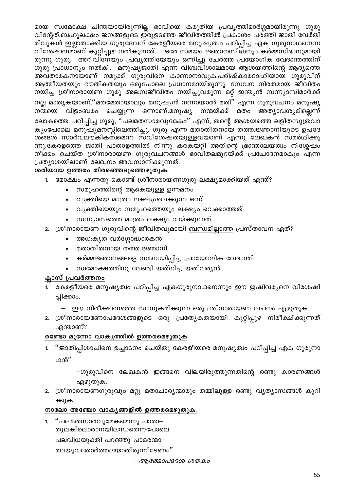മായ സ്വമോക്ഷ ചിന്തയായിരുന്നില്ല ഭാവിയെ കരുതിയ പ്രവൃത്തിമാർഗ്ഗമായിരുന്നു ഗുരു വിന്റേത്.ബഹുലക്ഷം ജനങ്ങളുടെ ഇരുളടഞ്ഞ ജീവിതത്തിൽ പ്രകാശം പരത്തി ജാതി വേർതി രിവുകൾ ഇല്ലാതാക്കിയ ഗുരുദേവന് കേരളീയരെ മനുഷ്യത്വം പഠിപ്പിച്ച ഏക ഗുരുനാഥനെന്ന വിശേഷണമാണ് കുറ്റിപ്പുഴ നൽകുന്നത്. ഒരേ സമയം ജ്ഞാനസിദ്ധനും കർമ്മസിദ്ധനുമായി രുന്നു ഗുരു. അറിവിനേയും പ്രവൃത്തിയേയും ഒന്നിച്ചു ചേർത്ത പ്രയോഗിക വേദാന്തത്തിന് ഗുരു പ്രാധാന്യം നൽകി. മനുഷ്യജാതി എന്ന വിശ്വവിശാലമായ ആശയത്തിന്റെ ആദ്യത്തെ അവതാരകനായാണ് നമുക്ക് ഗുരുവിനെ കാണാനാവുക.പരിഷ്കാരദാഹിയായ ഗുരുവിന് ആത്മീയതയും ഭൗതികതയും ഒരുപോലെ പ്രധാനമായിരുന്നു. സേവന നിരതമായ ജീവിതം നയിച്ച ശ്രീനാരായണ ഗുരു അലസജീവിതം നയിച്ചുവരുന്ന മറ്റ് ഇന്ത്യൻ സന്ന്യാസിമാർക്ക് നല്ല മാതൃകയാണ്.''മതമേതായാലും മനുഷ്യൻ നന്നായാൽ മതി'' എന്ന ഗുരുവചനം മനുഷ്യ നന്മയെ വിളംബരം ചെയ്യുന്ന ഒന്നാണ്.മനുഷ്യ നന്മയ്ക്ക് മതം അത്യാവശ്യമില്ലെന്ന് ലോകത്തെ പഠിപ്പിച്ച ഗുരു, ''പലമതസാരവുമേകം'' എന്ന്, തന്റെ ആശയത്തെ ലളിതസൂത്രവാ ക്യംപോലെ മനുഷ്യമനസ്സിലെത്തിച്ചു. ഗുരു എന്ന മതാതീതനായ തത്ത്വജ്ഞാനിയുടെ ഉപദേ ശങ്ങൾ സാർവലൗകികത്വമെന്ന സവിശേഷതയുള്ളവയാണ് എന്നു ലേഖകൻ സമർഥിക്കു ന്നു.കേരളത്തെ ജാതി പാതാളത്തിൽ നിന്നു കരകയറ്റി അതിന്റെ ഭ്രാന്താലയത്വം നിശ്ശേഷം നീക്കം ചെയ്ത ശ്രീനാരായണ ഗുരുവചനങ്ങൾ ഭാവിതലമുറയ്ക്ക് പ്രചോദനമാകും എന്ന പ്രത്യാശയിലാണ് ലേഖനം അവസാനിക്കുന്നത്.

#### ശരിയായ ഉത്തരം തിരഞ്ഞെടുത്തെഴുതുക.

- 1. മോക്ഷം എന്നതു കൊണ്ട് ശ്രീനാരായണഗുരു ലക്ഷ്യമാക്കിയത് എന്ത്?
	- സമൂഹത്തിന്റെ ആകെയുള്ള ഉന്നമനം
	- വ്യക്തിയെ മാത്രം ലക്ഷ്യംവെക്കുന്ന ഒന്ന്
	- വ്യക്തിയെയും സമൂഹത്തെയും ലക്ഷ്യം വെക്കാത്തത്
	- സന്ന്യാസത്തെ മാത്രം ലക്ഷ്യം വയ്ക്കുന്നത്.
- 2. ശ്രീനാരായണ ഗുരുവിന്റെ ജീവിതവുമായി <u>ബന്ധമില്ലാത്ത</u> പ്രസ്താവന ഏത്?
	- അധ:കൃത വർഗ്ഗോദ്ധാരകൻ
	- മതാതീതനായ തത്ത്വജ്ഞാനി
	- കർമ്മജ്ഞാനങ്ങളെ സമന്വയിപ്പിച്ച പ്രായോഗിക വേദാന്തി
	- സ്വമോക്ഷത്തിനു വേണ്ടി യത്നിച്ച യതിവര്യൻ.

#### ക്ലാസ് പ്രവർത്തനം

- 1. കേരളീയരെ മനുഷ്യത്വം പഠിപ്പിച്ച ഏകഗുരുനാഥനെന്നും ഈ ഋഷിവര്യനെ വിശേഷി പ്പിക്കാം.
	- ഈ നിരീക്ഷണത്തെ സാധൂകരിക്കുന്ന ഒരു ശ്രീനാരായണ വചനം എഴുതുക.
- 2. ശ്രീനാരായണോപദേശങ്ങളുടെ ഒരു പ്രത്യേകതയായി കുറ്റിപ്പുഴ നിരീക്ഷിക്കുന്നത് എന്താണ്?

#### രണ്ടോ മൂന്നോ വാകൃത്തിൽ ഉത്തരമെഴുതുക

''ജാതിപ്പിശാചിനെ ഉച്ചാടനം ചെയ്തു കേരളീയരെ മനുഷ്യത്വം പഠിപ്പിച്ച ഏക ഗുരുനാ ഥൻ"

> —ഗുരുവിനെ ലേഖകൻ ഇങ്ങനെ വിലയിരുത്തുന്നതിന്റെ രണ്ടു കാരണങ്ങൾ എഴുതുക.

2. ശ്രീനാരായണഗുരുവും മറ്റു മതാചാര്യന്മാരും തമ്മിലുള്ള രണ്ടു വ്യത്യാസങ്ങൾ കുറി ക്കുക.

#### നാലോ അഞ്ചോ വാകൃങ്ങളിൽ ഉത്തരമെഴുതുക.

"പലമതസാരവുമേകമെന്നു പാരാ–  $1.$ തുലകിലൊരാനയിലന്ധരെന്നപോലെ പലവിധയുക്തി പറഞ്ഞു പാമരന്മാ−

രലയുവതോർത്തലയാതിരുന്നിടേണം''

-ആത്മോപദേശ ശതകം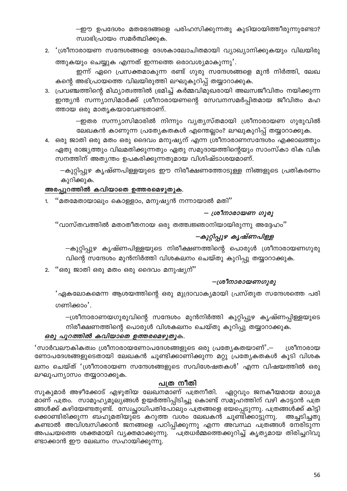—ഈ ഉപദേശം മതഭേദങ്ങളെ പരിഹസിക്കുന്നതു കൂടിയായിത്തീരുന്നുണ്ടോ? സ്വാഭിപ്രായം സമർത്ഥിക്കുക.

2. 'ശ്രീനാരായണ സന്ദേശങ്ങളെ ദേശകാലോചിതമായി വ്യാഖ്യാനിക്കുകയും വിലയിരു ത്തുകയും ചെയ്യുക എന്നത് ഇന്നത്തെ ഒരാവശ്യമാകുന്നു'.

ഇന്ന് ഏറെ പ്രസക്തമാകുന്ന രണ്ട് ഗുരു സന്ദേശങ്ങളെ മുൻ നിർത്തി, ലേഖ കന്റെ അഭിപ്രായത്തെ വിലയിരുത്തി ലഘുകുറിപ്പ് തയ്യാറാക്കുക.

3. പ്രവഞ്ചത്തിന്റെ മിഥ്യാത്വത്തിൽ ഭ്രമിച്ച് കർമ്മവിമുഖരായി അലസജീവിതം നയിക്കുന്ന ഇന്ത്യൻ സന്ന്യാസിമാർക്ക് ശ്രീനാരായണന്റെ സേവനസമർപ്പിതമായ ജീവിതം മഹ ത്തായ ഒരു മാതൃകയാവേണ്ടതാണ്.

> –ഇതര സന്ന്യാസിമാരിൽ നിന്നും വ്യത്യസ്തമായി ശ്രീനാരായണ ഗുരുവിൽ ലേഖകൻ കാണുന്ന പ്രത്യേകതകൾ എന്തെല്ലാം? ലഘുകുറിപ്പ് തയ്യാറാക്കുക.

4. ഒരു ജാതി ഒരു മതം ഒരു ദൈവം മനുഷ്യന് എന്ന ശ്രീനാരാണസന്ദേശം എക്കാലത്തും ഏതു രാജ്യത്തും വിലമതിക്കുന്നതും ഏതു സമുദായത്തിന്റെയും സാംസ്കാ രിക വിക സനത്തിന് അതൃന്തം ഉപകരിക്കുന്നതുമായ വിശിഷ്ടാശയമാണ്.

–കുറ്റിപ്പുഴ കൃഷ്ണപിള്ളയുടെ ഈ നിരീക്ഷണത്തോടുള്ള നിങ്ങളുടെ പ്രതികരണം കുറിക്കുക.

#### അരപ്പുറത്തിൽ കവിയാതെ ഉത്തരമെഴുതുക.

"മതമേതായാലും കൊള്ളാം, മനുഷ്യൻ നന്നായാൽ മതി" 1.

#### – ശ്രീനാരായണ ഗുരു

''വാസ്തവത്തിൽ മതാതീതനായ ഒരു തത്ത്വജ്ഞാനിയായിരുന്നു അദ്ദേഹം''

#### –കുറ്റിപ്പുഴ കൃഷ്ണപിള്ള

—കുറ്റിപ്പുഴ കൃഷ്ണപിള്ളയുടെ നിരീക്ഷണത്തിന്റെ പൊരുൾ ശ്രീനാരായണഗുരു വിന്റെ സന്ദേശം മുൻനിർത്തി വിശകലനം ചെയ്തു കുറിപ്പു തയ്യാറാക്കുക.

"ഒരു ജാതി ഒരു മതം ഒരു ദൈവം മനുഷ്യന്"  $2.$ 

#### –ശ്രീനാരായണഗുരു

'ഏകലോകമെന്ന ആശയത്തിന്റെ ഒരു മുദ്രാവാകൃമായി പ്രസ്തുത സന്ദേശത്തെ പരി ഗണിക്കാം'.

–ശ്രീനാരാണയഗുരുവിന്റെ സന്ദേശം മുൻനിർത്തി കുറ്റിപ്പുഴ കൃഷ്ണപ്പിള്ളയുടെ നിരീക്ഷണത്തിന്റെ പൊരുൾ വിശകലനം ചെയ്തു കുറിപ്പു തയ്യാറാക്കുക.

#### ഒരു പുറത്തിൽ കവിയാതെ ഉത്തരമെഴുതുക.

'സാർവലൗകികത്വം ശ്രീനാരായണോപദേശങ്ങളുടെ ഒരു പ്രത്യേകതയാണ്'.– ശ്രീനാരായ ണോപദേശങ്ങളുടെതായി ലേഖകൻ ചൂണ്ടിക്കാണിക്കുന്ന മറ്റു പ്രത്യേകതകൾ കൂടി വിശക ലനം ചെയ്ത് 'ശ്രീനാരായണ സന്ദേശങ്ങളുടെ സവിശേഷതകൾ' എന്ന വിഷയത്തിൽ ഒരു ലഘൂപന്യാസം തയ്യാറാക്കുക.

#### പത്ര നീതി

സുകുമാർ അഴീക്കോട് എഴുതിയ ലേഖനമാണ് പത്രനീതി. ഏറ്റവും ജനകീയമായ മാധ്യമ മാണ് പത്രം. സാമൂഹ്യമൂല്യങ്ങൾ ഉയർത്തിപ്പിടിച്ചു കൊണ്ട് സമൂഹത്തിന് വഴി കാട്ടാൻ പത്ര ങ്ങൾക്ക് കഴിയേണ്ടതുണ്ട്. സ്വേച്ഛാധിപതിപോലും പത്രങ്ങളെ ഭയപ്പെടുന്നു. പത്രങ്ങൾക്ക് കിട്ടി ക്കൊണ്ടിരിക്കുന്ന ബഹുമതിയുടെ കറുത്ത വശം ലേഖകൻ ചൂണ്ടിക്കാട്ടുന്നു. അച്ചടിച്ചതു കണ്ടാൽ അവിശ്വസിക്കാൻ ജനങ്ങളെ പഠിപ്പിക്കുന്നു എന്ന അവസ്ഥ പത്രങ്ങൾ നേരിടുന്ന അപചയത്തെ ശക്തമായി വ്യക്തമാക്കുന്നു. പത്രധർമ്മത്തെക്കുറിച്ച് കൃത്യമായ തിരിച്ചറിവു ണ്ടാക്കാൻ ഈ ലേഖനം സഹായിക്കുന്നു.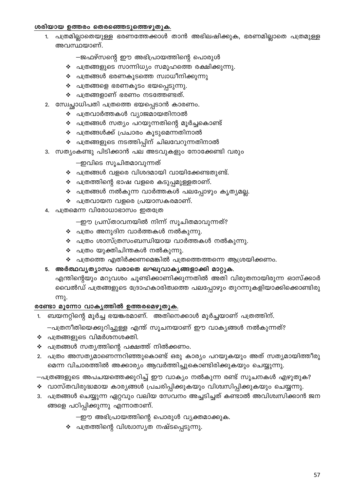#### ശരിയായ ഉത്തരം തെരഞ്ഞെടുത്തെഴുതുക.

- 1. പത്രമില്ലാതെയുള്ള ഭരണത്തേക്കാൾ താൻ അഭിലഷിക്കുക, ഭരണമില്ലാതെ പത്രമുള്ള അവസ്ഥയാണ്.
	- –ജഫഴ്സന്റെ ഈ അഭിപ്രായത്തിന്റെ പൊരുൾ
	- -

 $\boldsymbol{\cdot}$  പത്രങ്ങൾ ഭരണകൂടത്തെ സ്വാധീനിക്കുന്നു

❖ പത്രങ്ങളെ ഭരണകൂടം ഭയപ്പെടുന്നു.  $\boldsymbol{\cdot}$  പത്രങ്ങളാണ് ഭരണം നടത്തേണ്ടത്. 2. സ്വേച്ചാധിപതി പത്രത്തെ ഭയപ്പെടാൻ കാരണം.  $\boldsymbol{\cdot}$  പത്രവാർത്തകൾ വ്യാജമായതിനാൽ

- 
- 
- $\boldsymbol{\cdot}$  പത്രങ്ങളുടെ സാന്നിധ്യം സമൂഹത്തെ രക്ഷിക്കുന്നു.
- 
- 
- 
- 
- 
- 
- 
- 
- 
- 

 $\boldsymbol{\cdot}$  പത്രങ്ങൾ സത്യം പറയുന്നതിന്റെ മൂർച്ചകൊണ്ട്

❖ പത്രങ്ങളുടെ നടത്തിപ്പിന് ചിലവേറുന്നതിനാൽ 3. സത്യാകണ്ടു പിടിക്കാൻ പല അടവുകളും നോക്കേണ്ടി വരും

 $\boldsymbol{\cdot}$  പത്രങ്ങൾ വളരെ വിശദമായി വായിക്കേണ്ടതുണ്ട്.

❖ പത്രങ്ങൾ നൽകുന്ന വാർത്തകൾ പലപ്പോഴും കൃത്യമല്ല.

—ഈ പ്രസ്താവനയിൽ നിന്ന് സൂചിതമാവുന്നത്?

 $\boldsymbol{\cdot}$  പത്രം ശാസ്ത്രസംബന്ധിയായ വാർത്തകൾ നൽകുന്നു.

1. ബയനറ്റിന്റെ മൂർച്ച ഭയങ്കരമാണ്. അതിനെക്കാൾ മൂർച്ചയാണ് പത്രത്തിന്.

—ഈ അഭിപ്രായത്തിന്റെ പൊരുൾ വ്യക്തമാക്കുക.

❖ പത്രത്തിന്റെ വിശ്വാസൃത നഷ്ടപ്പെടുന്നു.

—പത്രനീതിയെക്കുറിച്ചുള്ള എന്ത് സൂചനയാണ് ഈ വാക്യങ്ങൾ നൽകുന്നത്?

മെന്ന വിചാരത്തിൽ അക്കാര്യം ആവർത്തിച്ചുകൊണ്ടിരിക്കുകയും ചെയ്യുന്നു.

2. പത്രം അസത്യമാണെന്നറിഞ്ഞുകൊണ്ട് ഒരു കാര്യം പറയുകയും അത് സത്യമായിത്തീരു

3. പത്രങ്ങൾ ചെയ്യുന്ന ഏറ്റവും വലിയ സേവനം അച്ചടിച്ചത് കണ്ടാൽ അവിശ്വസിക്കാൻ ജന

–പത്രങ്ങളുടെ അപചയത്തെക്കുറിച്ച് ഈ വാക്യം നൽകുന്ന രണ്ട് സൂചനകൾ എഴുതുക? ❖ വാസ്തവിരുദ്ധമായ കാര്യങ്ങൾ പ്രചരിപ്പിക്കുകയും വിശ്വസിപ്പിക്കുകയും ചെയ്യന്നു.

 $\boldsymbol{\cdot}$  പത്രത്തെ എതിർക്കണമെങ്കിൽ പത്രത്തെത്തന്നെ ആശ്രയിക്കണം.

എന്തിന്റെയും മറുവശം ചൂണ്ടിക്കാണിക്കുന്നതിൽ അതി വിരുതനായിരുന്ന ഓസ്ക്കാർ വൈൽഡ് പത്രങ്ങളുടെ ദ്രോഹകാരിത്വത്തെ പലപ്പോഴും തുറന്നുകളിയാക്കിക്കൊണ്ടിരു

 $\boldsymbol{\cdot}$  പത്രത്തിന്റെ ഭാഷ വളരെ കടുപ്പമുള്ളതാണ്.

❖ പത്രവായന വളരെ പ്രയാസകരമാണ്.

 $\boldsymbol{\cdot}$  പത്രം അനുദിന വാർത്തകൾ നൽകുന്നു.

5. അർത്ഥവ്യത്യാസം വരാതെ ലഘുവാക്യങ്ങളാക്കി മാറ്റുക.

 $\boldsymbol{\cdot}$  പത്രം യുക്തിചിന്തകൾ നൽകുന്നു.

❖ പത്രങ്ങൾക്ക് പ്രചാരം കൂടുമെന്നതിനാൽ

—ഇവിടെ സുചിതമാവുന്നത്

4. പത്രമെന്ന വിരോധാഭാസം ഇതത്രേ

രണ്ടോ മൂന്നോ വാകൃത്തിൽ ഉത്തരമെഴുതുക.

 $\boldsymbol{\cdot}$  പത്രങ്ങൾ സത്യത്തിന്റെ പക്ഷത്ത് നിൽക്കണം.

 $\cdot$  പത്രങ്ങളുടെ വിമർശനശക്തി.

ങ്ങളെ പഠിപ്പിക്കുന്നു എന്നാതാണ്.

ന്നു.

- 
- 
- -
-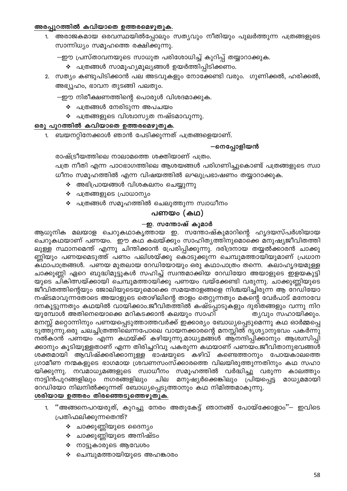#### അരപ്പുറത്തിൽ കവിയാതെ ഉത്തരമെഴുതുക.

അരാജകമായ ഒരവസ്ഥയിൽപ്പോലും സത്യവും നീതിയും പുലർത്തുന്ന പത്രങ്ങളുടെ  $1.$ സാന്നിധ്യം സമൂഹത്തെ രക്ഷിക്കുന്നു.

–ഈ പ്രസ്താവനയുടെ സാധുത പരിശോധിച്ച് കുറിപ്പ് തയ്യാറാക്കുക.

- ❖ പത്രങ്ങൾ സാമൂഹ്യമൂല്യങ്ങൾ ഉയർത്തിപ്പിടിക്കണം.
- 2. സത്യം കണ്ടുപിടിക്കാൻ പല അടവുകളും നോക്കേണ്ടി വരും. ഗുണിക്കൽ, ഹരിക്കൽ, അഭ്യൂഹം, ഭാവന തുടങ്ങി പലതും.

#### —ഈ നിരീക്ഷണത്തിന്റെ പൊരുൾ വിശദമാക്കുക.

- $\boldsymbol{\cdot}$  പത്രങ്ങൾ നേരിടുന്ന അപചയം
- ❖ പത്രങ്ങളുടെ വിശ്വാസൃത നഷ്ടമാവുന്നു.

#### ഒരു പുറത്തിൽ കവിയാതെ ഉത്തരമെഴുതുക

1. ബയനറ്റിനേക്കാൾ ഞാൻ പേടിക്കുന്നത് പത്രങ്ങളെയാണ്.

#### —നെപ്പോളിയൻ

രാഷ്ട്രീയത്തിലെ നാലാമത്തെ ശക്തിയാണ് പത്രം.

പത്ര നീതി എന്ന പാഠഭാഗത്തിലെ ആശയങ്ങൾ പരിഗണിച്ചുകൊണ്ട് പത്രങ്ങളുടെ സ്വാ ധീനം സമൂഹത്തിൽ എന്ന വിഷയത്തിൽ ലഘുപ്രഭാഷണം തയ്യാറാക്കുക.

- $\boldsymbol{\cdot}$  അഭിപ്രായങ്ങൾ വിശകലനം ചെയ്യുന്നു
- ❖ പത്രങ്ങളുടെ പ്രാധാന്യം
- $\boldsymbol{\cdot}$  പത്രങ്ങൾ സമൂഹത്തിൽ ചെലുത്തുന്ന സ്വാധീനം

#### പണയം (കഥ)

#### —ഇ. സന്തോഷ് കുമാർ

ആധുനിക മലയാള ചെറുകഥാകൃത്തായ ഇ. സന്തോഷ്കുമാറിന്റെ ഹൃദയസ്പർശിയായ ചെറുകഥയാണ് പണയം. ഈ കഥ കലയ്ക്കും സാഹിത്യത്തിനുമൊക്കെ മനുഷ്യജീവിതത്തി ലുള്ള സ്ഥാനമെന്ത് എന്നു ചിന്തിക്കാൻ പ്രേരിപ്പിക്കുന്നു. ദരിദ്രനായ തയ്യൽക്കാരൻ ചാക്കു ണ്ണിയും പണയമെടുത്ത് പണം പലിശയ്ക്കു കൊടുക്കുന്ന ചെമ്പുമത്തായിയുമാണ് പ്രധാന കഥാപാത്രങ്ങൾ. പണയ മുതലായ റേഡിയോയും ഒരു കഥാപാത്രം തന്നെ. കലാഹൃദയമുള്ള ചാക്കുണ്ണി ഏറെ ബുദ്ധിമുട്ടുകൾ സഹിച്ച് സ്വന്തമാക്കിയ റേഡിയോ അയാളുടെ ഇളയകുട്ടി യുടെ ചികിത്സയ്ക്കായി ചെമ്പുമത്തായിക്കു പണയം വയ്ക്കേണ്ടി വരുന്നു. ചാക്കുണ്ണിയുടെ ജീവിതത്തിന്റെയും ജോലിയുടെയുമൊക്കെ സമയതാളങ്ങളെ നിശ്ചയിച്ചിരുന്ന ആ റേഡിയോ നഷ്ടമാവുന്നതോടെ അയാളുടെ തൊഴിലിന്റെ താളം തെറ്റുന്നതും മകന്റെ വേർപാട് മനോവേ ദനകൂട്ടുന്നതും കഥയിൽ വായിക്കാം.ജീവിതത്തിൽ കഷ്ടപ്പാടുകളും ദുരിതങ്ങളും വന്നു നിറ യുമ്പോൾ അതിനെയൊക്കെ മറികടക്കാൻ കലയും സാഹി തൃവും സഹായിക്കും. മനസ്സ് മറ്റൊന്നിനും പണയപ്പെടുത്താത്തവർക്ക് ഇക്കാര്യം ബോധ്യപ്പെടുമെന്നു കഥ ഓർമ്മപ്പെ ടുത്തുന്നു.ഒരു ചലച്ചിത്രത്തിലെന്നപോലെ വായനക്കാരന്റെ മനസ്സിൽ ദൃശ്യാനുഭവം പകർന്നു നൽകാൻ പണയം എന്ന കഥയ്ക്ക് കഴിയുന്നു.മാധ്യമങ്ങൾ ആനന്ദിപ്പിക്കാനും ആശ്വസിപ്പി ക്കാനും കൂടിയുള്ളതാണ് എന്ന തിരിച്ചറിവു പകരുന്ന കഥയാണ് പണയം.ജീവിതാനുഭവങ്ങൾ ശക്തമായി ആവിഷ്ക്കരിക്കാനുള്ള ഭാഷയുടെ കഴിവ് കണ്ടെത്താനും പോയകാലത്തെ ഗ്രാമീണ നന്മകളുടെ ഭാഗമായ ശ്രവണസംസ്ക്കാരത്തെ വിലയിരുത്തുന്നതിനും കഥ സഹാ യിക്കുന്നു. നവമാധ്യമങ്ങളുടെ സ്വാധീനം സമൂഹത്തിൽ വർദ്ധിച്ചു വരുന്ന കാലത്തും നാട്ടിൻപുറങ്ങളിലും നഗരങ്ങളിലും ചില മനുഷ്യർക്കെങ്കിലും പ്രിയപ്പെട്ട മാധ്യമമായി റേഡിയോ നിലനിൽക്കുന്നത് ബോധ്യപ്പെടുത്താനും കഥ നിമിത്തമാകുന്നു.

#### ശരിയായ ഉത്തരം തിരഞ്ഞെടുത്തെഴുതുക.

- '''അങ്ങനെപറയരുത്, കുറച്ചു നേരം അതുകേട്ട് ഞാനങ്ങ് പോയ്ക്കോളാം''– ഇവിടെ 1. പ്രതിഫലിക്കുന്നതെന്ത്?
	- ❖ ചാക്കുണ്ണിയുടെ ദൈന്യം
	- ❖ ചാക്കുണ്ണിയുടെ അനിഷ്ടം
	- ∻ നാട്ടുകാരുടെ ആവേശം
	- ∻ ചെമ്പുമത്തായിയുടെ അഹങ്കാരം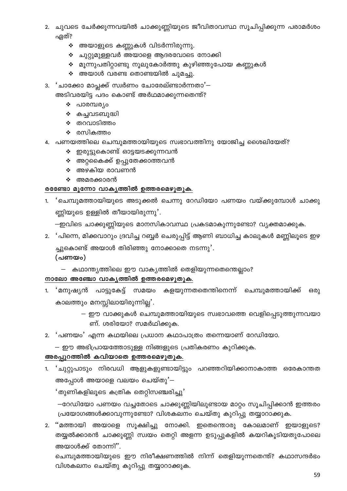- 2. ചുവടെ ചേർക്കുന്നവയിൽ ചാക്കുണ്ണിയുടെ ജീവിതാവസ്ഥ സൂചിപ്പിക്കുന്ന പരാമർശം ഏത്?
	- $\boldsymbol{\cdot}$  അയാളുടെ കണ്ണുകൾ വിടർന്നിരുന്നു.
	- ❖ ചുറ്റുമുള്ളവർ അയാളെ ആദരവോടെ നോക്കി
	- $\boldsymbol{\cdot}$  മൂന്നുപതിറ്റാണ്ടു നൂലുകോർത്തു കുഴിഞ്ഞുപോയ കണ്ണുകൾ
	- $\boldsymbol{\cdot}$  അയാൾ വരണ്ട തൊണ്ടയിൽ ചുമച്ചു.
- 3. 'ചാക്കോ മാപ്ലക്ക് സ്വർണം ചോരേല്ണ്ടാർന്നതാ'—

അടിവരയിട്ട പദം കൊണ്ട് അർഥമാക്കുന്നതെന്ത്?

- ∻ പാരമ്പരൃം
- ❖ കച്ചവടബുദ്ധി
- ∻ തറവാടിത്തം
- ∻ രസികത്തം
- 4. പണയത്തിലെ ചെമ്പുമത്തായിയുടെ സ്വഭാവത്തിനു യോജിച്ച ശൈലിയേത്?
	- ❖ ഇരുട്ടുകൊണ്ട് ഓട്ടയടക്കുന്നവൻ
	- ∻ അറ്റകൈക്ക് ഉപ്പുതേക്കാത്തവൻ
	- $\cdot$  അഴകിയ രാവണൻ
	- ∻ അമരക്കാരൻ

#### രഭേണ്ടാ മൂന്നോ വാകൃത്തിൽ ഉത്തരമെഴുതുക.

'ചെമ്പുമത്തായിയുടെ അടുക്കൽ ചെന്നു റേഡിയോ പണയം വയ്ക്കുമ്പോൾ ചാക്കു 1. ണ്ണിയുടെ ഉള്ളിൽ തീയായിരുന്നു'.

-ഇവിടെ ചാക്കുണ്ണിയുടെ മാനസികാവസ്ഥ പ്രകടമാകുന്നുണ്ടോ? വ്യക്തമാക്കുക.

2. 'പിന്നെ, മിക്കവാറും ദ്രവിച്ച റബ്ബർ ചെരുപ്പിട്ട് ആണി ബാധിച്ച കാലുകൾ മണ്ണിലൂടെ ഇഴ

ച്ചുകൊണ്ട് അയാൾ തിരിഞ്ഞു നോക്കാതെ നടന്നു'.

(പണയം)

– കഥാന്ത്യത്തിലെ ഈ വാക്യത്തിൽ തെളിയുന്നതെന്തെല്ലാം?

#### നാലോ അഞ്ചോ വാകൃത്തിൽ ഉത്തരമെഴുതുക.

- 'മനുഷ്യൻ പാട്ടുകേട്ട് സമയം കളയുന്നതതെന്തിനെന്ന് ചെമ്പുമത്തായിക്ക് 1. ഒരു കാലത്തും മനസ്സിലായിരുന്നില്ല'.
	- ഈ വാക്കുകൾ ചെമ്പുമത്തായിയുടെ സ്വഭാവത്തെ വെളിപ്പെടുത്തുന്നവയാ ണ്. ശരിയോ? സമർഥിക്കുക.
- 2. 'പണയം' എന്ന കഥയിലെ പ്രധാന കഥാപാത്രം തന്നെയാണ് റേഡിയോ.
	- ഈ അഭിപ്രായത്തോടുള്ള നിങ്ങളുടെ പ്രതികരണം കുറിക്കുക.

#### അരപ്പുറത്തിൽ കവിയാതെ ഉത്തരമെഴുതുക.

്ചുറ്റുപാടും നിരവധി ആളുകളുണ്ടായിട്ടും പറഞ്ഞറിയിക്കാനാകാത്ത ഒരേകാന്തത  $1.$ അപ്പോൾ അയാളെ വലയം ചെയ്തു'–

'തുണികളിലൂടെ കത്രിക തെറ്റിസഞ്ചരിച്ചു'

–റേഡിയോ പണയം വച്ചതോടെ ചാക്കുണ്ണിയിലുണ്ടായ മാറ്റം സൂചിപ്പിക്കാൻ ഇത്തരം പ്രയോഗങ്ങൾക്കാവുന്നുണ്ടോ? വിശകലനം ചെയ്തു കുറിപ്പു തയ്യാറാക്കുക.

2. "മത്തായി അയാളെ സൂക്ഷിച്ചു നോക്കി. ഇതെന്തൊരു കോലമാണ് ഇയാളുടെ? തയ്യൽക്കാരൻ ചാക്കുണ്ണി സ്വയം തെറ്റി അളന്ന ഉടുപ്പുകളിൽ കയറികൂടിയതുപോലെ അയാൾക്ക് തോന്നി".

ചെമ്പുമത്തായിയുടെ ഈ നിരീക്ഷണത്തിൽ നിന്ന് തെളിയുന്നതെന്ത്? കഥാസന്ദർഭം വിശകലനം ചെയ്തു കുറിപ്പു തയ്യാറാക്കുക.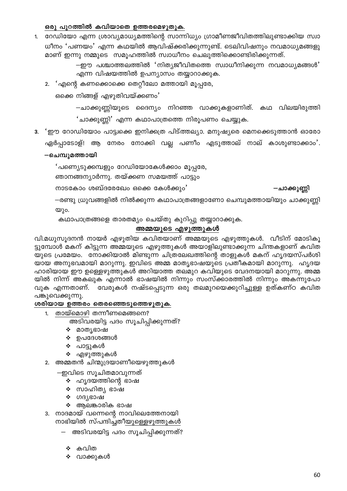#### ഒരു പുറത്തിൽ കവിയാതെ ഉത്തരമെഴുതുക.

1. റേഡിയോ എന്ന ശ്രാവ്യമാധ്യമത്തിന്റെ സാന്നിധ്യം ഗ്രാമീണജീവിതത്തിലുണ്ടാക്കിയ സ്വാ ധീനം 'പണയം' എന്ന കഥയിൽ ആവിഷ്ക്കരിക്കുന്നുണ്ട്. ടെലിവിഷനും നവമാധ്യമങ്ങളു മാണ് ഇന്നു നമ്മുടെ സമൂഹത്തിൽ സ്വാധീനം ചെലുത്തിക്കൊണ്ടിരിക്കുന്നത്.

> $-$ ഈ പശ്ചാത്തലത്തിൽ 'നിത്യജീവിതത്തെ സ്വാധീനിക്കുന്ന നവമാധ്യമങ്ങൾ' എന്ന വിഷയത്തിൽ ഉപന്യാസം തയ്യാറാക്കുക.

2. 'എന്റെ കണക്കൊക്കെ തെറ്റീലോ മത്തായി മൂപ്പരേ,

ഒക്കെ നിങ്ങള് എഴുതിവയ്ക്കണം'

–ചാക്കുണ്ണിയുടെ ദൈന്യം നിറഞ്ഞ വാക്കുകളാണിത്. കഥ വിലയിരുത്തി 'ചാക്കുണ്ണി' എന്ന കഥാപാത്രത്തെ നിരുപണം ചെയ്യുക.

- 3. 'ഈ റോഡിയോം പാട്ട്വക്കെ ഇനിക്കത്ര പിട്ത്തല്യാ. മനുഷ്യരെ മെനക്കെടുത്താൻ ഓരോ ഏർപ്പാടോള്! ആ നേരം നോക്കി വല്ല പണീം എടുത്താല് നാല് കാശുണ്ടാക്കാം'.
	- –ചെമ്പുമത്തായി

'പണ്വെടുക്കമ്പളും റേഡിയോകേൾക്കാം മൂപ്പരേ,

ഞാനങ്ങന്യാർന്നു. തയ്ക്കണ സമയത്ത് പാട്ടും

നാടകോം ശബ്ദരേഖേം ഒക്കെ കേൾക്കും'

–ചാക്കുണ്ണി

—രണ്ടു ധ്രുവങ്ങളിൽ നിൽക്കുന്ന കഥാപാത്രങ്ങളാണോ ചെമ്പുമത്തായിയും ചാക്കുണ്ണി യും.

കഥാപാത്രങ്ങളെ താരതമ്യം ചെയ്തു കുറിപ്പു തയ്യാറാക്കുക.

#### <u>അമ്മയുടെ എഴു</u>ത്തുകൾ

വി.മധുസൂദനൻ നായർ എഴുതിയ കവിതയാണ് അമ്മയുടെ എഴുത്തുകൾ. വീടിന് മോടികൂ ട്ടുമ്പോൾ മകന് കിട്ടുന്ന അമ്മയുടെ എഴുത്തുകൾ അയാളിലുണ്ടാക്കുന്ന ചിന്തകളാണ് കവിത യുടെ പ്രമേയം. നോക്കിയാൽ മിണ്ടുന്ന ചിത്രലേഖത്തിന്റെ താളുകൾ മകന് ഹൃദയസ്പർശി യായ അനുഭവമായി മാറുന്നു. ഇവിടെ അമ്മ മാതൃഭാഷയുടെ പ്രതീകമായി മാറുന്നു. ഹൃദയ ഹാരിയായ ഈ ഉള്ളെഴുത്തുകൾ അറിയാത്ത തലമുറ കവിയുടെ വേദനയായി മാറുന്നു. അമ്മ യിൽ നിന്ന് അകലുക എന്നാൽ ഭാഷയിൽ നിന്നും സംസ്ക്കാരത്തിൽ നിന്നും അകന്നുപോ വുക എന്നതാണ്. വേരുകൾ നഷ്ടപ്പെടുന്ന ഒരു തലമുറയെക്കുറിച്ചുള്ള ഉത്കണ്ഠ കവിത പങ്കുവെക്കുന്നു.

#### ശരിയായ ഉത്തരം തെരഞ്ഞെടുത്തെഴുതുക.

തായ്മൊഴി തന്നീണമെങ്ങനെ?  $1.$ 

അടിവരയിട്ട പദം സൂചിപ്പിക്കുന്നത്?

- ∻ മാതൃഭാഷ
- $\boldsymbol{\cdot}$  ഉപദേശങ്ങൾ
- ∻ പാട്ടുകൾ
- ∻ എഴുത്തുകൾ
- 2. അമ്മതൻ ചിന്മുദ്രയാണീയെഴുത്തുകൾ

–ഇവിടെ സൂചിതമാവുന്നത്

- $\boldsymbol{\cdot}$  ഹൃദയത്തിന്റെ ഭാഷ
- ∻ സാഹിത്യ ഭാഷ
- ∻ ഗദ്യഭാഷ
- ∻ ആലങ്കാരിക ഭാഷ
- 3. നാദമായ് വന്നെന്റെ നാവിലെത്തേനായി നാഭിയിൽ സ്പന്ദിച്ചതീയുള്ളെഴുത്തുകൾ
	- അടിവരയിട്ട പദം സൂചിപ്പിക്കുന്നത്?
		- ∻ കവിത
		- ∻ വാക്കുകൾ